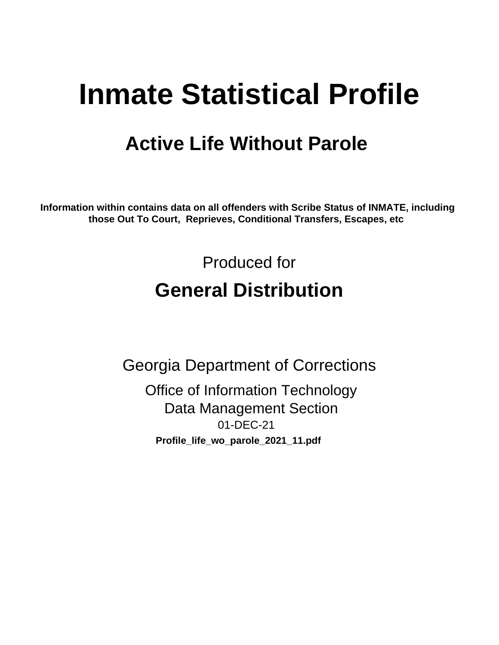# **Inmate Statistical Profile**

# **Active Life Without Parole**

Information within contains data on all offenders with Scribe Status of INMATE, including those Out To Court, Reprieves, Conditional Transfers, Escapes, etc

> Produced for **General Distribution**

**Georgia Department of Corrections Office of Information Technology Data Management Section** 01-DEC-21 Profile\_life\_wo\_parole\_2021\_11.pdf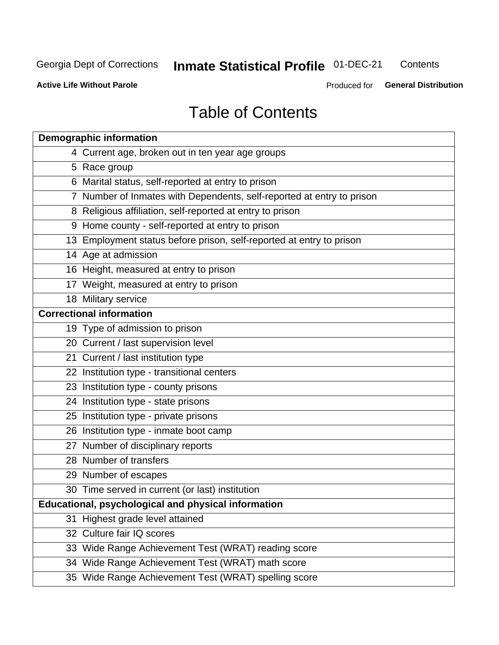#### **Inmate Statistical Profile 01-DEC-21** Contents

**Active Life Without Parole** 

Produced for General Distribution

# **Table of Contents**

|    | <b>Demographic information</b>                                        |
|----|-----------------------------------------------------------------------|
|    | 4 Current age, broken out in ten year age groups                      |
|    | 5 Race group                                                          |
|    | 6 Marital status, self-reported at entry to prison                    |
|    | 7 Number of Inmates with Dependents, self-reported at entry to prison |
|    | 8 Religious affiliation, self-reported at entry to prison             |
|    | 9 Home county - self-reported at entry to prison                      |
|    | 13 Employment status before prison, self-reported at entry to prison  |
|    | 14 Age at admission                                                   |
|    | 16 Height, measured at entry to prison                                |
|    | 17 Weight, measured at entry to prison                                |
|    | 18 Military service                                                   |
|    | <b>Correctional information</b>                                       |
|    | 19 Type of admission to prison                                        |
|    | 20 Current / last supervision level                                   |
|    | 21 Current / last institution type                                    |
|    | 22 Institution type - transitional centers                            |
|    | 23 Institution type - county prisons                                  |
|    | 24 Institution type - state prisons                                   |
|    | 25 Institution type - private prisons                                 |
|    | 26 Institution type - inmate boot camp                                |
|    | 27 Number of disciplinary reports                                     |
|    | 28 Number of transfers                                                |
|    | 29 Number of escapes                                                  |
|    | 30 Time served in current (or last) institution                       |
|    | Educational, psychological and physical information                   |
| 31 | Highest grade level attained                                          |
|    | 32 Culture fair IQ scores                                             |
|    | 33 Wide Range Achievement Test (WRAT) reading score                   |
|    | 34 Wide Range Achievement Test (WRAT) math score                      |
|    | 35 Wide Range Achievement Test (WRAT) spelling score                  |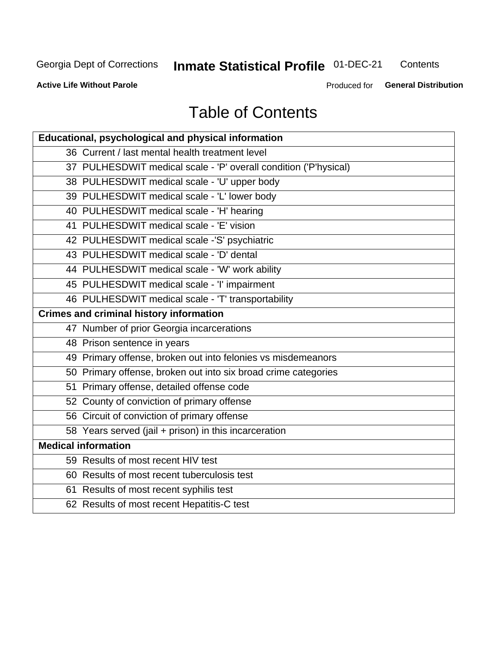# **Inmate Statistical Profile 01-DEC-21**

Contents

**Active Life Without Parole** 

Produced for General Distribution

# **Table of Contents**

| Educational, psychological and physical information              |
|------------------------------------------------------------------|
| 36 Current / last mental health treatment level                  |
| 37 PULHESDWIT medical scale - 'P' overall condition ('P'hysical) |
| 38 PULHESDWIT medical scale - 'U' upper body                     |
| 39 PULHESDWIT medical scale - 'L' lower body                     |
| 40 PULHESDWIT medical scale - 'H' hearing                        |
| 41 PULHESDWIT medical scale - 'E' vision                         |
| 42 PULHESDWIT medical scale -'S' psychiatric                     |
| 43 PULHESDWIT medical scale - 'D' dental                         |
| 44 PULHESDWIT medical scale - 'W' work ability                   |
| 45 PULHESDWIT medical scale - 'I' impairment                     |
| 46 PULHESDWIT medical scale - 'T' transportability               |
| <b>Crimes and criminal history information</b>                   |
| 47 Number of prior Georgia incarcerations                        |
| 48 Prison sentence in years                                      |
| 49 Primary offense, broken out into felonies vs misdemeanors     |
| 50 Primary offense, broken out into six broad crime categories   |
| 51 Primary offense, detailed offense code                        |
| 52 County of conviction of primary offense                       |
| 56 Circuit of conviction of primary offense                      |
| 58 Years served (jail + prison) in this incarceration            |
| <b>Medical information</b>                                       |
| 59 Results of most recent HIV test                               |
| 60 Results of most recent tuberculosis test                      |
| 61 Results of most recent syphilis test                          |
| 62 Results of most recent Hepatitis-C test                       |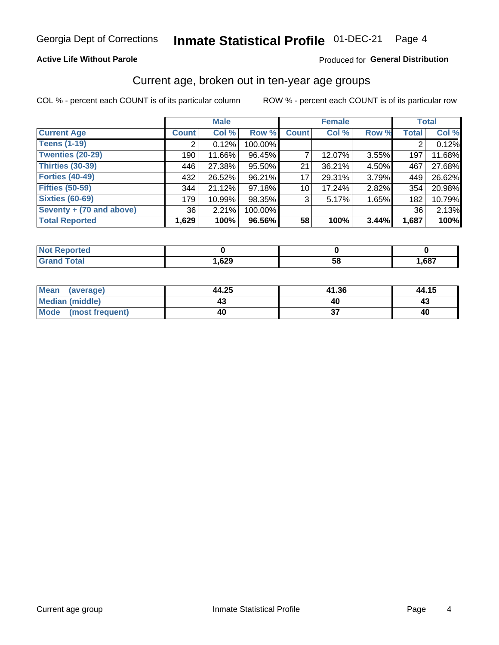### **Active Life Without Parole**

### Produced for General Distribution

### Current age, broken out in ten-year age groups

COL % - percent each COUNT is of its particular column

|                          | <b>Male</b>     |        |         | <b>Female</b>   |        |       | <b>Total</b> |        |
|--------------------------|-----------------|--------|---------|-----------------|--------|-------|--------------|--------|
| <b>Current Age</b>       | <b>Count</b>    | Col %  | Row %   | <b>Count</b>    | Col %  | Row % | <b>Total</b> | Col %  |
| <b>Teens (1-19)</b>      | ⌒               | 0.12%  | 100.00% |                 |        |       | 2            | 0.12%  |
| <b>Twenties (20-29)</b>  | 190             | 11.66% | 96.45%  |                 | 12.07% | 3.55% | 197          | 11.68% |
| Thirties (30-39)         | 446             | 27.38% | 95.50%  | 21              | 36.21% | 4.50% | 467          | 27.68% |
| <b>Forties (40-49)</b>   | 432             | 26.52% | 96.21%  | 17              | 29.31% | 3.79% | 449          | 26.62% |
| <b>Fifties (50-59)</b>   | 344             | 21.12% | 97.18%  | 10 <sup>1</sup> | 17.24% | 2.82% | 354          | 20.98% |
| <b>Sixties (60-69)</b>   | 179             | 10.99% | 98.35%  | 3               | 5.17%  | 1.65% | 182          | 10.79% |
| Seventy + (70 and above) | 36 <sup>1</sup> | 2.21%  | 100.00% |                 |        |       | 36           | 2.13%  |
| <b>Total Reported</b>    | 1,629           | 100%   | 96.56%  | 58              | 100%   | 3.44% | 1,687        | 100%   |

| <b>Not Reported</b> |      |    |      |
|---------------------|------|----|------|
| <b>Total</b>        | ,629 | 58 | ,687 |

| Mean (average)       | 44.25 | 41.36 | 44.15 |
|----------------------|-------|-------|-------|
| Median (middle)      |       |       | 43    |
| Mode (most frequent) | 40    |       | 40    |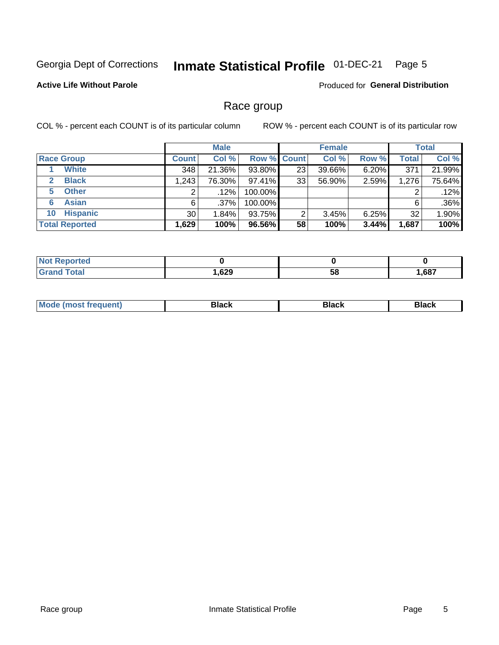#### Inmate Statistical Profile 01-DEC-21 Page 5

### **Active Life Without Parole**

Produced for General Distribution

### Race group

COL % - percent each COUNT is of its particular column

|                              | <b>Male</b>  |         |                    | <b>Female</b> |        |       | <b>Total</b> |        |
|------------------------------|--------------|---------|--------------------|---------------|--------|-------|--------------|--------|
| <b>Race Group</b>            | <b>Count</b> | Col %   | <b>Row % Count</b> |               | Col %  | Row % | <b>Total</b> | Col %  |
| <b>White</b>                 | 348          | 21.36%  | 93.80%             | 23            | 39.66% | 6.20% | 371          | 21.99% |
| <b>Black</b><br>$\mathbf{2}$ | 1,243        | 76.30%  | $97.41\%$          | 33            | 56.90% | 2.59% | 1,276        | 75.64% |
| <b>Other</b><br>5.           |              | $.12\%$ | 100.00%            |               |        |       | 2            | .12%   |
| <b>Asian</b><br>6            | 6            | $.37\%$ | 100.00%            |               |        |       | 6            | .36%   |
| <b>Hispanic</b><br>10        | 30           | 1.84%   | 93.75%             | 2             | 3.45%  | 6.25% | 32           | 1.90%  |
| <b>Total Reported</b>        | 1,629        | 100%    | 96.56%             | 58            | 100%   | 3.44% | 1,687        | 100%   |

| rted         |      |    |      |
|--------------|------|----|------|
| <b>Total</b> | ,629 | ၁၀ | ,687 |

| –•••• |  | M |  |  |  |
|-------|--|---|--|--|--|
|-------|--|---|--|--|--|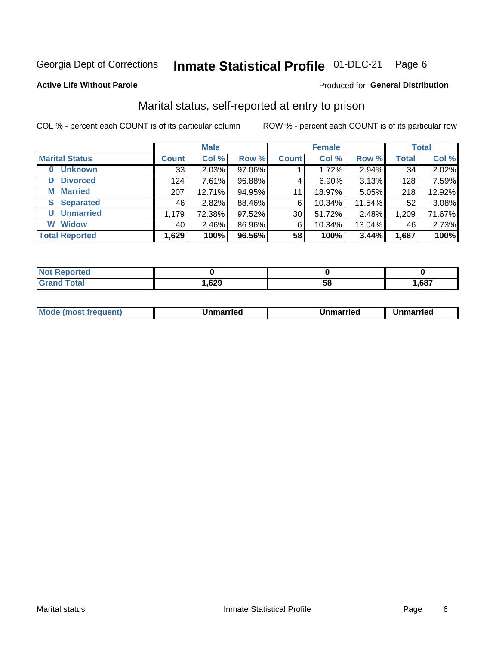#### Inmate Statistical Profile 01-DEC-21 Page 6

#### **Active Life Without Parole**

### Produced for General Distribution

# Marital status, self-reported at entry to prison

COL % - percent each COUNT is of its particular column

|                            | <b>Male</b>  |        |        | <b>Female</b>   |        |        | <b>Total</b> |        |
|----------------------------|--------------|--------|--------|-----------------|--------|--------|--------------|--------|
| <b>Marital Status</b>      | <b>Count</b> | Col %  | Row %  | <b>Count</b>    | Col %  | Row %  | <b>Total</b> | Col %  |
| <b>Unknown</b><br>$\bf{0}$ | 33           | 2.03%  | 97.06% |                 | 1.72%  | 2.94%  | 34           | 2.02%  |
| <b>Divorced</b><br>D       | 124          | 7.61%  | 96.88% | 4               | 6.90%  | 3.13%  | 128          | 7.59%  |
| <b>Married</b><br>М        | 207          | 12.71% | 94.95% | 11              | 18.97% | 5.05%  | 218          | 12.92% |
| <b>Separated</b><br>S.     | 46           | 2.82%  | 88.46% | 6               | 10.34% | 11.54% | 52           | 3.08%  |
| <b>Unmarried</b><br>U      | 1,179        | 72.38% | 97.52% | 30 <sup>2</sup> | 51.72% | 2.48%  | 1,209        | 71.67% |
| <b>Widow</b><br>W          | 40           | 2.46%  | 86.96% | 6               | 10.34% | 13.04% | 46           | 2.73%  |
| <b>Total Reported</b>      | 1,629        | 100%   | 96.56% | 58              | 100%   | 3.44%  | 1,687        | 100%   |

| prted<br>NOT RADO |        |    |       |
|-------------------|--------|----|-------|
| <b>Total</b>      | 629, ا | ວດ | 1,687 |

|  | M | . | Unmarried | າmarried<br>______ |
|--|---|---|-----------|--------------------|
|--|---|---|-----------|--------------------|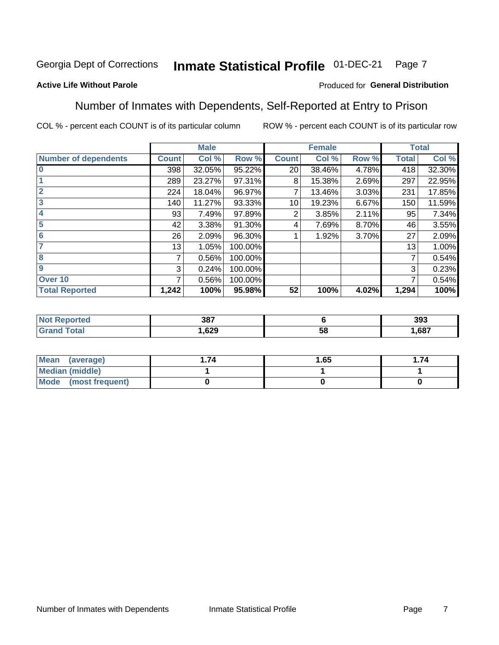#### Inmate Statistical Profile 01-DEC-21 Page 7

### **Active Life Without Parole**

### Produced for General Distribution

### Number of Inmates with Dependents, Self-Reported at Entry to Prison

COL % - percent each COUNT is of its particular column

|                             |              | <b>Male</b> |         |              | <b>Female</b> |       |                 | <b>Total</b> |
|-----------------------------|--------------|-------------|---------|--------------|---------------|-------|-----------------|--------------|
| <b>Number of dependents</b> | <b>Count</b> | Col %       | Row %   | <b>Count</b> | Col %         | Row % | <b>Total</b>    | Col %        |
| $\bf{0}$                    | 398          | 32.05%      | 95.22%  | 20           | 38.46%        | 4.78% | 418             | 32.30%       |
|                             | 289          | 23.27%      | 97.31%  | 8            | 15.38%        | 2.69% | 297             | 22.95%       |
| $\overline{2}$              | 224          | 18.04%      | 96.97%  |              | 13.46%        | 3.03% | 231             | 17.85%       |
| 3                           | 140          | 11.27%      | 93.33%  | 10           | 19.23%        | 6.67% | 150             | 11.59%       |
| 4                           | 93           | 7.49%       | 97.89%  | 2            | 3.85%         | 2.11% | 95              | 7.34%        |
| 5                           | 42           | 3.38%       | 91.30%  | 4            | 7.69%         | 8.70% | 46              | 3.55%        |
| 6                           | 26           | 2.09%       | 96.30%  |              | 1.92%         | 3.70% | 27              | 2.09%        |
| 7                           | 13           | 1.05%       | 100.00% |              |               |       | 13 <sub>1</sub> | 1.00%        |
| 8                           | 7            | 0.56%       | 100.00% |              |               |       | 7               | 0.54%        |
| $\boldsymbol{9}$            | 3            | 0.24%       | 100.00% |              |               |       | 3               | 0.23%        |
| Over <sub>10</sub>          | 7            | 0.56%       | 100.00% |              |               |       | 7               | 0.54%        |
| <b>Total Reported</b>       | 1,242        | 100%        | 95.98%  | 52           | 100%          | 4.02% | 1,294           | 100%         |

| 387  |           | 393  |
|------|-----------|------|
| .629 | E C<br>ວເ | .687 |

| <b>Mean</b><br>(average) | 1.65 | .74 |
|--------------------------|------|-----|
| Median (middle)          |      |     |
| Mode<br>(most frequent)  |      |     |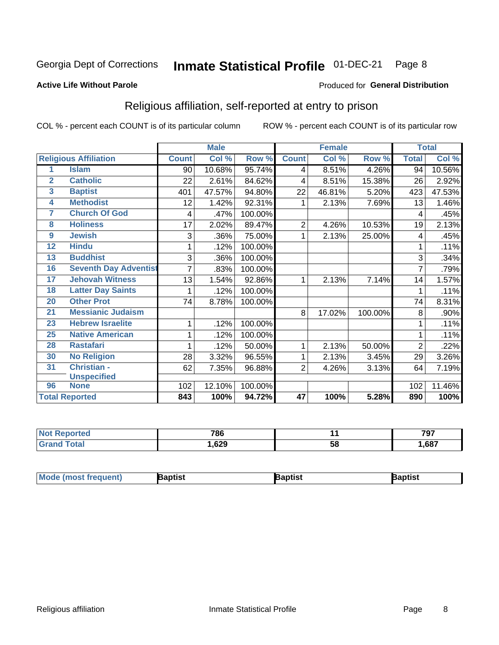#### Inmate Statistical Profile 01-DEC-21 Page 8

#### **Active Life Without Parole**

#### Produced for General Distribution

# Religious affiliation, self-reported at entry to prison

COL % - percent each COUNT is of its particular column

|                         |                              |              | <b>Male</b> |         |                | <b>Female</b> |         |                | <b>Total</b> |
|-------------------------|------------------------------|--------------|-------------|---------|----------------|---------------|---------|----------------|--------------|
|                         | <b>Religious Affiliation</b> | <b>Count</b> | Col %       | Row %   | <b>Count</b>   | Col %         | Row %   | <b>Total</b>   | Col %        |
| 1                       | <b>Islam</b>                 | 90           | 10.68%      | 95.74%  | 4              | 8.51%         | 4.26%   | 94             | 10.56%       |
| $\overline{2}$          | <b>Catholic</b>              | 22           | 2.61%       | 84.62%  | 4              | 8.51%         | 15.38%  | 26             | 2.92%        |
| $\overline{\mathbf{3}}$ | <b>Baptist</b>               | 401          | 47.57%      | 94.80%  | 22             | 46.81%        | 5.20%   | 423            | 47.53%       |
| $\overline{\mathbf{4}}$ | <b>Methodist</b>             | 12           | 1.42%       | 92.31%  |                | 2.13%         | 7.69%   | 13             | 1.46%        |
| 7                       | <b>Church Of God</b>         | 4            | .47%        | 100.00% |                |               |         | 4              | .45%         |
| 8                       | <b>Holiness</b>              | 17           | 2.02%       | 89.47%  | 2              | 4.26%         | 10.53%  | 19             | 2.13%        |
| 9                       | <b>Jewish</b>                | 3            | .36%        | 75.00%  | 1              | 2.13%         | 25.00%  | 4              | .45%         |
| $\overline{12}$         | <b>Hindu</b>                 | 1            | .12%        | 100.00% |                |               |         |                | .11%         |
| 13                      | <b>Buddhist</b>              | 3            | .36%        | 100.00% |                |               |         | 3              | .34%         |
| 16                      | <b>Seventh Day Adventist</b> |              | .83%        | 100.00% |                |               |         | 7              | .79%         |
| 17                      | <b>Jehovah Witness</b>       | 13           | 1.54%       | 92.86%  |                | 2.13%         | 7.14%   | 14             | 1.57%        |
| 18                      | <b>Latter Day Saints</b>     | 1            | .12%        | 100.00% |                |               |         | 1              | .11%         |
| 20                      | <b>Other Prot</b>            | 74           | 8.78%       | 100.00% |                |               |         | 74             | 8.31%        |
| 21                      | <b>Messianic Judaism</b>     |              |             |         | 8              | 17.02%        | 100.00% | 8              | .90%         |
| 23                      | <b>Hebrew Israelite</b>      | 1            | .12%        | 100.00% |                |               |         |                | .11%         |
| 25                      | <b>Native American</b>       | 1            | .12%        | 100.00% |                |               |         |                | .11%         |
| 28                      | <b>Rastafari</b>             | 1            | .12%        | 50.00%  | 1              | 2.13%         | 50.00%  | $\overline{2}$ | .22%         |
| 30                      | <b>No Religion</b>           | 28           | 3.32%       | 96.55%  | 1              | 2.13%         | 3.45%   | 29             | 3.26%        |
| 31                      | Christian -                  | 62           | 7.35%       | 96.88%  | $\overline{2}$ | 4.26%         | 3.13%   | 64             | 7.19%        |
|                         | <b>Unspecified</b>           |              |             |         |                |               |         |                |              |
| 96                      | <b>None</b>                  | 102          | 12.10%      | 100.00% |                |               |         | 102            | 11.46%       |
|                         | <b>Total Reported</b>        | 843          | 100%        | 94.72%  | 47             | 100%          | 5.28%   | 890            | 100%         |

| τeο | 786   |     | 707  |
|-----|-------|-----|------|
|     | .,629 | ິບເ | ,687 |

| <b>Mode (most frequent)</b> | រaptist | Baptist | Baptist |
|-----------------------------|---------|---------|---------|
|-----------------------------|---------|---------|---------|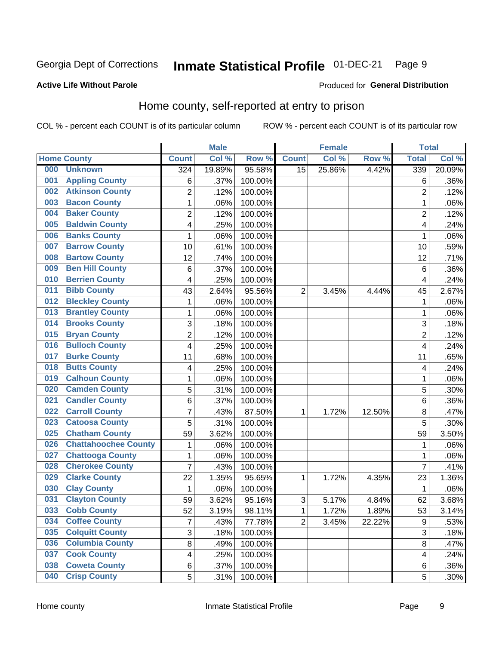#### Inmate Statistical Profile 01-DEC-21 Page 9

### **Active Life Without Parole**

#### Produced for General Distribution

# Home county, self-reported at entry to prison

COL % - percent each COUNT is of its particular column

|     |                             |                         | <b>Male</b> |         |                 | <b>Female</b> |        | <b>Total</b>            |        |
|-----|-----------------------------|-------------------------|-------------|---------|-----------------|---------------|--------|-------------------------|--------|
|     | <b>Home County</b>          | <b>Count</b>            | Col %       | Row %   | <b>Count</b>    | Col %         | Row %  | <b>Total</b>            | Col %  |
| 000 | <b>Unknown</b>              | 324                     | 19.89%      | 95.58%  | $\overline{15}$ | 25.86%        | 4.42%  | 339                     | 20.09% |
| 001 | <b>Appling County</b>       | 6                       | .37%        | 100.00% |                 |               |        | 6                       | .36%   |
| 002 | <b>Atkinson County</b>      | $\overline{2}$          | .12%        | 100.00% |                 |               |        | $\overline{2}$          | .12%   |
| 003 | <b>Bacon County</b>         | $\mathbf 1$             | .06%        | 100.00% |                 |               |        | 1                       | .06%   |
| 004 | <b>Baker County</b>         | $\overline{2}$          | .12%        | 100.00% |                 |               |        | $\overline{2}$          | .12%   |
| 005 | <b>Baldwin County</b>       | 4                       | .25%        | 100.00% |                 |               |        | 4                       | .24%   |
| 006 | <b>Banks County</b>         | $\mathbf{1}$            | .06%        | 100.00% |                 |               |        | 1                       | .06%   |
| 007 | <b>Barrow County</b>        | 10                      | .61%        | 100.00% |                 |               |        | 10                      | .59%   |
| 008 | <b>Bartow County</b>        | 12                      | .74%        | 100.00% |                 |               |        | 12                      | .71%   |
| 009 | <b>Ben Hill County</b>      | 6                       | .37%        | 100.00% |                 |               |        | 6                       | .36%   |
| 010 | <b>Berrien County</b>       | 4                       | .25%        | 100.00% |                 |               |        | $\overline{\mathbf{4}}$ | .24%   |
| 011 | <b>Bibb County</b>          | 43                      | 2.64%       | 95.56%  | $\overline{2}$  | 3.45%         | 4.44%  | 45                      | 2.67%  |
| 012 | <b>Bleckley County</b>      | 1                       | .06%        | 100.00% |                 |               |        | 1                       | .06%   |
| 013 | <b>Brantley County</b>      | $\mathbf 1$             | .06%        | 100.00% |                 |               |        | 1                       | .06%   |
| 014 | <b>Brooks County</b>        | 3                       | .18%        | 100.00% |                 |               |        | 3                       | .18%   |
| 015 | <b>Bryan County</b>         | $\overline{2}$          | .12%        | 100.00% |                 |               |        | $\overline{2}$          | .12%   |
| 016 | <b>Bulloch County</b>       | 4                       | .25%        | 100.00% |                 |               |        | $\overline{4}$          | .24%   |
| 017 | <b>Burke County</b>         | 11                      | .68%        | 100.00% |                 |               |        | 11                      | .65%   |
| 018 | <b>Butts County</b>         | 4                       | .25%        | 100.00% |                 |               |        | 4                       | .24%   |
| 019 | <b>Calhoun County</b>       | $\mathbf 1$             | .06%        | 100.00% |                 |               |        | 1                       | .06%   |
| 020 | <b>Camden County</b>        | 5                       | .31%        | 100.00% |                 |               |        | 5                       | .30%   |
| 021 | <b>Candler County</b>       | 6                       | .37%        | 100.00% |                 |               |        | 6                       | .36%   |
| 022 | <b>Carroll County</b>       | $\overline{7}$          | .43%        | 87.50%  | 1               | 1.72%         | 12.50% | 8                       | .47%   |
| 023 | <b>Catoosa County</b>       | 5                       | .31%        | 100.00% |                 |               |        | 5                       | .30%   |
| 025 | <b>Chatham County</b>       | 59                      | 3.62%       | 100.00% |                 |               |        | 59                      | 3.50%  |
| 026 | <b>Chattahoochee County</b> | $\mathbf 1$             | .06%        | 100.00% |                 |               |        | 1                       | .06%   |
| 027 | <b>Chattooga County</b>     | $\mathbf 1$             | .06%        | 100.00% |                 |               |        | 1                       | .06%   |
| 028 | <b>Cherokee County</b>      | 7                       | .43%        | 100.00% |                 |               |        | $\overline{7}$          | .41%   |
| 029 | <b>Clarke County</b>        | 22                      | 1.35%       | 95.65%  | 1               | 1.72%         | 4.35%  | 23                      | 1.36%  |
| 030 | <b>Clay County</b>          | $\mathbf{1}$            | .06%        | 100.00% |                 |               |        | $\mathbf 1$             | .06%   |
| 031 | <b>Clayton County</b>       | 59                      | 3.62%       | 95.16%  | $\mathsf 3$     | 5.17%         | 4.84%  | 62                      | 3.68%  |
| 033 | <b>Cobb County</b>          | 52                      | 3.19%       | 98.11%  | 1               | 1.72%         | 1.89%  | 53                      | 3.14%  |
| 034 | <b>Coffee County</b>        | $\overline{7}$          | .43%        | 77.78%  | $\overline{2}$  | 3.45%         | 22.22% | $\boldsymbol{9}$        | .53%   |
| 035 | <b>Colquitt County</b>      | 3                       | .18%        | 100.00% |                 |               |        | $\overline{3}$          | .18%   |
| 036 | <b>Columbia County</b>      | 8                       | .49%        | 100.00% |                 |               |        | 8                       | .47%   |
| 037 | <b>Cook County</b>          | $\overline{\mathbf{4}}$ | .25%        | 100.00% |                 |               |        | 4                       | .24%   |
| 038 | <b>Coweta County</b>        | 6                       | .37%        | 100.00% |                 |               |        | 6                       | .36%   |
| 040 | <b>Crisp County</b>         | 5                       | .31%        | 100.00% |                 |               |        | 5                       | .30%   |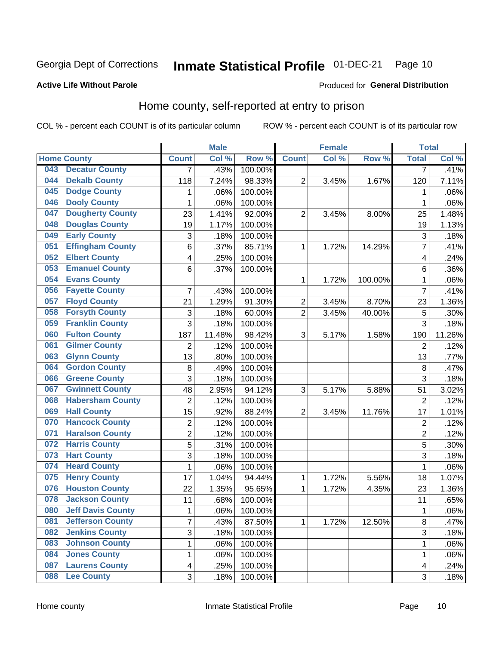#### Inmate Statistical Profile 01-DEC-21 Page 10

#### **Active Life Without Parole**

#### Produced for General Distribution

# Home county, self-reported at entry to prison

COL % - percent each COUNT is of its particular column

|     |                          |                           | <b>Male</b> |         |                | <b>Female</b> |         | <b>Total</b>   |        |
|-----|--------------------------|---------------------------|-------------|---------|----------------|---------------|---------|----------------|--------|
|     | <b>Home County</b>       | <b>Count</b>              | Col %       | Row %   | <b>Count</b>   | Col %         | Row %   | <b>Total</b>   | Col%   |
| 043 | <b>Decatur County</b>    | $\overline{7}$            | .43%        | 100.00% |                |               |         | 7              | .41%   |
| 044 | <b>Dekalb County</b>     | 118                       | 7.24%       | 98.33%  | $\overline{c}$ | 3.45%         | 1.67%   | 120            | 7.11%  |
| 045 | <b>Dodge County</b>      | 1                         | .06%        | 100.00% |                |               |         | 1              | .06%   |
| 046 | <b>Dooly County</b>      | 1                         | .06%        | 100.00% |                |               |         | 1              | .06%   |
| 047 | <b>Dougherty County</b>  | 23                        | 1.41%       | 92.00%  | $\overline{2}$ | 3.45%         | 8.00%   | 25             | 1.48%  |
| 048 | <b>Douglas County</b>    | 19                        | 1.17%       | 100.00% |                |               |         | 19             | 1.13%  |
| 049 | <b>Early County</b>      | $\ensuremath{\mathsf{3}}$ | .18%        | 100.00% |                |               |         | 3              | .18%   |
| 051 | <b>Effingham County</b>  | 6                         | .37%        | 85.71%  | 1              | 1.72%         | 14.29%  | 7              | .41%   |
| 052 | <b>Elbert County</b>     | $\overline{\mathbf{4}}$   | .25%        | 100.00% |                |               |         | 4              | .24%   |
| 053 | <b>Emanuel County</b>    | 6                         | .37%        | 100.00% |                |               |         | 6              | .36%   |
| 054 | <b>Evans County</b>      |                           |             |         | 1              | 1.72%         | 100.00% | 1              | .06%   |
| 056 | <b>Fayette County</b>    | 7                         | .43%        | 100.00% |                |               |         | 7              | .41%   |
| 057 | <b>Floyd County</b>      | 21                        | 1.29%       | 91.30%  | 2              | 3.45%         | 8.70%   | 23             | 1.36%  |
| 058 | <b>Forsyth County</b>    | $\ensuremath{\mathsf{3}}$ | .18%        | 60.00%  | $\overline{2}$ | 3.45%         | 40.00%  | 5              | .30%   |
| 059 | <b>Franklin County</b>   | 3                         | .18%        | 100.00% |                |               |         | 3              | .18%   |
| 060 | <b>Fulton County</b>     | 187                       | 11.48%      | 98.42%  | 3              | 5.17%         | 1.58%   | 190            | 11.26% |
| 061 | <b>Gilmer County</b>     | 2                         | .12%        | 100.00% |                |               |         | $\overline{2}$ | .12%   |
| 063 | <b>Glynn County</b>      | 13                        | .80%        | 100.00% |                |               |         | 13             | .77%   |
| 064 | <b>Gordon County</b>     | 8                         | .49%        | 100.00% |                |               |         | $\bf 8$        | .47%   |
| 066 | <b>Greene County</b>     | 3                         | .18%        | 100.00% |                |               |         | 3              | .18%   |
| 067 | <b>Gwinnett County</b>   | 48                        | 2.95%       | 94.12%  | 3              | 5.17%         | 5.88%   | 51             | 3.02%  |
| 068 | <b>Habersham County</b>  | $\overline{2}$            | .12%        | 100.00% |                |               |         | $\overline{2}$ | .12%   |
| 069 | <b>Hall County</b>       | 15                        | .92%        | 88.24%  | $\overline{c}$ | 3.45%         | 11.76%  | 17             | 1.01%  |
| 070 | <b>Hancock County</b>    | $\overline{2}$            | .12%        | 100.00% |                |               |         | $\overline{2}$ | .12%   |
| 071 | <b>Haralson County</b>   | $\overline{c}$            | .12%        | 100.00% |                |               |         | $\overline{c}$ | .12%   |
| 072 | <b>Harris County</b>     | 5                         | .31%        | 100.00% |                |               |         | 5              | .30%   |
| 073 | <b>Hart County</b>       | 3                         | .18%        | 100.00% |                |               |         | 3              | .18%   |
| 074 | <b>Heard County</b>      | $\mathbf 1$               | .06%        | 100.00% |                |               |         | 1              | .06%   |
| 075 | <b>Henry County</b>      | 17                        | 1.04%       | 94.44%  | 1              | 1.72%         | 5.56%   | 18             | 1.07%  |
| 076 | <b>Houston County</b>    | 22                        | 1.35%       | 95.65%  | 1              | 1.72%         | 4.35%   | 23             | 1.36%  |
| 078 | <b>Jackson County</b>    | 11                        | .68%        | 100.00% |                |               |         | 11             | .65%   |
| 080 | <b>Jeff Davis County</b> | 1                         | .06%        | 100.00% |                |               |         | 1              | .06%   |
| 081 | <b>Jefferson County</b>  | $\overline{7}$            | .43%        | 87.50%  | $\mathbf{1}$   | 1.72%         | 12.50%  | 8              | .47%   |
| 082 | <b>Jenkins County</b>    | 3                         | .18%        | 100.00% |                |               |         | 3              | .18%   |
| 083 | <b>Johnson County</b>    | $\mathbf 1$               | .06%        | 100.00% |                |               |         | 1              | .06%   |
| 084 | <b>Jones County</b>      | 1                         | .06%        | 100.00% |                |               |         | 1              | .06%   |
| 087 | <b>Laurens County</b>    | $\overline{\mathbf{4}}$   | .25%        | 100.00% |                |               |         | 4              | .24%   |
| 088 | <b>Lee County</b>        | 3                         | .18%        | 100.00% |                |               |         | 3              | .18%   |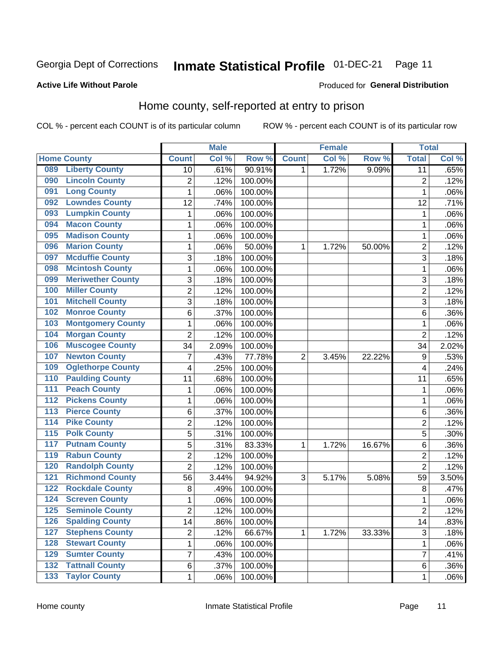#### Inmate Statistical Profile 01-DEC-21 Page 11

#### **Active Life Without Parole**

#### Produced for General Distribution

# Home county, self-reported at entry to prison

COL % - percent each COUNT is of its particular column

|                  |                          |                | <b>Male</b> |                  |                | <b>Female</b> |        | <b>Total</b>    |       |
|------------------|--------------------------|----------------|-------------|------------------|----------------|---------------|--------|-----------------|-------|
|                  | <b>Home County</b>       | <b>Count</b>   | Col%        | Row <sup>%</sup> | <b>Count</b>   | Col %         | Row %  | <b>Total</b>    | Col % |
| 089              | <b>Liberty County</b>    | 10             | .61%        | 90.91%           | 1              | 1.72%         | 9.09%  | $\overline{11}$ | .65%  |
| 090              | <b>Lincoln County</b>    | $\overline{2}$ | .12%        | 100.00%          |                |               |        | $\overline{2}$  | .12%  |
| 091              | <b>Long County</b>       | $\mathbf 1$    | .06%        | 100.00%          |                |               |        | 1               | .06%  |
| 092              | <b>Lowndes County</b>    | 12             | .74%        | 100.00%          |                |               |        | 12              | .71%  |
| 093              | <b>Lumpkin County</b>    | 1              | .06%        | 100.00%          |                |               |        | 1               | .06%  |
| 094              | <b>Macon County</b>      | 1              | .06%        | 100.00%          |                |               |        | 1               | .06%  |
| 095              | <b>Madison County</b>    | $\mathbf 1$    | .06%        | 100.00%          |                |               |        | 1               | .06%  |
| 096              | <b>Marion County</b>     | 1              | .06%        | 50.00%           | 1              | 1.72%         | 50.00% | $\overline{c}$  | .12%  |
| 097              | <b>Mcduffie County</b>   | 3              | .18%        | 100.00%          |                |               |        | 3               | .18%  |
| 098              | <b>Mcintosh County</b>   | $\mathbf 1$    | .06%        | 100.00%          |                |               |        | 1               | .06%  |
| 099              | <b>Meriwether County</b> | 3              | .18%        | 100.00%          |                |               |        | 3               | .18%  |
| 100              | <b>Miller County</b>     | $\overline{2}$ | .12%        | 100.00%          |                |               |        | $\overline{2}$  | .12%  |
| 101              | <b>Mitchell County</b>   | 3              | .18%        | 100.00%          |                |               |        | 3               | .18%  |
| 102              | <b>Monroe County</b>     | 6              | .37%        | 100.00%          |                |               |        | 6               | .36%  |
| 103              | <b>Montgomery County</b> | $\mathbf 1$    | .06%        | 100.00%          |                |               |        | 1               | .06%  |
| 104              | <b>Morgan County</b>     | $\overline{2}$ | .12%        | 100.00%          |                |               |        | $\overline{2}$  | .12%  |
| 106              | <b>Muscogee County</b>   | 34             | 2.09%       | 100.00%          |                |               |        | 34              | 2.02% |
| 107              | <b>Newton County</b>     | 7              | .43%        | 77.78%           | $\overline{2}$ | 3.45%         | 22.22% | 9               | .53%  |
| 109              | <b>Oglethorpe County</b> | 4              | .25%        | 100.00%          |                |               |        | 4               | .24%  |
| 110              | <b>Paulding County</b>   | 11             | .68%        | 100.00%          |                |               |        | 11              | .65%  |
| 111              | <b>Peach County</b>      | 1              | .06%        | 100.00%          |                |               |        | 1               | .06%  |
| $\overline{112}$ | <b>Pickens County</b>    | $\mathbf 1$    | .06%        | 100.00%          |                |               |        | 1               | .06%  |
| 113              | <b>Pierce County</b>     | 6              | .37%        | 100.00%          |                |               |        | 6               | .36%  |
| 114              | <b>Pike County</b>       | $\overline{2}$ | .12%        | 100.00%          |                |               |        | $\overline{2}$  | .12%  |
| $\overline{115}$ | <b>Polk County</b>       | 5              | .31%        | 100.00%          |                |               |        | 5               | .30%  |
| 117              | <b>Putnam County</b>     | 5              | .31%        | 83.33%           | 1              | 1.72%         | 16.67% | 6               | .36%  |
| 119              | <b>Rabun County</b>      | $\overline{c}$ | .12%        | 100.00%          |                |               |        | $\overline{c}$  | .12%  |
| 120              | <b>Randolph County</b>   | $\overline{2}$ | .12%        | 100.00%          |                |               |        | $\overline{2}$  | .12%  |
| 121              | <b>Richmond County</b>   | 56             | 3.44%       | 94.92%           | 3              | 5.17%         | 5.08%  | 59              | 3.50% |
| 122              | <b>Rockdale County</b>   | 8              | .49%        | 100.00%          |                |               |        | $\,8\,$         | .47%  |
| 124              | <b>Screven County</b>    | 1              | .06%        | 100.00%          |                |               |        | 1               | .06%  |
| 125              | <b>Seminole County</b>   | 2              | .12%        | 100.00%          |                |               |        | $\overline{2}$  | .12%  |
| 126              | <b>Spalding County</b>   | 14             | .86%        | 100.00%          |                |               |        | 14              | .83%  |
| 127              | <b>Stephens County</b>   | $\overline{2}$ | .12%        | 66.67%           | 1              | 1.72%         | 33.33% | 3               | .18%  |
| 128              | <b>Stewart County</b>    | $\mathbf{1}$   | .06%        | 100.00%          |                |               |        | 1               | .06%  |
| 129              | <b>Sumter County</b>     | $\overline{7}$ | .43%        | 100.00%          |                |               |        | 7               | .41%  |
| 132              | <b>Tattnall County</b>   | 6              | .37%        | 100.00%          |                |               |        | 6               | .36%  |
| 133              | <b>Taylor County</b>     | 1              | .06%        | 100.00%          |                |               |        | 1               | .06%  |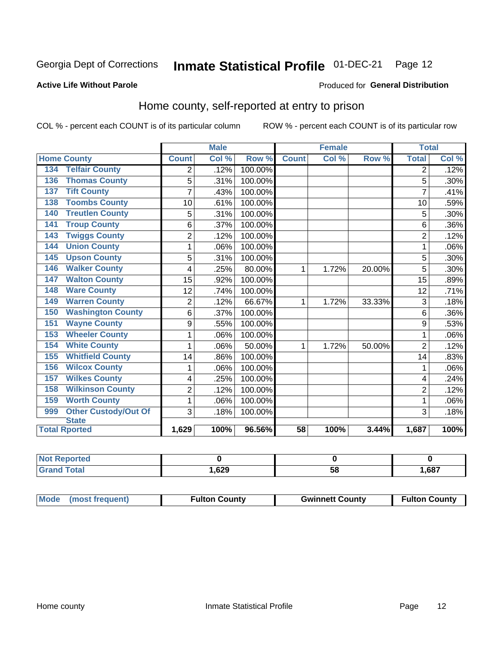#### Inmate Statistical Profile 01-DEC-21 Page 12

### **Active Life Without Parole**

#### Produced for General Distribution

### Home county, self-reported at entry to prison

COL % - percent each COUNT is of its particular column

|                                    |                | <b>Male</b>                |         | <b>Female</b> |       | <b>Total</b> |                |       |
|------------------------------------|----------------|----------------------------|---------|---------------|-------|--------------|----------------|-------|
| <b>Home County</b>                 | <b>Count</b>   | $\overline{\text{Col }^9}$ | Row %   | <b>Count</b>  | Col % | Row %        | <b>Total</b>   | Col % |
| <b>Telfair County</b><br>134       | 2              | .12%                       | 100.00% |               |       |              | 2              | .12%  |
| <b>Thomas County</b><br>136        | 5              | .31%                       | 100.00% |               |       |              | 5              | .30%  |
| <b>Tift County</b><br>137          | 7              | .43%                       | 100.00% |               |       |              | 7              | .41%  |
| <b>Toombs County</b><br>138        | 10             | .61%                       | 100.00% |               |       |              | 10             | .59%  |
| <b>Treutlen County</b><br>140      | 5              | .31%                       | 100.00% |               |       |              | 5              | .30%  |
| <b>Troup County</b><br>141         | 6              | .37%                       | 100.00% |               |       |              | 6              | .36%  |
| <b>Twiggs County</b><br>143        | $\overline{2}$ | .12%                       | 100.00% |               |       |              | $\overline{2}$ | .12%  |
| <b>Union County</b><br>144         | 1              | .06%                       | 100.00% |               |       |              | 1              | .06%  |
| <b>Upson County</b><br>145         | 5              | .31%                       | 100.00% |               |       |              | 5              | .30%  |
| <b>Walker County</b><br>146        | 4              | .25%                       | 80.00%  | 1             | 1.72% | 20.00%       | 5              | .30%  |
| <b>Walton County</b><br>147        | 15             | .92%                       | 100.00% |               |       |              | 15             | .89%  |
| <b>Ware County</b><br>148          | 12             | .74%                       | 100.00% |               |       |              | 12             | .71%  |
| <b>Warren County</b><br>149        | $\overline{2}$ | .12%                       | 66.67%  | 1             | 1.72% | 33.33%       | 3              | .18%  |
| <b>Washington County</b><br>150    | 6              | .37%                       | 100.00% |               |       |              | 6              | .36%  |
| <b>Wayne County</b><br>151         | 9              | .55%                       | 100.00% |               |       |              | 9              | .53%  |
| <b>Wheeler County</b><br>153       | 1              | .06%                       | 100.00% |               |       |              | 1              | .06%  |
| <b>White County</b><br>154         | 1              | .06%                       | 50.00%  | 1             | 1.72% | 50.00%       | $\overline{2}$ | .12%  |
| <b>Whitfield County</b><br>155     | 14             | .86%                       | 100.00% |               |       |              | 14             | .83%  |
| <b>Wilcox County</b><br>156        | 1              | .06%                       | 100.00% |               |       |              | 1              | .06%  |
| <b>Wilkes County</b><br>157        | 4              | .25%                       | 100.00% |               |       |              | 4              | .24%  |
| <b>Wilkinson County</b><br>158     | $\overline{2}$ | .12%                       | 100.00% |               |       |              | $\overline{2}$ | .12%  |
| <b>Worth County</b><br>159         | 1              | .06%                       | 100.00% |               |       |              | 1              | .06%  |
| <b>Other Custody/Out Of</b><br>999 | 3              | .18%                       | 100.00% |               |       |              | 3              | .18%  |
| <b>State</b>                       |                |                            |         |               |       |              |                |       |
| <b>Total Rported</b>               | 1,629          | 100%                       | 96.56%  | 58            | 100%  | 3.44%        | 1,687          | 100%  |

| <b>Not Reported</b> |      |    |      |
|---------------------|------|----|------|
| `otal               | ,629 | ວດ | .687 |

| Mode (most frequent) | <b>Fulton County</b> | <b>Gwinnett County</b> | <b>Fulton County</b> |
|----------------------|----------------------|------------------------|----------------------|
|----------------------|----------------------|------------------------|----------------------|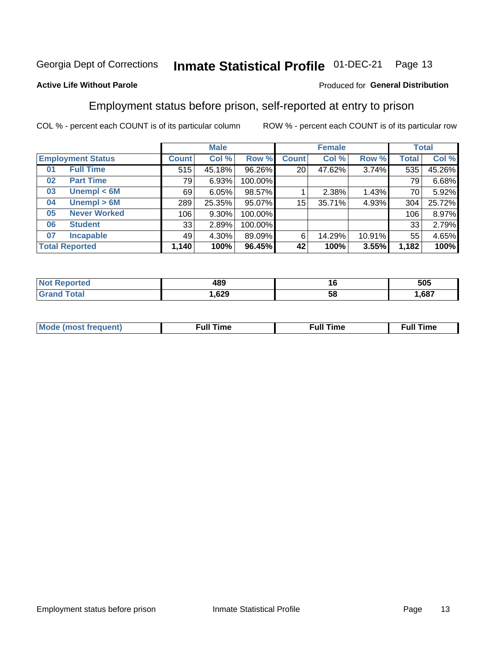#### Inmate Statistical Profile 01-DEC-21 Page 13

### **Active Life Without Parole**

### Produced for General Distribution

### Employment status before prison, self-reported at entry to prison

COL % - percent each COUNT is of its particular column

|                           |              | <b>Male</b> |         |                 | <b>Female</b> |        |              | <b>Total</b> |
|---------------------------|--------------|-------------|---------|-----------------|---------------|--------|--------------|--------------|
| <b>Employment Status</b>  | <b>Count</b> | Col %       | Row %   | <b>Count</b>    | Col %         | Row %  | <b>Total</b> | Col %        |
| <b>Full Time</b><br>01    | 515          | 45.18%      | 96.26%  | 20 <sub>1</sub> | 47.62%        | 3.74%  | 535          | 45.26%       |
| <b>Part Time</b><br>02    | 79           | 6.93%       | 100.00% |                 |               |        | 79           | 6.68%        |
| Unempl $<$ 6M<br>03       | 69           | 6.05%       | 98.57%  |                 | 2.38%         | 1.43%  | 70           | 5.92%        |
| Unempl > 6M<br>04         | 289          | 25.35%      | 95.07%  | 15              | 35.71%        | 4.93%  | 304          | 25.72%       |
| <b>Never Worked</b><br>05 | 106          | 9.30%       | 100.00% |                 |               |        | 106          | 8.97%        |
| <b>Student</b><br>06      | 33           | 2.89%       | 100.00% |                 |               |        | 33           | 2.79%        |
| <b>Incapable</b><br>07    | 49           | 4.30%       | 89.09%  | 6               | 14.29%        | 10.91% | 55           | 4.65%        |
| <b>Total Reported</b>     | 1,140        | 100%        | 96.45%  | 42              | 100%          | 3.55%  | 1,182        | 100%         |

| 1 R C<br>90.<br>$ -$ | 10<br>__ | 505 |
|----------------------|----------|-----|
| .629                 | ວເ       | 687 |

| Mc | ∙u∥<br>----<br>ıme | ίuΙ<br>Πmε |
|----|--------------------|------------|
|    |                    |            |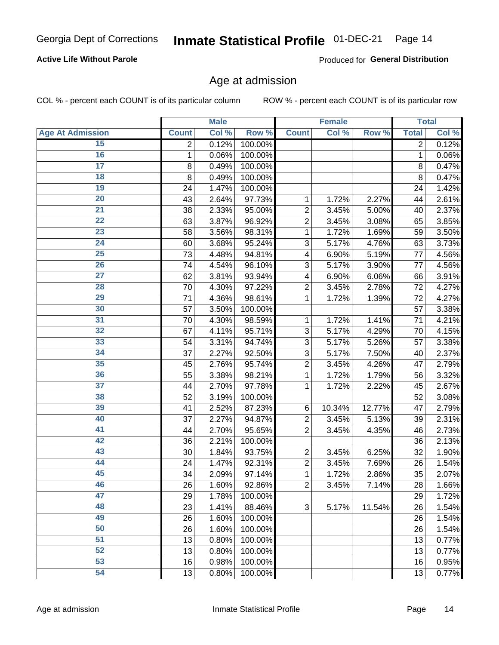### **Active Life Without Parole**

Produced for General Distribution

### Age at admission

COL % - percent each COUNT is of its particular column

|                         |              | <b>Male</b> |         |                | <b>Female</b> |        |              | <b>Total</b> |
|-------------------------|--------------|-------------|---------|----------------|---------------|--------|--------------|--------------|
| <b>Age At Admission</b> | <b>Count</b> | Col %       | Row %   | <b>Count</b>   | Col %         | Row %  | <b>Total</b> | Col %        |
| 15                      | 2            | 0.12%       | 100.00% |                |               |        | 2            | 0.12%        |
| 16                      | 1            | 0.06%       | 100.00% |                |               |        | 1            | 0.06%        |
| $\overline{17}$         | 8            | 0.49%       | 100.00% |                |               |        | 8            | 0.47%        |
| 18                      | 8            | 0.49%       | 100.00% |                |               |        | 8            | 0.47%        |
| 19                      | 24           | 1.47%       | 100.00% |                |               |        | 24           | 1.42%        |
| $\overline{20}$         | 43           | 2.64%       | 97.73%  | 1              | 1.72%         | 2.27%  | 44           | 2.61%        |
| 21                      | 38           | 2.33%       | 95.00%  | $\overline{2}$ | 3.45%         | 5.00%  | 40           | 2.37%        |
| 22                      | 63           | 3.87%       | 96.92%  | $\overline{2}$ | 3.45%         | 3.08%  | 65           | 3.85%        |
| 23                      | 58           | 3.56%       | 98.31%  | 1              | 1.72%         | 1.69%  | 59           | 3.50%        |
| 24                      | 60           | 3.68%       | 95.24%  | 3              | 5.17%         | 4.76%  | 63           | 3.73%        |
| $\overline{25}$         | 73           | 4.48%       | 94.81%  | 4              | 6.90%         | 5.19%  | 77           | 4.56%        |
| 26                      | 74           | 4.54%       | 96.10%  | 3              | 5.17%         | 3.90%  | 77           | 4.56%        |
| $\overline{27}$         | 62           | 3.81%       | 93.94%  | 4              | 6.90%         | 6.06%  | 66           | 3.91%        |
| 28                      | 70           | 4.30%       | 97.22%  | $\overline{2}$ | 3.45%         | 2.78%  | 72           | 4.27%        |
| 29                      | 71           | 4.36%       | 98.61%  | 1              | 1.72%         | 1.39%  | 72           | 4.27%        |
| 30                      | 57           | 3.50%       | 100.00% |                |               |        | 57           | 3.38%        |
| 31                      | 70           | 4.30%       | 98.59%  | 1              | 1.72%         | 1.41%  | 71           | 4.21%        |
| 32                      | 67           | 4.11%       | 95.71%  | 3              | 5.17%         | 4.29%  | 70           | 4.15%        |
| 33                      | 54           | 3.31%       | 94.74%  | 3              | 5.17%         | 5.26%  | 57           | 3.38%        |
| 34                      | 37           | 2.27%       | 92.50%  | 3              | 5.17%         | 7.50%  | 40           | 2.37%        |
| 35                      | 45           | 2.76%       | 95.74%  | $\overline{2}$ | 3.45%         | 4.26%  | 47           | 2.79%        |
| 36                      | 55           | 3.38%       | 98.21%  | 1              | 1.72%         | 1.79%  | 56           | 3.32%        |
| $\overline{37}$         | 44           | 2.70%       | 97.78%  | 1              | 1.72%         | 2.22%  | 45           | 2.67%        |
| 38                      | 52           | 3.19%       | 100.00% |                |               |        | 52           | 3.08%        |
| 39                      | 41           | 2.52%       | 87.23%  | 6              | 10.34%        | 12.77% | 47           | 2.79%        |
| 40                      | 37           | 2.27%       | 94.87%  | $\overline{2}$ | 3.45%         | 5.13%  | 39           | 2.31%        |
| 41                      | 44           | 2.70%       | 95.65%  | $\overline{2}$ | 3.45%         | 4.35%  | 46           | 2.73%        |
| 42                      | 36           | 2.21%       | 100.00% |                |               |        | 36           | 2.13%        |
| 43                      | 30           | 1.84%       | 93.75%  | $\overline{2}$ | 3.45%         | 6.25%  | 32           | 1.90%        |
| 44                      | 24           | 1.47%       | 92.31%  | $\overline{2}$ | 3.45%         | 7.69%  | 26           | 1.54%        |
| 45                      | 34           | 2.09%       | 97.14%  | 1              | 1.72%         | 2.86%  | 35           | 2.07%        |
| 46                      | 26           | 1.60%       | 92.86%  | $\overline{2}$ | 3.45%         | 7.14%  | 28           | 1.66%        |
| 47                      | 29           | 1.78%       | 100.00% |                |               |        | 29           | 1.72%        |
| 48                      | 23           | 1.41%       | 88.46%  | 3              | 5.17%         | 11.54% | 26           | 1.54%        |
| 49                      | 26           | 1.60%       | 100.00% |                |               |        | 26           | 1.54%        |
| 50                      | 26           | 1.60%       | 100.00% |                |               |        | 26           | 1.54%        |
| $\overline{51}$         | 13           | 0.80%       | 100.00% |                |               |        | 13           | 0.77%        |
| 52                      | 13           | 0.80%       | 100.00% |                |               |        | 13           | 0.77%        |
| 53                      | 16           | 0.98%       | 100.00% |                |               |        | 16           | 0.95%        |
| 54                      | 13           | 0.80%       | 100.00% |                |               |        | 13           | 0.77%        |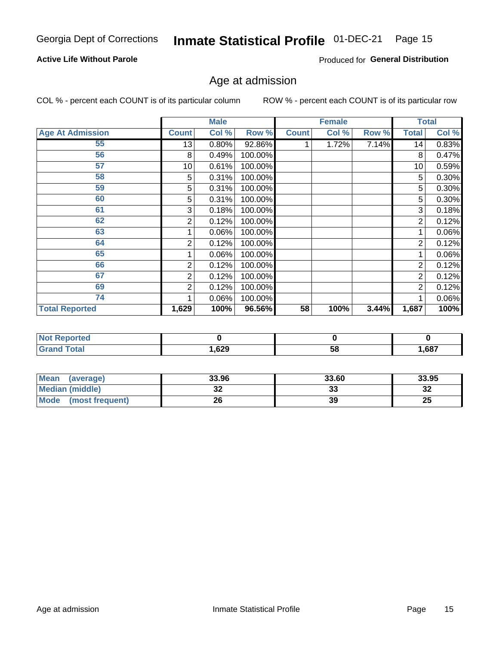### **Active Life Without Parole**

Produced for General Distribution

# Age at admission

COL % - percent each COUNT is of its particular column

|                         |              | <b>Male</b> |           |              | <b>Female</b> |       |                | <b>Total</b> |
|-------------------------|--------------|-------------|-----------|--------------|---------------|-------|----------------|--------------|
| <b>Age At Admission</b> | <b>Count</b> | Col %       | Row %     | <b>Count</b> | Col %         | Row % | <b>Total</b>   | Col %        |
| 55                      | 13           | 0.80%       | $92.86\%$ |              | 1.72%         | 7.14% | 14             | 0.83%        |
| 56                      | 8            | 0.49%       | 100.00%   |              |               |       | 8              | 0.47%        |
| 57                      | 10           | 0.61%       | 100.00%   |              |               |       | 10             | 0.59%        |
| 58                      | 5            | 0.31%       | 100.00%   |              |               |       | 5              | $0.30\%$     |
| 59                      | 5            | 0.31%       | 100.00%   |              |               |       | 5              | 0.30%        |
| 60                      | 5            | 0.31%       | 100.00%   |              |               |       | 5              | 0.30%        |
| 61                      | 3            | 0.18%       | 100.00%   |              |               |       | 3              | 0.18%        |
| 62                      | 2            | 0.12%       | 100.00%   |              |               |       | 2              | 0.12%        |
| 63                      |              | 0.06%       | 100.00%   |              |               |       |                | 0.06%        |
| 64                      | 2            | 0.12%       | 100.00%   |              |               |       | $\overline{2}$ | 0.12%        |
| 65                      |              | 0.06%       | 100.00%   |              |               |       |                | $0.06\%$     |
| 66                      | 2            | 0.12%       | 100.00%   |              |               |       | $\overline{2}$ | 0.12%        |
| 67                      | 2            | 0.12%       | 100.00%   |              |               |       | 2              | 0.12%        |
| 69                      | 2            | 0.12%       | 100.00%   |              |               |       | $\overline{2}$ | 0.12%        |
| 74                      |              | 0.06%       | 100.00%   |              |               |       |                | 0.06%        |
| <b>Total Reported</b>   | 1,629        | 100%        | 96.56%    | 58           | 100%          | 3.44% | 1,687          | 100%         |

| <b>Not Reported</b> |       |    |       |
|---------------------|-------|----|-------|
| <b>Total</b>        | .,629 | 58 | 1,687 |

| <b>Mean</b><br>(average) | 33.96    | 33.60   | 33.95   |
|--------------------------|----------|---------|---------|
| Median (middle)          | ^^<br>ЭZ | ົ<br>აა | …<br>34 |
| Mode<br>(most frequent)  | 26       | 39      | 25      |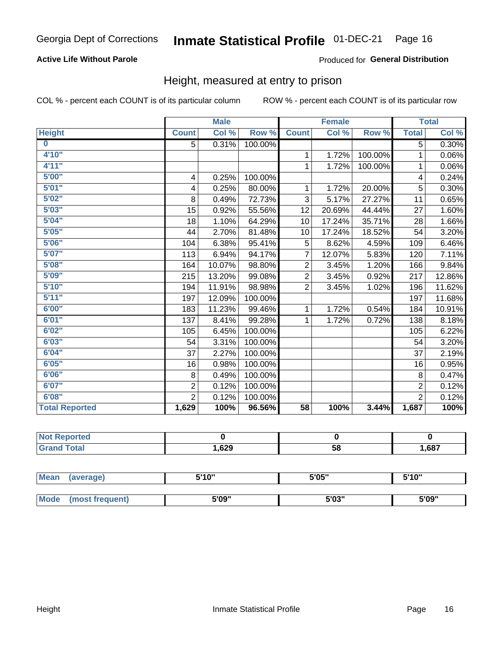### **Active Life Without Parole**

### Produced for General Distribution

### Height, measured at entry to prison

COL % - percent each COUNT is of its particular column

|                         |                | <b>Male</b> |         |                 | <b>Female</b> |         |                | <b>Total</b> |
|-------------------------|----------------|-------------|---------|-----------------|---------------|---------|----------------|--------------|
| <b>Height</b>           | <b>Count</b>   | Col %       | Row %   | <b>Count</b>    | Col %         | Row %   | <b>Total</b>   | Col %        |
| $\overline{\mathbf{0}}$ | 5              | 0.31%       | 100.00% |                 |               |         | 5              | 0.30%        |
| 4'10"                   |                |             |         | 1               | 1.72%         | 100.00% | $\mathbf{1}$   | 0.06%        |
| 4'11''                  |                |             |         | 1               | 1.72%         | 100.00% | 1              | 0.06%        |
| 5'00''                  | 4              | 0.25%       | 100.00% |                 |               |         | 4              | 0.24%        |
| 5'01"                   | 4              | 0.25%       | 80.00%  | 1               | 1.72%         | 20.00%  | 5              | 0.30%        |
| 5'02"                   | 8              | 0.49%       | 72.73%  | 3               | 5.17%         | 27.27%  | 11             | 0.65%        |
| 5'03''                  | 15             | 0.92%       | 55.56%  | 12              | 20.69%        | 44.44%  | 27             | 1.60%        |
| 5'04"                   | 18             | 1.10%       | 64.29%  | 10              | 17.24%        | 35.71%  | 28             | 1.66%        |
| 5'05"                   | 44             | 2.70%       | 81.48%  | 10              | 17.24%        | 18.52%  | 54             | 3.20%        |
| 5'06''                  | 104            | 6.38%       | 95.41%  | 5               | 8.62%         | 4.59%   | 109            | 6.46%        |
| 5'07''                  | 113            | 6.94%       | 94.17%  | $\overline{7}$  | 12.07%        | 5.83%   | 120            | 7.11%        |
| 5'08''                  | 164            | 10.07%      | 98.80%  | $\overline{2}$  | 3.45%         | 1.20%   | 166            | 9.84%        |
| 5'09''                  | 215            | 13.20%      | 99.08%  | $\overline{2}$  | 3.45%         | 0.92%   | 217            | 12.86%       |
| 5'10''                  | 194            | 11.91%      | 98.98%  | $\overline{2}$  | 3.45%         | 1.02%   | 196            | 11.62%       |
| 5'11''                  | 197            | 12.09%      | 100.00% |                 |               |         | 197            | 11.68%       |
| 6'00''                  | 183            | 11.23%      | 99.46%  | 1               | 1.72%         | 0.54%   | 184            | 10.91%       |
| 6'01''                  | 137            | 8.41%       | 99.28%  |                 | 1.72%         | 0.72%   | 138            | 8.18%        |
| 6'02"                   | 105            | 6.45%       | 100.00% |                 |               |         | 105            | 6.22%        |
| 6'03''                  | 54             | 3.31%       | 100.00% |                 |               |         | 54             | 3.20%        |
| 6'04"                   | 37             | 2.27%       | 100.00% |                 |               |         | 37             | 2.19%        |
| 6'05"                   | 16             | 0.98%       | 100.00% |                 |               |         | 16             | 0.95%        |
| 6'06''                  | 8              | 0.49%       | 100.00% |                 |               |         | $\,8\,$        | 0.47%        |
| 6'07''                  | $\overline{2}$ | 0.12%       | 100.00% |                 |               |         | $\overline{2}$ | 0.12%        |
| 6'08''                  | $\overline{2}$ | 0.12%       | 100.00% |                 |               |         | $\overline{2}$ | 0.12%        |
| <b>Total Reported</b>   | 1,629          | 100%        | 96.56%  | $\overline{58}$ | 100%          | 3.44%   | 1,687          | 100%         |

| <b>NOT</b><br>rtea<br>менон<br>$\sim$ |              |    |       |
|---------------------------------------|--------------|----|-------|
| $\sim$ 10                             | con.<br>,ozy | 58 | 1,687 |

| <b>Mean</b> | (average)      | 5'10" | 5'05"           | 5'10"<br>ັ |
|-------------|----------------|-------|-----------------|------------|
|             |                |       |                 |            |
| <b>Mode</b> | iost frequent) | 5'09" | EINS !!<br>ა სა | 5'09"      |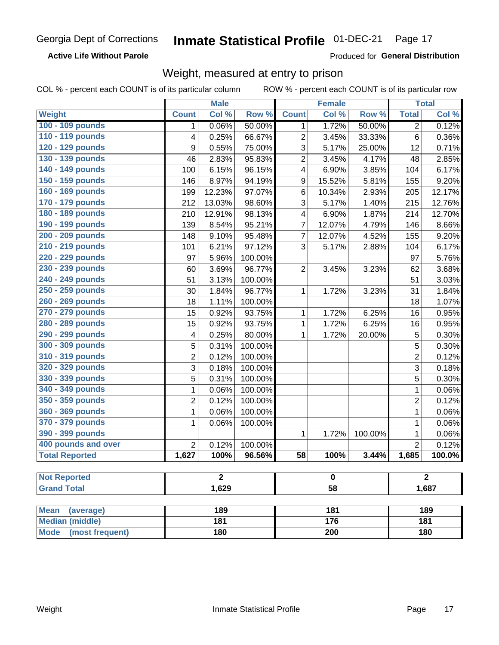**Active Life Without Parole** 

Produced for General Distribution

### Weight, measured at entry to prison

COL % - percent each COUNT is of its particular column

|                          |                         | <b>Male</b>    |         |                         | <b>Female</b> |         |                | <b>Total</b>         |  |
|--------------------------|-------------------------|----------------|---------|-------------------------|---------------|---------|----------------|----------------------|--|
| <b>Weight</b>            | <b>Count</b>            | Col %          | Row %   | <b>Count</b>            | Col %         | Row %   | <b>Total</b>   | Col %                |  |
| 100 - 109 pounds         | 1                       | 0.06%          | 50.00%  | 1                       | 1.72%         | 50.00%  | 2              | 0.12%                |  |
| 110 - 119 pounds         | 4                       | 0.25%          | 66.67%  | $\overline{2}$          | 3.45%         | 33.33%  | 6              | 0.36%                |  |
| 120 - 129 pounds         | $\boldsymbol{9}$        | 0.55%          | 75.00%  | 3                       | 5.17%         | 25.00%  | 12             | 0.71%                |  |
| 130 - 139 pounds         | 46                      | 2.83%          | 95.83%  | $\overline{2}$          | 3.45%         | 4.17%   | 48             | 2.85%                |  |
| 140 - 149 pounds         | 100                     | 6.15%          | 96.15%  | 4                       | 6.90%         | 3.85%   | 104            | 6.17%                |  |
| 150 - 159 pounds         | 146                     | 8.97%          | 94.19%  | $\boldsymbol{9}$        | 15.52%        | 5.81%   | 155            | 9.20%                |  |
| 160 - 169 pounds         | 199                     | 12.23%         | 97.07%  | 6                       | 10.34%        | 2.93%   | 205            | 12.17%               |  |
| 170 - 179 pounds         | 212                     | 13.03%         | 98.60%  | 3                       | 5.17%         | 1.40%   | 215            | 12.76%               |  |
| 180 - 189 pounds         | 210                     | 12.91%         | 98.13%  | $\overline{\mathbf{4}}$ | 6.90%         | 1.87%   | 214            | 12.70%               |  |
| 190 - 199 pounds         | 139                     | 8.54%          | 95.21%  | $\overline{7}$          | 12.07%        | 4.79%   | 146            | 8.66%                |  |
| 200 - 209 pounds         | 148                     | 9.10%          | 95.48%  | $\overline{7}$          | 12.07%        | 4.52%   | 155            | 9.20%                |  |
| 210 - 219 pounds         | 101                     | 6.21%          | 97.12%  | 3                       | 5.17%         | 2.88%   | 104            | 6.17%                |  |
| 220 - 229 pounds         | 97                      | 5.96%          | 100.00% |                         |               |         | 97             | 5.76%                |  |
| 230 - 239 pounds         | 60                      | 3.69%          | 96.77%  | $\overline{2}$          | 3.45%         | 3.23%   | 62             | 3.68%                |  |
| 240 - 249 pounds         | 51                      | 3.13%          | 100.00% |                         |               |         | 51             | 3.03%                |  |
| 250 - 259 pounds         | 30                      | 1.84%          | 96.77%  | 1                       | 1.72%         | 3.23%   | 31             | 1.84%                |  |
| 260 - 269 pounds         | 18                      | 1.11%          | 100.00% |                         |               |         | 18             | 1.07%                |  |
| 270 - 279 pounds         | 15                      | 0.92%          | 93.75%  | 1                       | 1.72%         | 6.25%   | 16             | 0.95%                |  |
| 280 - 289 pounds         | 15                      | 0.92%          | 93.75%  | 1                       | 1.72%         | 6.25%   | 16             | 0.95%                |  |
| 290 - 299 pounds         | $\overline{\mathbf{4}}$ | 0.25%          | 80.00%  | 1                       | 1.72%         | 20.00%  | 5              | 0.30%                |  |
| 300 - 309 pounds         | 5                       | 0.31%          | 100.00% |                         |               |         | 5              | 0.30%                |  |
| 310 - 319 pounds         | $\overline{2}$          | 0.12%          | 100.00% |                         |               |         | $\overline{2}$ | 0.12%                |  |
| 320 - 329 pounds         | 3                       | 0.18%          | 100.00% |                         |               |         | 3              | 0.18%                |  |
| 330 - 339 pounds         | 5                       | 0.31%          | 100.00% |                         |               |         | 5              | 0.30%                |  |
| 340 - 349 pounds         | 1                       | 0.06%          | 100.00% |                         |               |         | $\mathbf 1$    | $\overline{0.06\%}$  |  |
| 350 - 359 pounds         | $\overline{2}$          | 0.12%          | 100.00% |                         |               |         | $\overline{2}$ | 0.12%                |  |
| 360 - 369 pounds         | 1                       | 0.06%          | 100.00% |                         |               |         | $\mathbf 1$    | 0.06%                |  |
| 370 - 379 pounds         | 1                       | 0.06%          | 100.00% |                         |               |         | $\mathbf 1$    | 0.06%                |  |
| 390 - 399 pounds         |                         |                |         | 1                       | 1.72%         | 100.00% | $\mathbf 1$    | 0.06%                |  |
| 400 pounds and over      | $\overline{2}$          | 0.12%          | 100.00% |                         |               |         | $\overline{2}$ | 0.12%                |  |
| <b>Total Reported</b>    | 1,627                   | 100%           | 96.56%  | 58                      | 100%          | 3.44%   | 1,685          | $\overline{100.0\%}$ |  |
|                          |                         |                |         |                         |               |         |                |                      |  |
| <b>Not Reported</b>      |                         | $\overline{2}$ |         |                         | $\bf{0}$      |         |                | $\overline{2}$       |  |
| <b>Grand Total</b>       |                         | 1,629          |         | $\overline{58}$         |               |         |                | 1,687                |  |
| <b>Mean</b><br>(average) |                         | 189            |         |                         | 181           |         |                | 189                  |  |
| <b>Median (middle)</b>   |                         | 181            |         |                         | 176           |         | 181            |                      |  |
| Mode (most frequent)     |                         | 180            |         | 200                     |               |         | <b>180</b>     |                      |  |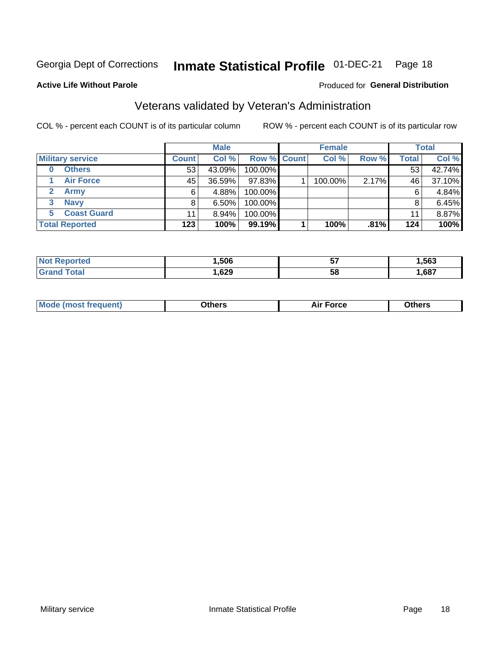#### Inmate Statistical Profile 01-DEC-21 Page 18

#### **Active Life Without Parole**

### Produced for General Distribution

# Veterans validated by Veteran's Administration

COL % - percent each COUNT is of its particular column

|                          |              | <b>Male</b> |             | <b>Female</b> |       |              | <b>Total</b> |
|--------------------------|--------------|-------------|-------------|---------------|-------|--------------|--------------|
| <b>Military service</b>  | <b>Count</b> | Col %       | Row % Count | Col %         | Row % | <b>Total</b> | Col %        |
| <b>Others</b><br>0       | 53           | 43.09%      | 100.00%     |               |       | 53           | 42.74%       |
| <b>Air Force</b>         | 45           | 36.59%      | 97.83%      | 100.00%       | 2.17% | 46           | 37.10%       |
| <b>Army</b>              | 6            | 4.88%       | 100.00%     |               |       | 6            | 4.84%        |
| <b>Navy</b><br>3         |              | 6.50%       | 100.00%     |               |       | 8            | 6.45%        |
| <b>Coast Guard</b><br>5. | 11           | $8.94\%$    | 100.00%     |               |       | 11           | 8.87%        |
| <b>Total Reported</b>    | 123          | 100%        | 99.19%      | 100%          | .81%  | 124          | 100%         |

| TAL    | .506 | --<br>IJ | .563 |
|--------|------|----------|------|
| $\sim$ | ,629 | 5٤       | ,687 |

| <b>Moo.</b> |
|-------------|
|-------------|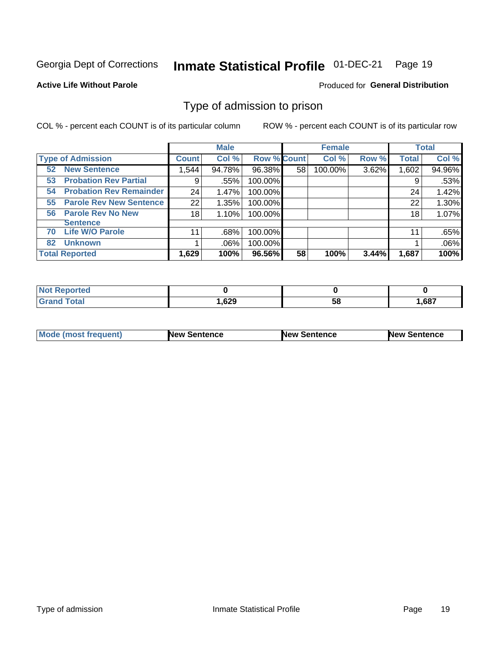#### Inmate Statistical Profile 01-DEC-21 Page 19

**Active Life Without Parole** 

Produced for General Distribution

### Type of admission to prison

COL % - percent each COUNT is of its particular column

|                                      |              | <b>Male</b> |                    |    | <b>Female</b> |       |              | <b>Total</b> |
|--------------------------------------|--------------|-------------|--------------------|----|---------------|-------|--------------|--------------|
| <b>Type of Admission</b>             | <b>Count</b> | Col %       | <b>Row % Count</b> |    | Col %         | Row % | <b>Total</b> | Col %        |
| <b>52 New Sentence</b>               | 1,544        | 94.78%      | 96.38%             | 58 | 100.00%       | 3.62% | 1,602        | 94.96%       |
| <b>Probation Rev Partial</b><br>53   | 9            | .55%        | 100.00%            |    |               |       | 9            | .53%         |
| <b>Probation Rev Remainder</b><br>54 | 24           | 1.47%       | 100.00%            |    |               |       | 24           | 1.42%        |
| <b>Parole Rev New Sentence</b><br>55 | 22           | 1.35%       | 100.00%            |    |               |       | 22           | 1.30%        |
| <b>Parole Rev No New</b><br>56       | 18           | 1.10%       | 100.00%            |    |               |       | 18           | 1.07%        |
| <b>Sentence</b>                      |              |             |                    |    |               |       |              |              |
| <b>Life W/O Parole</b><br>70         | 11           | .68%        | 100.00%            |    |               |       | 11           | .65%         |
| <b>Unknown</b><br>82                 |              | $.06\%$     | 100.00%            |    |               |       |              | .06%         |
| <b>Total Reported</b>                | 1,629        | 100%        | 96.56%             | 58 | 100%          | 3.44% | 1,687        | 100%         |

| <b>Not Reported</b>   |       |           |       |
|-----------------------|-------|-----------|-------|
| <b>Total</b><br>Grand | .529، | c c<br>ວບ | 1,687 |

| Mode (most frequent) | <b>New Sentence</b> | <b>New Sentence</b> | <b>New Sentence</b> |
|----------------------|---------------------|---------------------|---------------------|
|                      |                     |                     |                     |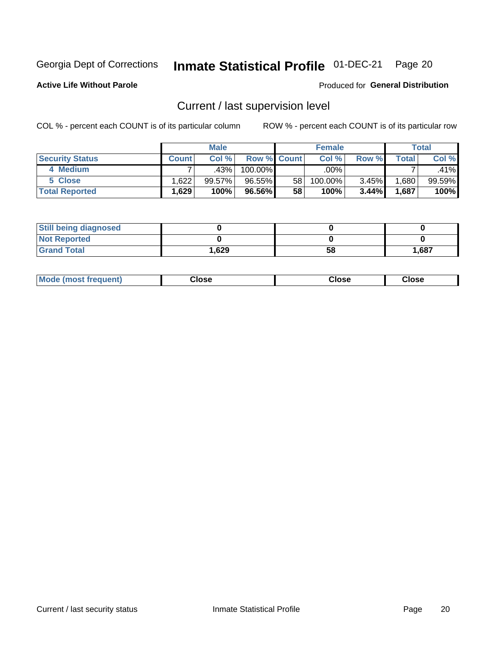# Inmate Statistical Profile 01-DEC-21 Page 20

**Active Life Without Parole** 

Produced for General Distribution

# Current / last supervision level

COL % - percent each COUNT is of its particular column

|                        |         | <b>Male</b> |                    |                 | <b>Female</b> |       |       | <b>Total</b> |
|------------------------|---------|-------------|--------------------|-----------------|---------------|-------|-------|--------------|
| <b>Security Status</b> | Count l | Col%        | <b>Row % Count</b> |                 | Col %         | Row % | Total | Col %        |
| 4 Medium               |         | .43%        | 100.00%            |                 | .00%          |       |       | .41%         |
| 5 Close                | 1.6221  | 99.57%      | 96.55%             | 58 <sub>1</sub> | 100.00%       | 3.45% | .680  | 99.59%       |
| <b>Total Reported</b>  | .629    | 100%        | 96.56%             | 58              | 100%          | 3.44% | .687  | 100%         |

| <b>Still being diagnosed</b> |        |    |       |
|------------------------------|--------|----|-------|
| <b>Not Reported</b>          |        |    |       |
| <b>Grand Total</b>           | 629. ا | 58 | 1,687 |

| Mode (m<br>rreguent)<br>mso | lose: | Close | Close |
|-----------------------------|-------|-------|-------|
|                             |       |       |       |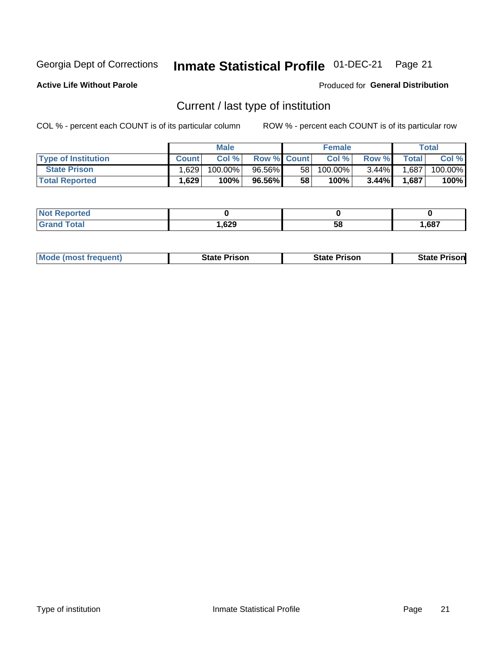#### Inmate Statistical Profile 01-DEC-21 Page 21

**Active Life Without Parole** 

Produced for General Distribution

# Current / last type of institution

COL % - percent each COUNT is of its particular column

|                            |         | <b>Male</b> |                    |                 | <b>Female</b> |          |       | Total   |
|----------------------------|---------|-------------|--------------------|-----------------|---------------|----------|-------|---------|
| <b>Type of Institution</b> | Count.  | Col%        | <b>Row % Count</b> |                 | Col %         | Row %    | Total | Col %   |
| <b>State Prison</b>        | 1.629 l | $100.00\%$  | 96.56%             | 58 <sub>1</sub> | 100.00%       | $3.44\%$ | 1,687 | 100.00% |
| <b>Total Reported</b>      | 1,629   | 100%        | 96.56%             | 58              | 100%          | 3.44%    | 1,687 | 100%    |

| е |                    |    |      |
|---|--------------------|----|------|
|   | <b>GOO</b><br>,uzj | ວເ | .687 |

|  | <b>Mode (most frequent)</b> | State Prison | <b>State Prison</b> | <b>State Prison</b> |
|--|-----------------------------|--------------|---------------------|---------------------|
|--|-----------------------------|--------------|---------------------|---------------------|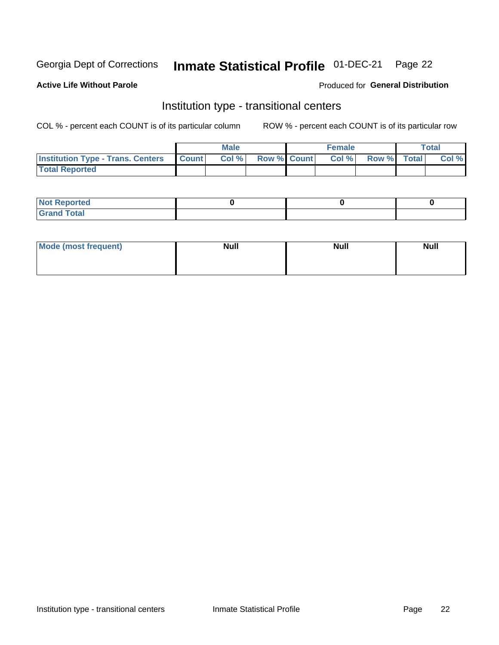#### Inmate Statistical Profile 01-DEC-21 Page 22

### **Active Life Without Parole**

#### Produced for General Distribution

# Institution type - transitional centers

COL % - percent each COUNT is of its particular column

|                                          |              | <b>Male</b> |             | <b>Female</b> |             | <b>Total</b> |
|------------------------------------------|--------------|-------------|-------------|---------------|-------------|--------------|
| <b>Institution Type - Trans. Centers</b> | <b>Count</b> | Col %       | Row % Count | Col %         | Row % Total | Col %        |
| <b>Total Reported</b>                    |              |             |             |               |             |              |

| <b>Reported</b><br><b>NOT</b><br>$\sim$            |  |  |
|----------------------------------------------------|--|--|
| $f$ $f \circ f \circ f$<br>$C = 1$<br><b>TULAI</b> |  |  |

| Mode (most frequent) | <b>Null</b> | <b>Null</b> | <b>Null</b> |
|----------------------|-------------|-------------|-------------|
|                      |             |             |             |
|                      |             |             |             |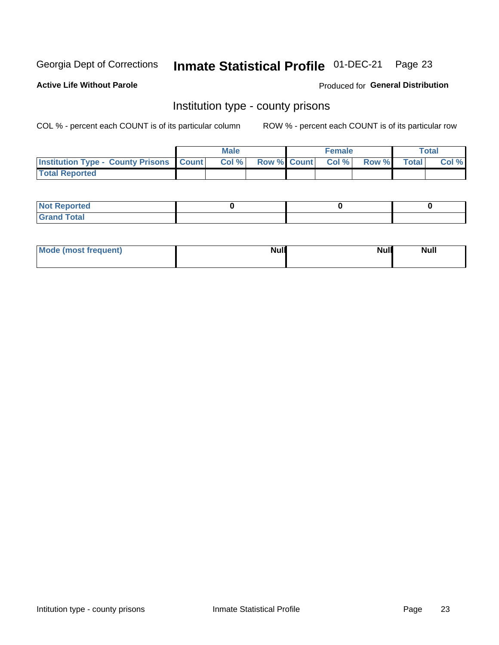# Inmate Statistical Profile 01-DEC-21 Page 23

**Active Life Without Parole** 

**Produced for General Distribution** 

### Institution type - county prisons

COL % - percent each COUNT is of its particular column

|                                                    | <b>Male</b> |       |  | <b>Female</b> |                          |             | <b>Total</b> |       |
|----------------------------------------------------|-------------|-------|--|---------------|--------------------------|-------------|--------------|-------|
| <b>Institution Type - County Prisons   Count  </b> |             | Col % |  |               | <b>Row % Count Col %</b> | Row % Total |              | Col % |
| <b>Total Reported</b>                              |             |       |  |               |                          |             |              |       |

| <b>Not</b><br>: Reported<br> |  |  |
|------------------------------|--|--|
| <b>Total</b><br>---          |  |  |

| Mode (most frequent) | <b>Null</b> | <b>Null</b><br><b>Null</b> |
|----------------------|-------------|----------------------------|
|                      |             |                            |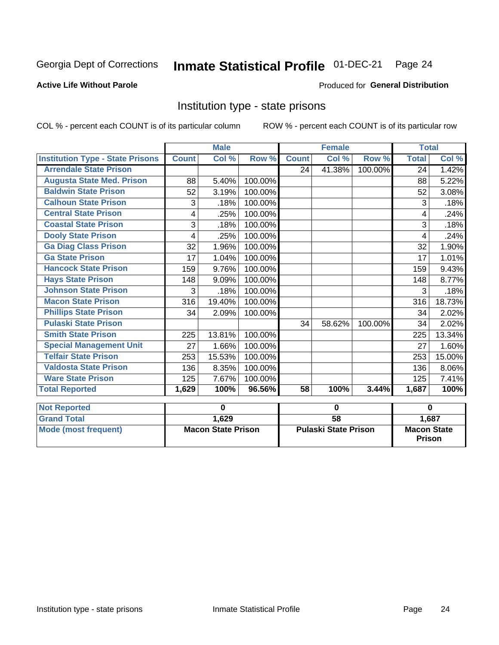#### Inmate Statistical Profile 01-DEC-21 Page 24

#### **Active Life Without Parole**

#### Produced for General Distribution

### Institution type - state prisons

|                                         |                           | <b>Male</b> |         | <b>Female</b>               |                            |         | <b>Total</b>                          |        |
|-----------------------------------------|---------------------------|-------------|---------|-----------------------------|----------------------------|---------|---------------------------------------|--------|
| <b>Institution Type - State Prisons</b> | <b>Count</b>              | Col %       | Row %   | <b>Count</b>                | $\overline{\text{Col }^9}$ | Row %   | <b>Total</b>                          | Col %  |
| <b>Arrendale State Prison</b>           |                           |             |         | 24                          | 41.38%                     | 100.00% | 24                                    | 1.42%  |
| <b>Augusta State Med. Prison</b>        | 88                        | 5.40%       | 100.00% |                             |                            |         | 88                                    | 5.22%  |
| <b>Baldwin State Prison</b>             | 52                        | 3.19%       | 100.00% |                             |                            |         | 52                                    | 3.08%  |
| <b>Calhoun State Prison</b>             | 3                         | .18%        | 100.00% |                             |                            |         | 3                                     | .18%   |
| <b>Central State Prison</b>             | 4                         | .25%        | 100.00% |                             |                            |         | 4                                     | .24%   |
| <b>Coastal State Prison</b>             | 3                         | .18%        | 100.00% |                             |                            |         | 3                                     | .18%   |
| <b>Dooly State Prison</b>               | 4                         | .25%        | 100.00% |                             |                            |         | 4                                     | .24%   |
| <b>Ga Diag Class Prison</b>             | 32                        | 1.96%       | 100.00% |                             |                            |         | 32                                    | 1.90%  |
| <b>Ga State Prison</b>                  | 17                        | 1.04%       | 100.00% |                             |                            |         | 17                                    | 1.01%  |
| <b>Hancock State Prison</b>             | 159                       | 9.76%       | 100.00% |                             |                            |         | 159                                   | 9.43%  |
| <b>Hays State Prison</b>                | 148                       | 9.09%       | 100.00% |                             |                            |         | 148                                   | 8.77%  |
| <b>Johnson State Prison</b>             | 3                         | .18%        | 100.00% |                             |                            |         | 3                                     | .18%   |
| <b>Macon State Prison</b>               | 316                       | 19.40%      | 100.00% |                             |                            |         | 316                                   | 18.73% |
| <b>Phillips State Prison</b>            | 34                        | 2.09%       | 100.00% |                             |                            |         | 34                                    | 2.02%  |
| <b>Pulaski State Prison</b>             |                           |             |         | 34                          | 58.62%                     | 100.00% | 34                                    | 2.02%  |
| <b>Smith State Prison</b>               | 225                       | 13.81%      | 100.00% |                             |                            |         | 225                                   | 13.34% |
| <b>Special Management Unit</b>          | 27                        | 1.66%       | 100.00% |                             |                            |         | 27                                    | 1.60%  |
| <b>Telfair State Prison</b>             | 253                       | 15.53%      | 100.00% |                             |                            |         | 253                                   | 15.00% |
| <b>Valdosta State Prison</b>            | 136                       | 8.35%       | 100.00% |                             |                            |         | 136                                   | 8.06%  |
| <b>Ware State Prison</b>                | 125                       | 7.67%       | 100.00% |                             |                            |         | 125                                   | 7.41%  |
| <b>Total Reported</b>                   | 1,629                     | 100%        | 96.56%  | $\overline{58}$             | 100%                       | 3.44%   | 1,687                                 | 100%   |
| <b>Not Reported</b>                     |                           | $\bf{0}$    |         | $\bf{0}$                    |                            |         | $\bf{0}$                              |        |
| <b>Grand Total</b>                      |                           | 1,629       |         | $\overline{58}$             |                            |         |                                       |        |
| <b>Mode (most frequent)</b>             | <b>Macon State Prison</b> |             |         | <b>Pulaski State Prison</b> |                            |         | 1,687<br><b>Macon State</b><br>Prison |        |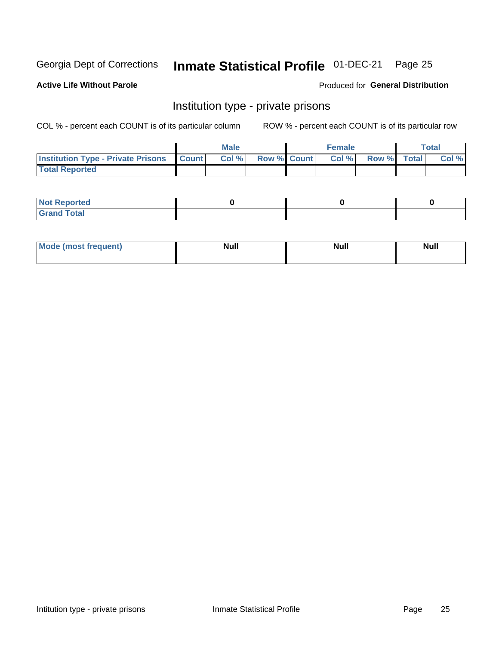# Inmate Statistical Profile 01-DEC-21 Page 25

### **Active Life Without Parole**

#### Produced for General Distribution

### Institution type - private prisons

COL % - percent each COUNT is of its particular column

|                                                 | <b>Male</b> |       |                    | <b>Female</b> |       |             | Total |       |
|-------------------------------------------------|-------------|-------|--------------------|---------------|-------|-------------|-------|-------|
| <b>Institution Type - Private Prisons Count</b> |             | Col % | <b>Row % Count</b> |               | Col % | Row % Total |       | Col % |
| <b>Total Reported</b>                           |             |       |                    |               |       |             |       |       |

| Not Reported           |  |  |
|------------------------|--|--|
| <b>Cotal</b><br>______ |  |  |

| <b>Mo</b><br>frequent) | <b>Null</b> | <b>Null</b> | . . I *<br><b>IVUII</b> |
|------------------------|-------------|-------------|-------------------------|
|                        |             |             |                         |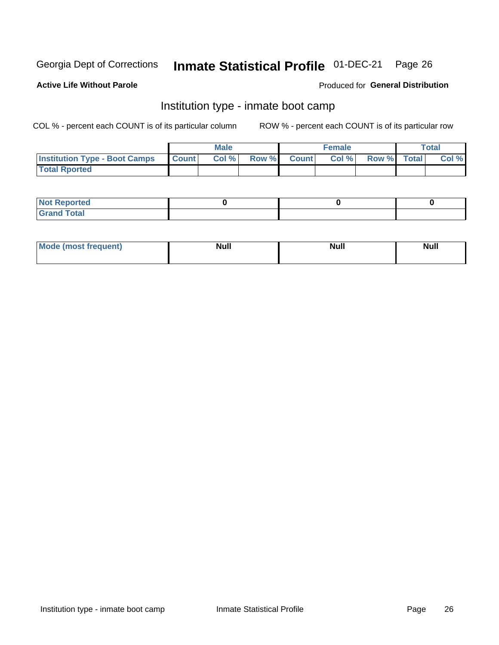#### Inmate Statistical Profile 01-DEC-21 Page 26

#### **Active Life Without Parole**

#### Produced for General Distribution

# Institution type - inmate boot camp

COL % - percent each COUNT is of its particular column

|                                      | <b>Male</b>  |       |               |              | <b>Female</b> | <b>Total</b> |  |       |
|--------------------------------------|--------------|-------|---------------|--------------|---------------|--------------|--|-------|
| <b>Institution Type - Boot Camps</b> | <b>Count</b> | Col % | <b>Row %I</b> | <b>Count</b> | Col %         | Row % Total  |  | Col % |
| <b>Total Rported</b>                 |              |       |               |              |               |              |  |       |

| <b>Not Reported</b>            |  |  |
|--------------------------------|--|--|
| <b>Total</b><br>C <sub>r</sub> |  |  |

| <b>Mode</b> | . . | <b>No II</b> | <b>Null</b> |
|-------------|-----|--------------|-------------|
| auent).     |     | <b>IVAII</b> |             |
|             |     |              |             |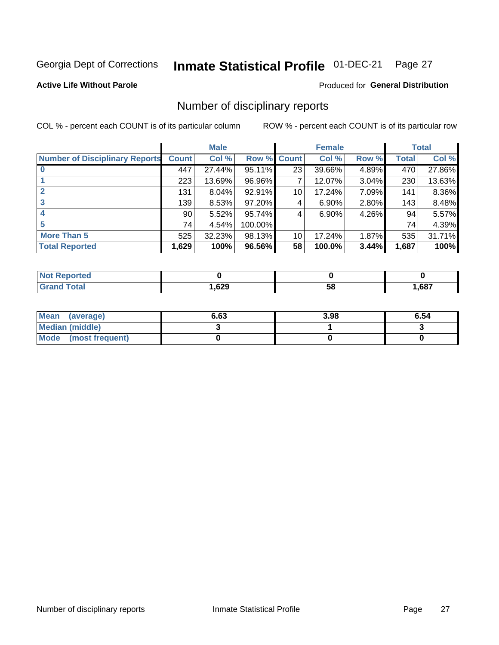#### Inmate Statistical Profile 01-DEC-21 Page 27

### **Active Life Without Parole**

### Produced for General Distribution

### Number of disciplinary reports

COL % - percent each COUNT is of its particular column

|                                       | <b>Male</b>     |          |         | <b>Female</b> |          |          | <b>Total</b> |        |
|---------------------------------------|-----------------|----------|---------|---------------|----------|----------|--------------|--------|
| <b>Number of Disciplinary Reports</b> | <b>Count</b>    | Col %    | Row %   | <b>Count</b>  | Col %    | Row %    | <b>Total</b> | Col %  |
|                                       | 447             | 27.44%   | 95.11%  | 23            | 39.66%   | 4.89%    | 470          | 27.86% |
|                                       | 223             | 13.69%   | 96.96%  | 7             | 12.07%   | $3.04\%$ | 230          | 13.63% |
| $\mathbf{2}$                          | 131             | $8.04\%$ | 92.91%  | 10            | 17.24%   | 7.09%    | 141          | 8.36%  |
| 3                                     | 139             | 8.53%    | 97.20%  | 4             | $6.90\%$ | 2.80%    | 143          | 8.48%  |
|                                       | 90 <sub>1</sub> | 5.52%    | 95.74%  | 4             | 6.90%    | 4.26%    | 94           | 5.57%  |
| 5                                     | 74              | 4.54%    | 100.00% |               |          |          | 74           | 4.39%  |
| <b>More Than 5</b>                    | 525             | 32.23%   | 98.13%  | 10            | 17.24%   | 1.87%    | 535          | 31.71% |
| <b>Total Reported</b>                 | 1,629           | 100%     | 96.56%  | 58            | 100.0%   | 3.44%    | 1,687        | 100%   |

| NO<br>тео |      |    |      |
|-----------|------|----|------|
| Гоtal     | ,629 | Ⴢჾ | ,687 |

| Mean (average)         | 6.63 | 3.98 | 6.54 |
|------------------------|------|------|------|
| <b>Median (middle)</b> |      |      |      |
| Mode (most frequent)   |      |      |      |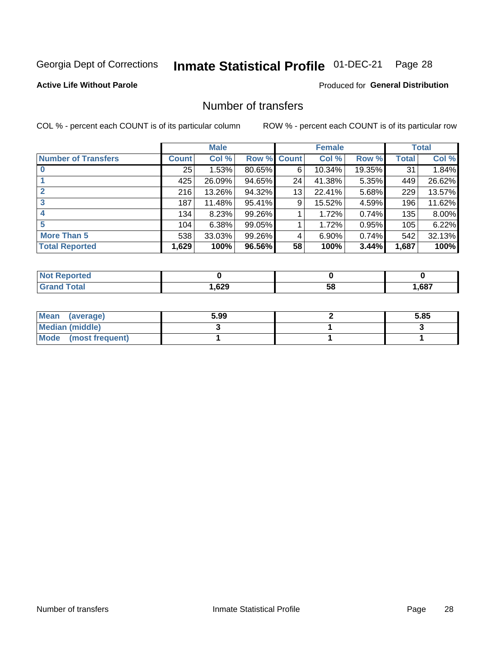# Inmate Statistical Profile 01-DEC-21 Page 28

### **Active Life Without Parole**

### **Produced for General Distribution**

# Number of transfers

COL % - percent each COUNT is of its particular column

|                            |         | <b>Male</b> |        |              | <b>Female</b> |        |              | <b>Total</b> |
|----------------------------|---------|-------------|--------|--------------|---------------|--------|--------------|--------------|
| <b>Number of Transfers</b> | Count l | Col %       | Row %  | <b>Count</b> | Col %         | Row %  | <b>Total</b> | Col %        |
|                            | 25      | 1.53%       | 80.65% | 6            | 10.34%        | 19.35% | 31           | 1.84%        |
|                            | 425     | 26.09%      | 94.65% | 24           | 41.38%        | 5.35%  | 449          | 26.62%       |
| $\mathbf{2}$               | 216     | 13.26%      | 94.32% | 13           | 22.41%        | 5.68%  | 229          | 13.57%       |
| 3                          | 187     | 11.48%      | 95.41% | 9            | 15.52%        | 4.59%  | 196          | 11.62%       |
|                            | 134     | 8.23%       | 99.26% |              | 1.72%         | 0.74%  | 135          | 8.00%        |
| 5                          | 104     | 6.38%       | 99.05% |              | 1.72%         | 0.95%  | 105          | 6.22%        |
| <b>More Than 5</b>         | 538     | 33.03%      | 99.26% | 4            | 6.90%         | 0.74%  | 542          | 32.13%       |
| <b>Total Reported</b>      | 1,629   | 100%        | 96.56% | 58           | 100%          | 3.44%  | 1,687        | 100%         |

| prted<br>NOT RADO |      |    |      |
|-------------------|------|----|------|
| <sup>-</sup> otal | ,629 | 58 | ,687 |

| Mean (average)       | 5.99 | 5.85 |
|----------------------|------|------|
| Median (middle)      |      |      |
| Mode (most frequent) |      |      |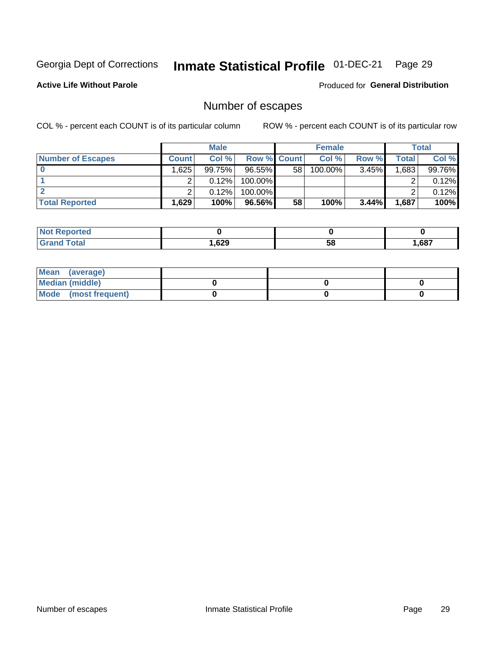# Inmate Statistical Profile 01-DEC-21 Page 29

**Active Life Without Parole** 

**Produced for General Distribution** 

# Number of escapes

COL % - percent each COUNT is of its particular column

|                          | <b>Male</b>  |        |                    | <b>Female</b> |         |       | Total |        |
|--------------------------|--------------|--------|--------------------|---------------|---------|-------|-------|--------|
| <b>Number of Escapes</b> | <b>Count</b> | Col %  | <b>Row % Count</b> |               | Col %   | Row % | Total | Col %  |
|                          | 1.6251       | 99.75% | 96.55%             | 58            | 100.00% | 3.45% | .683  | 99.76% |
|                          |              | 0.12%  | $100.00\%$         |               |         |       |       | 0.12%  |
|                          |              | 0.12%  | $100.00\%$         |               |         |       |       | 0.12%  |
| <b>Total Reported</b>    | $.629+$      | 100%   | 96.56%             | 58            | 100%    | 3.44% | 1,687 | 100%   |

| <b>Not Reported</b> |       |    |       |
|---------------------|-------|----|-------|
| <b>Total</b>        | .,629 | 58 | .,687 |

| Mean (average)       |  |  |
|----------------------|--|--|
| Median (middle)      |  |  |
| Mode (most frequent) |  |  |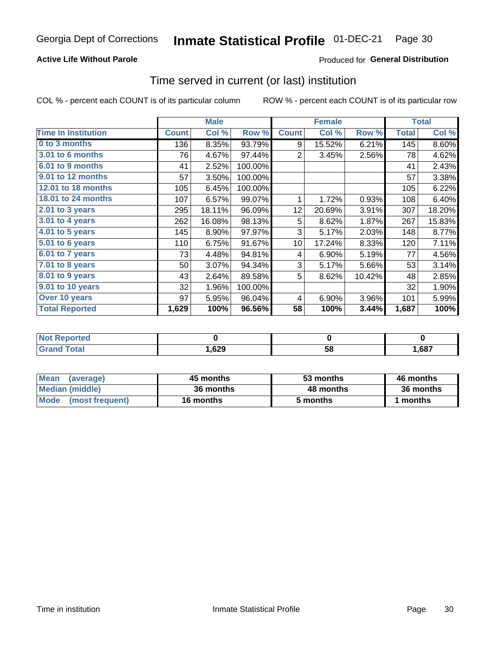### **Active Life Without Parole**

### Produced for General Distribution

### Time served in current (or last) institution

COL % - percent each COUNT is of its particular column

|                            |              | <b>Male</b> |         |                 | <b>Female</b> |        |              | <b>Total</b> |
|----------------------------|--------------|-------------|---------|-----------------|---------------|--------|--------------|--------------|
| <b>Time In Institution</b> | <b>Count</b> | Col %       | Row %   | <b>Count</b>    | Col %         | Row %  | <b>Total</b> | Col %        |
| 0 to 3 months              | 136          | 8.35%       | 93.79%  | 9               | 15.52%        | 6.21%  | 145          | 8.60%        |
| 3.01 to 6 months           | 76           | 4.67%       | 97.44%  | 2               | 3.45%         | 2.56%  | 78           | 4.62%        |
| 6.01 to 9 months           | 41           | 2.52%       | 100.00% |                 |               |        | 41           | 2.43%        |
| 9.01 to 12 months          | 57           | 3.50%       | 100.00% |                 |               |        | 57           | 3.38%        |
| 12.01 to 18 months         | 105          | 6.45%       | 100.00% |                 |               |        | 105          | 6.22%        |
| 18.01 to 24 months         | 107          | 6.57%       | 99.07%  | 1               | 1.72%         | 0.93%  | 108          | 6.40%        |
| 2.01 to 3 years            | 295          | 18.11%      | 96.09%  | 12 <sub>2</sub> | 20.69%        | 3.91%  | 307          | 18.20%       |
| $3.01$ to 4 years          | 262          | 16.08%      | 98.13%  | 5               | 8.62%         | 1.87%  | 267          | 15.83%       |
| 4.01 to 5 years            | 145          | 8.90%       | 97.97%  | 3               | 5.17%         | 2.03%  | 148          | 8.77%        |
| 5.01 to 6 years            | 110          | 6.75%       | 91.67%  | 10 <sup>1</sup> | 17.24%        | 8.33%  | 120          | 7.11%        |
| 6.01 to 7 years            | 73           | 4.48%       | 94.81%  | 4               | 6.90%         | 5.19%  | 77           | 4.56%        |
| $7.01$ to 8 years          | 50           | 3.07%       | 94.34%  | 3               | 5.17%         | 5.66%  | 53           | 3.14%        |
| $8.01$ to $9$ years        | 43           | 2.64%       | 89.58%  | 5               | 8.62%         | 10.42% | 48           | 2.85%        |
| 9.01 to 10 years           | 32           | 1.96%       | 100.00% |                 |               |        | 32           | 1.90%        |
| Over 10 years              | 97           | 5.95%       | 96.04%  | 4               | 6.90%         | 3.96%  | 101          | 5.99%        |
| <b>Total Reported</b>      | 1,629        | 100%        | 96.56%  | 58              | 100%          | 3.44%  | 1,687        | 100%         |

| Reported<br><b>Not</b> |      |    |      |
|------------------------|------|----|------|
| <i>i</i> otal          | ,629 | วง | ,687 |

| <b>Mean</b><br>(average) | 45 months | 53 months | 46 months |
|--------------------------|-----------|-----------|-----------|
| Median (middle)          | 36 months | 48 months | 36 months |
| Mode (most frequent)     | 16 months | 5 months  | 1 months  |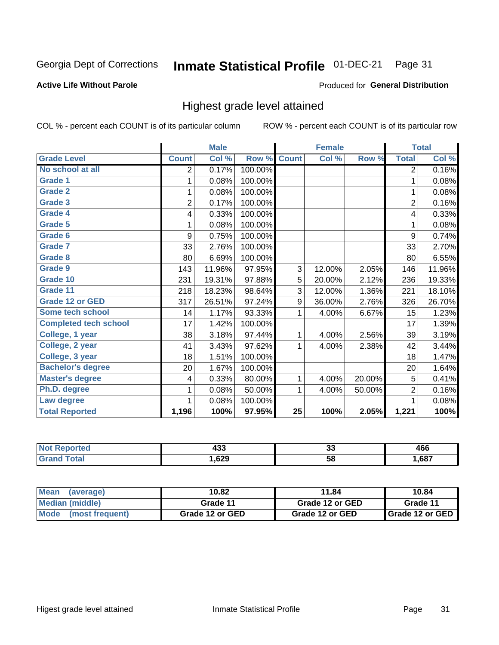#### Inmate Statistical Profile 01-DEC-21 Page 31

#### **Active Life Without Parole**

#### Produced for General Distribution

### Highest grade level attained

COL % - percent each COUNT is of its particular column

|                              |                | <b>Male</b> |         |                 | <b>Female</b> |        |                | <b>Total</b> |
|------------------------------|----------------|-------------|---------|-----------------|---------------|--------|----------------|--------------|
| <b>Grade Level</b>           | <b>Count</b>   | Col %       | Row %   | <b>Count</b>    | Col %         | Row %  | <b>Total</b>   | Col %        |
| No school at all             | 2              | 0.17%       | 100.00% |                 |               |        | $\overline{2}$ | 0.16%        |
| <b>Grade 1</b>               | 1              | 0.08%       | 100.00% |                 |               |        | 1              | 0.08%        |
| <b>Grade 2</b>               | 1              | 0.08%       | 100.00% |                 |               |        | 1              | 0.08%        |
| <b>Grade 3</b>               | $\overline{2}$ | 0.17%       | 100.00% |                 |               |        | $\overline{2}$ | 0.16%        |
| <b>Grade 4</b>               | 4              | 0.33%       | 100.00% |                 |               |        | 4              | 0.33%        |
| Grade 5                      | 1              | 0.08%       | 100.00% |                 |               |        | 1              | 0.08%        |
| Grade 6                      | 9              | 0.75%       | 100.00% |                 |               |        | 9              | 0.74%        |
| Grade 7                      | 33             | 2.76%       | 100.00% |                 |               |        | 33             | 2.70%        |
| <b>Grade 8</b>               | 80             | 6.69%       | 100.00% |                 |               |        | 80             | 6.55%        |
| Grade 9                      | 143            | 11.96%      | 97.95%  | 3               | 12.00%        | 2.05%  | 146            | 11.96%       |
| Grade 10                     | 231            | 19.31%      | 97.88%  | 5               | 20.00%        | 2.12%  | 236            | 19.33%       |
| Grade 11                     | 218            | 18.23%      | 98.64%  | 3               | 12.00%        | 1.36%  | 221            | 18.10%       |
| <b>Grade 12 or GED</b>       | 317            | 26.51%      | 97.24%  | 9               | 36.00%        | 2.76%  | 326            | 26.70%       |
| Some tech school             | 14             | 1.17%       | 93.33%  | 1               | 4.00%         | 6.67%  | 15             | 1.23%        |
| <b>Completed tech school</b> | 17             | 1.42%       | 100.00% |                 |               |        | 17             | 1.39%        |
| College, 1 year              | 38             | 3.18%       | 97.44%  | 1               | 4.00%         | 2.56%  | 39             | 3.19%        |
| College, 2 year              | 41             | 3.43%       | 97.62%  | 1               | 4.00%         | 2.38%  | 42             | 3.44%        |
| College, 3 year              | 18             | 1.51%       | 100.00% |                 |               |        | 18             | 1.47%        |
| <b>Bachelor's degree</b>     | 20             | 1.67%       | 100.00% |                 |               |        | 20             | 1.64%        |
| <b>Master's degree</b>       | 4              | 0.33%       | 80.00%  | 1               | 4.00%         | 20.00% | 5              | 0.41%        |
| Ph.D. degree                 | 1              | 0.08%       | 50.00%  | 1               | 4.00%         | 50.00% | $\overline{2}$ | 0.16%        |
| Law degree                   |                | 0.08%       | 100.00% |                 |               |        | 1              | 0.08%        |
| <b>Total Reported</b>        | 1,196          | 100%        | 97.95%  | $\overline{25}$ | 100%          | 2.05%  | 1,221          | 100%         |

| w | ,,,  | ~  | ,    |
|---|------|----|------|
|   | 456  | ູບ | 40เ  |
|   | ,629 | 58 | ,687 |

| <b>Mean</b><br>(average) | 10.82           | 11.84           | 10.84                    |  |  |
|--------------------------|-----------------|-----------------|--------------------------|--|--|
| Median (middle)          | Grade 11        | Grade 12 or GED | Grade 11                 |  |  |
| Mode (most frequent)     | Grade 12 or GED | Grade 12 or GED | <b>I</b> Grade 12 or GED |  |  |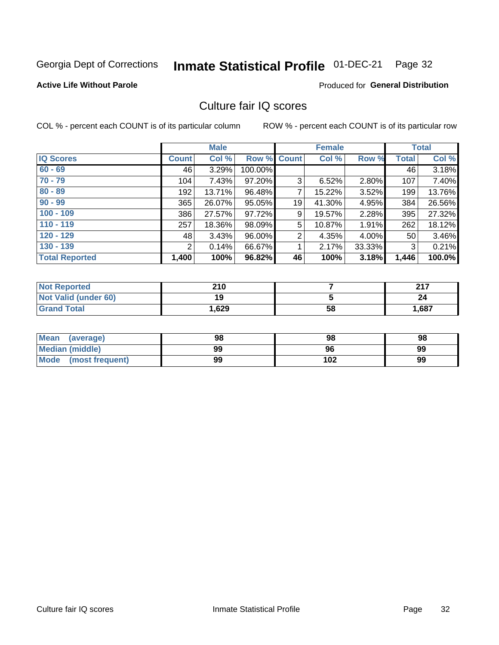#### Inmate Statistical Profile 01-DEC-21 Page 32

#### **Active Life Without Parole**

### Produced for General Distribution

## Culture fair IQ scores

COL % - percent each COUNT is of its particular column

|                       |                | <b>Male</b> |             |    | <b>Female</b> |        |              | <b>Total</b> |
|-----------------------|----------------|-------------|-------------|----|---------------|--------|--------------|--------------|
| <b>IQ Scores</b>      | <b>Count</b>   | Col %       | Row % Count |    | Col %         | Row %  | <b>Total</b> | Col %        |
| $60 - 69$             | 46             | 3.29%       | 100.00%     |    |               |        | 46           | 3.18%        |
| $70 - 79$             | 104            | 7.43%       | 97.20%      | 3  | 6.52%         | 2.80%  | 107          | 7.40%        |
| $80 - 89$             | 192            | 13.71%      | 96.48%      | 7  | 15.22%        | 3.52%  | 199          | 13.76%       |
| $90 - 99$             | 365            | 26.07%      | 95.05%      | 19 | 41.30%        | 4.95%  | 384          | 26.56%       |
| $100 - 109$           | 386            | 27.57%      | 97.72%      | 9  | 19.57%        | 2.28%  | 395          | 27.32%       |
| $110 - 119$           | 257            | 18.36%      | 98.09%      | 5  | 10.87%        | 1.91%  | 262          | 18.12%       |
| $120 - 129$           | 48             | 3.43%       | 96.00%      | 2  | 4.35%         | 4.00%  | 50           | 3.46%        |
| $130 - 139$           | $\overline{2}$ | 0.14%       | 66.67%      | 4  | 2.17%         | 33.33% | 3            | 0.21%        |
| <b>Total Reported</b> | 1,400          | 100%        | 96.82%      | 46 | 100%          | 3.18%  | 1,446        | 100.0%       |

| <b>Not Reported</b>  | 210  |    | 247   |
|----------------------|------|----|-------|
| Not Valid (under 60) | 19   |    | 24    |
| <b>Grand Total</b>   | .629 | 58 | 1,687 |

| Mean<br>(average)    | 98 | 98  | 98 |
|----------------------|----|-----|----|
| Median (middle)      | 99 | 96  | 99 |
| Mode (most frequent) | 99 | 102 | 99 |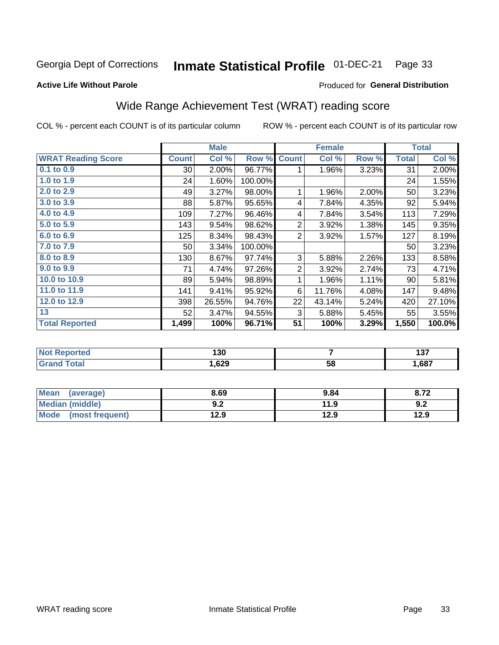#### Inmate Statistical Profile 01-DEC-21 Page 33

#### **Active Life Without Parole**

#### Produced for General Distribution

# Wide Range Achievement Test (WRAT) reading score

COL % - percent each COUNT is of its particular column

|                           | <b>Male</b>  |        | <b>Female</b> |                |        | <b>Total</b> |              |        |
|---------------------------|--------------|--------|---------------|----------------|--------|--------------|--------------|--------|
| <b>WRAT Reading Score</b> | <b>Count</b> | Col %  | Row %         | <b>Count</b>   | Col %  | Row %        | <b>Total</b> | Col %  |
| 0.1 to 0.9                | 30           | 2.00%  | 96.77%        | 1              | 1.96%  | 3.23%        | 31           | 2.00%  |
| 1.0 to 1.9                | 24           | 1.60%  | 100.00%       |                |        |              | 24           | 1.55%  |
| 2.0 to 2.9                | 49           | 3.27%  | 98.00%        | 1              | 1.96%  | 2.00%        | 50           | 3.23%  |
| 3.0 to 3.9                | 88           | 5.87%  | 95.65%        | 4              | 7.84%  | 4.35%        | 92           | 5.94%  |
| 4.0 to 4.9                | 109          | 7.27%  | 96.46%        | 4              | 7.84%  | 3.54%        | 113          | 7.29%  |
| 5.0 to 5.9                | 143          | 9.54%  | 98.62%        | $\overline{2}$ | 3.92%  | 1.38%        | 145          | 9.35%  |
| 6.0 to 6.9                | 125          | 8.34%  | 98.43%        | $\overline{2}$ | 3.92%  | 1.57%        | 127          | 8.19%  |
| 7.0 to 7.9                | 50           | 3.34%  | 100.00%       |                |        |              | 50           | 3.23%  |
| 8.0 to 8.9                | 130          | 8.67%  | 97.74%        | 3              | 5.88%  | 2.26%        | 133          | 8.58%  |
| 9.0 to 9.9                | 71           | 4.74%  | 97.26%        | $\overline{2}$ | 3.92%  | 2.74%        | 73           | 4.71%  |
| 10.0 to 10.9              | 89           | 5.94%  | 98.89%        | 1              | 1.96%  | 1.11%        | 90           | 5.81%  |
| 11.0 to 11.9              | 141          | 9.41%  | 95.92%        | 6              | 11.76% | 4.08%        | 147          | 9.48%  |
| 12.0 to 12.9              | 398          | 26.55% | 94.76%        | 22             | 43.14% | 5.24%        | 420          | 27.10% |
| 13                        | 52           | 3.47%  | 94.55%        | 3              | 5.88%  | 5.45%        | 55           | 3.55%  |
| <b>Total Reported</b>     | 1,499        | 100%   | 96.71%        | 51             | 100%   | 3.29%        | 1,550        | 100.0% |
|                           |              |        |               |                |        |              |              |        |

| <b>Not Reported</b> | 130   |    | ---<br>וטו |
|---------------------|-------|----|------------|
| <b>Total</b>        | .,629 | 58 | .,687      |

| Mean (average)       | 8.69       | 9.84 | 8.72 |
|----------------------|------------|------|------|
| Median (middle)      | י ה<br>Y.Z | 11.9 | 9.2  |
| Mode (most frequent) | 12.9       | 12.9 | 12.9 |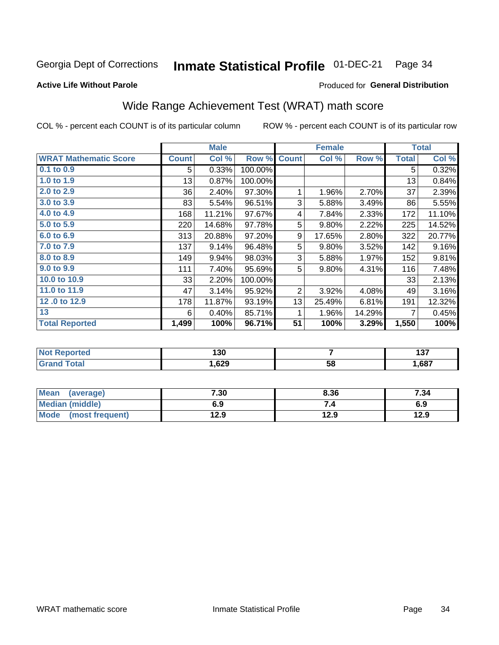#### Inmate Statistical Profile 01-DEC-21 Page 34

**Active Life Without Parole** 

#### Produced for General Distribution

# Wide Range Achievement Test (WRAT) math score

COL % - percent each COUNT is of its particular column

|                              |              | <b>Male</b> |         |                | <b>Female</b> |        |              | <b>Total</b> |
|------------------------------|--------------|-------------|---------|----------------|---------------|--------|--------------|--------------|
| <b>WRAT Mathematic Score</b> | <b>Count</b> | Col %       | Row %   | <b>Count</b>   | Col %         | Row %  | <b>Total</b> | Col %        |
| 0.1 to 0.9                   | 5            | 0.33%       | 100.00% |                |               |        | 5            | 0.32%        |
| 1.0 to 1.9                   | 13           | 0.87%       | 100.00% |                |               |        | 13           | 0.84%        |
| 2.0 to 2.9                   | 36           | 2.40%       | 97.30%  | 1              | 1.96%         | 2.70%  | 37           | 2.39%        |
| 3.0 to 3.9                   | 83           | 5.54%       | 96.51%  | 3              | 5.88%         | 3.49%  | 86           | 5.55%        |
| 4.0 to 4.9                   | 168          | 11.21%      | 97.67%  | 4              | 7.84%         | 2.33%  | 172          | 11.10%       |
| 5.0 to 5.9                   | 220          | 14.68%      | 97.78%  | 5              | 9.80%         | 2.22%  | 225          | 14.52%       |
| 6.0 to 6.9                   | 313          | 20.88%      | 97.20%  | 9              | 17.65%        | 2.80%  | 322          | 20.77%       |
| 7.0 to 7.9                   | 137          | 9.14%       | 96.48%  | 5              | 9.80%         | 3.52%  | 142          | 9.16%        |
| 8.0 to 8.9                   | 149          | 9.94%       | 98.03%  | 3              | 5.88%         | 1.97%  | 152          | 9.81%        |
| 9.0 to 9.9                   | 111          | 7.40%       | 95.69%  | 5              | 9.80%         | 4.31%  | 116          | 7.48%        |
| 10.0 to 10.9                 | 33           | 2.20%       | 100.00% |                |               |        | 33           | 2.13%        |
| 11.0 to 11.9                 | 47           | 3.14%       | 95.92%  | $\overline{2}$ | 3.92%         | 4.08%  | 49           | 3.16%        |
| 12.0 to 12.9                 | 178          | 11.87%      | 93.19%  | 13             | 25.49%        | 6.81%  | 191          | 12.32%       |
| 13                           | 6            | 0.40%       | 85.71%  | 1              | 1.96%         | 14.29% | 7            | 0.45%        |
| <b>Total Reported</b>        | 1,499        | 100%        | 96.71%  | 51             | 100%          | 3.29%  | 1,550        | 100%         |
|                              |              |             |         |                |               |        |              |              |

| <b>Not Reported</b> | 130   |    | ---<br>וטו |
|---------------------|-------|----|------------|
| <b>Total</b>        | .,629 | 58 | .,687      |

| Mean (average)       | 7.30 | 8.36 | 7.34 |
|----------------------|------|------|------|
| Median (middle)      | 6.9  | 7.4  | 6.9  |
| Mode (most frequent) | 12.9 | 12.9 | 12.9 |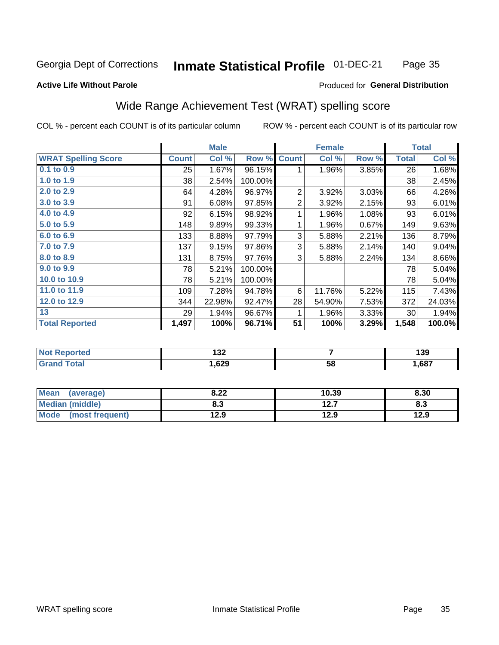#### Inmate Statistical Profile 01-DEC-21 Page 35

#### **Active Life Without Parole**

#### Produced for General Distribution

# Wide Range Achievement Test (WRAT) spelling score

COL % - percent each COUNT is of its particular column

|                            |              | <b>Male</b> |         |                 | <b>Female</b>   |       |              | <b>Total</b> |
|----------------------------|--------------|-------------|---------|-----------------|-----------------|-------|--------------|--------------|
| <b>WRAT Spelling Score</b> | <b>Count</b> | Col %       | Row %   | <b>Count</b>    | Col %           | Row % | <b>Total</b> | Col %        |
| 0.1 to 0.9                 | 25           | 1.67%       | 96.15%  | 1               | 1.96%           | 3.85% | 26           | 1.68%        |
| 1.0 to 1.9                 | 38           | 2.54%       | 100.00% |                 |                 |       | 38           | 2.45%        |
| 2.0 to 2.9                 | 64           | 4.28%       | 96.97%  | 2               | 3.92%           | 3.03% | 66           | 4.26%        |
| 3.0 to 3.9                 | 91           | 6.08%       | 97.85%  | $\overline{2}$  | 3.92%           | 2.15% | 93           | 6.01%        |
| 4.0 to 4.9                 | 92           | 6.15%       | 98.92%  | 1               | 1.96%           | 1.08% | 93           | 6.01%        |
| 5.0 to 5.9                 | 148          | 9.89%       | 99.33%  | 1               | 1.96%           | 0.67% | 149          | 9.63%        |
| 6.0 to 6.9                 | 133          | 8.88%       | 97.79%  | 3               | 5.88%           | 2.21% | 136          | 8.79%        |
| 7.0 to 7.9                 | 137          | 9.15%       | 97.86%  | 3               | 5.88%           | 2.14% | 140          | 9.04%        |
| 8.0 to 8.9                 | 131          | 8.75%       | 97.76%  | 3               | 5.88%           | 2.24% | 134          | 8.66%        |
| 9.0 to 9.9                 | 78           | 5.21%       | 100.00% |                 |                 |       | 78           | 5.04%        |
| 10.0 to 10.9               | 78           | 5.21%       | 100.00% |                 |                 |       | 78           | 5.04%        |
| 11.0 to $11.9$             | 109          | 7.28%       | 94.78%  | 6               | 11.76%          | 5.22% | 115          | 7.43%        |
| 12.0 to 12.9               | 344          | 22.98%      | 92.47%  | 28              | 54.90%          | 7.53% | 372          | 24.03%       |
| 13                         | 29           | 1.94%       | 96.67%  | 1               | 1.96%           | 3.33% | 30           | 1.94%        |
| <b>Total Reported</b>      | 1,497        | 100%        | 96.71%  | $\overline{51}$ | 100%            | 3.29% | 1,548        | 100.0%       |
|                            |              |             |         |                 |                 |       |              |              |
| <b>Not Reported</b>        |              | 132         |         | $\overline{7}$  |                 |       | 139          |              |
| <b>Grand Total</b>         |              | 1,629       |         |                 | $\overline{58}$ |       |              | 1,687        |

| <b>Mean</b><br>(average)       | ר ס<br>0.ZZ | 10.39        | 8.30 |
|--------------------------------|-------------|--------------|------|
| Median (middle)                | o. J        | 127<br>I 4.I | ი.ა  |
| <b>Mode</b><br>(most frequent) | 12.9        | 12.9         | 12.9 |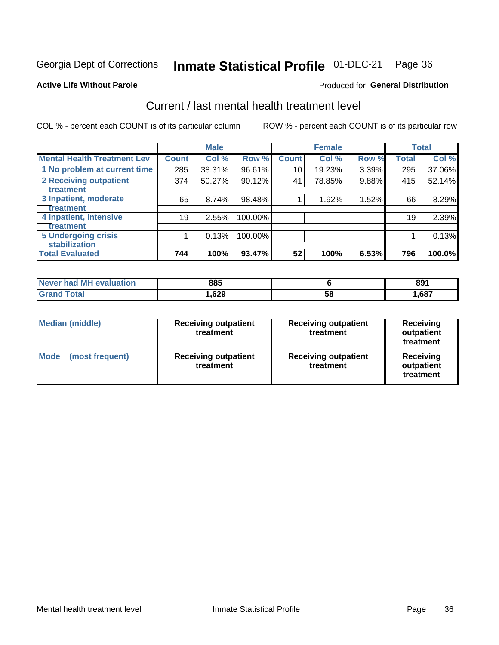# Inmate Statistical Profile 01-DEC-21 Page 36

#### **Active Life Without Parole**

### **Produced for General Distribution**

# Current / last mental health treatment level

COL % - percent each COUNT is of its particular column

|                                    |              | <b>Male</b> |         |              | <b>Female</b> |       |              | <b>Total</b> |
|------------------------------------|--------------|-------------|---------|--------------|---------------|-------|--------------|--------------|
| <b>Mental Health Treatment Lev</b> | <b>Count</b> | Col %       | Row %   | <b>Count</b> | Col %         | Row % | <b>Total</b> | Col %        |
| 1 No problem at current time       | 285          | 38.31%      | 96.61%  | 10           | 19.23%        | 3.39% | 295          | 37.06%       |
| 2 Receiving outpatient             | 374          | 50.27%      | 90.12%  | 41           | 78.85%        | 9.88% | 415          | 52.14%       |
| <b>Treatment</b>                   |              |             |         |              |               |       |              |              |
| 3 Inpatient, moderate              | 65           | 8.74%       | 98.48%  |              | 1.92%         | 1.52% | 66           | 8.29%        |
| Treatment                          |              |             |         |              |               |       |              |              |
| 4 Inpatient, intensive             | 19           | 2.55%       | 100.00% |              |               |       | 19           | 2.39%        |
| Treatment                          |              |             |         |              |               |       |              |              |
| <b>5 Undergoing crisis</b>         |              | 0.13%       | 100.00% |              |               |       |              | 0.13%        |
| <b>stabilization</b>               |              |             |         |              |               |       |              |              |
| <b>Total Evaluated</b>             | 744          | 100%        | 93.47%  | 52           | 100%          | 6.53% | 796          | 100.0%       |

| <b>evaluation</b><br><b>Never had MF</b> | 885  |    | 89 <sup>7</sup> |
|------------------------------------------|------|----|-----------------|
| $\sim$                                   | ,629 | 58 | ,687            |

| <b>Median (middle)</b>         | <b>Receiving outpatient</b><br>treatment | <b>Receiving outpatient</b><br>treatment | <b>Receiving</b><br>outpatient<br>treatment |  |  |
|--------------------------------|------------------------------------------|------------------------------------------|---------------------------------------------|--|--|
| <b>Mode</b><br>(most frequent) | <b>Receiving outpatient</b><br>treatment | <b>Receiving outpatient</b><br>treatment | <b>Receiving</b><br>outpatient<br>treatment |  |  |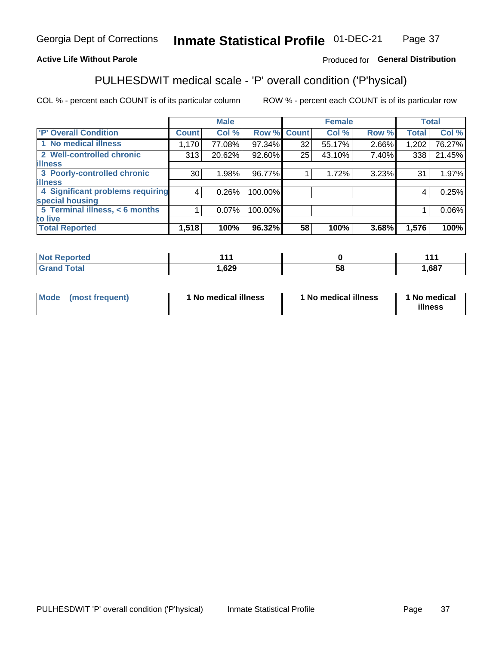#### Inmate Statistical Profile 01-DEC-21 Page 37

### **Active Life Without Parole**

### Produced for General Distribution

# PULHESDWIT medical scale - 'P' overall condition ('P'hysical)

COL % - percent each COUNT is of its particular column

|                                  |              | <b>Male</b> |         |              | <b>Female</b> |       |       | <b>Total</b> |
|----------------------------------|--------------|-------------|---------|--------------|---------------|-------|-------|--------------|
| 'P' Overall Condition            | <b>Count</b> | Col %       | Row %   | <b>Count</b> | Col %         | Row % | Total | Col %        |
| 1 No medical illness             | 1,170        | 77.08%      | 97.34%  | 32           | 55.17%        | 2.66% | 1,202 | 76.27%       |
| 2 Well-controlled chronic        | 313          | 20.62%      | 92.60%  | 25           | 43.10%        | 7.40% | 338   | 21.45%       |
| <b>lilness</b>                   |              |             |         |              |               |       |       |              |
| 3 Poorly-controlled chronic      | 30           | 1.98%       | 96.77%  |              | 1.72%         | 3.23% | 31    | 1.97%        |
| <b>illness</b>                   |              |             |         |              |               |       |       |              |
| 4 Significant problems requiring | 4            | 0.26%       | 100.00% |              |               |       | 4     | 0.25%        |
| special housing                  |              |             |         |              |               |       |       |              |
| 5 Terminal illness, $<$ 6 months |              | $0.07\%$    | 100.00% |              |               |       |       | $0.06\%$     |
| to live                          |              |             |         |              |               |       |       |              |
| <b>Total Reported</b>            | 1,518        | 100%        | 96.32%  | 58           | 100%          | 3.68% | 1,576 | 100%         |

| rtea<br>ени<br>.          | <b>AAA</b> |    | 44.  |
|---------------------------|------------|----|------|
| $F_{\alpha}$ ial<br>_____ | ,629       | ၁၀ | ,687 |

|  |  | Mode (most frequent) | 1 No medical illness | 1 No medical illness | 1 No medical<br>illness |
|--|--|----------------------|----------------------|----------------------|-------------------------|
|--|--|----------------------|----------------------|----------------------|-------------------------|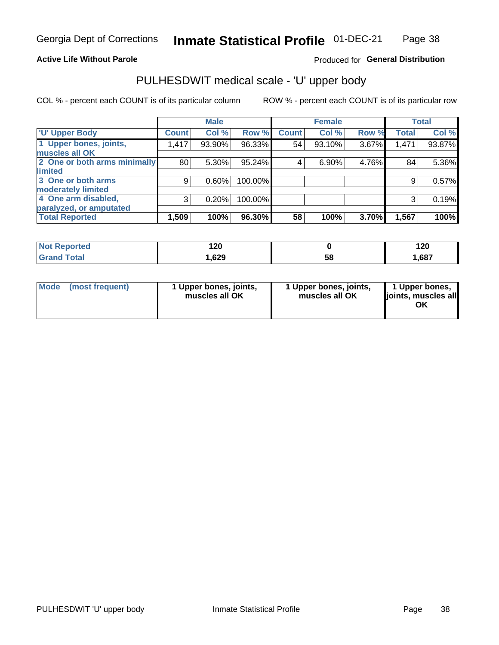### **Active Life Without Parole**

### Produced for General Distribution

# PULHESDWIT medical scale - 'U' upper body

COL % - percent each COUNT is of its particular column

|                              |              | <b>Male</b> |           |              | <b>Female</b> |       |              | <b>Total</b> |
|------------------------------|--------------|-------------|-----------|--------------|---------------|-------|--------------|--------------|
| <b>U' Upper Body</b>         | <b>Count</b> | Col %       | Row %     | <b>Count</b> | Col %         | Row % | <b>Total</b> | Col %        |
| 1 Upper bones, joints,       | 1,417        | 93.90%      | 96.33%    | 54           | 93.10%        | 3.67% | 1,471        | 93.87%       |
| muscles all OK               |              |             |           |              |               |       |              |              |
| 2 One or both arms minimally | 80           | 5.30%       | $95.24\%$ | 4            | 6.90%         | 4.76% | 84           | 5.36%        |
| <b>limited</b>               |              |             |           |              |               |       |              |              |
| 3 One or both arms           | 9            | 0.60%       | 100.00%   |              |               |       | 9            | 0.57%        |
| <b>moderately limited</b>    |              |             |           |              |               |       |              |              |
| 4 One arm disabled,          | 3            | 0.20%       | 100.00%   |              |               |       | 3            | 0.19%        |
| paralyzed, or amputated      |              |             |           |              |               |       |              |              |
| <b>Total Reported</b>        | 1,509        | 100%        | 96.30%    | 58           | 100%          | 3.70% | 1,567        | 100%         |

| <b>Not Reported</b> | 120    |    | 120  |
|---------------------|--------|----|------|
| <b>Grand Total</b>  | 629, ا | 58 | ,687 |

| <b>Mode</b> | (most frequent) | l Upper bones, joints,<br>muscles all OK | 1 Upper bones, joints,<br>muscles all OK | 1 Upper bones,<br>ljoints, muscles all |
|-------------|-----------------|------------------------------------------|------------------------------------------|----------------------------------------|
|-------------|-----------------|------------------------------------------|------------------------------------------|----------------------------------------|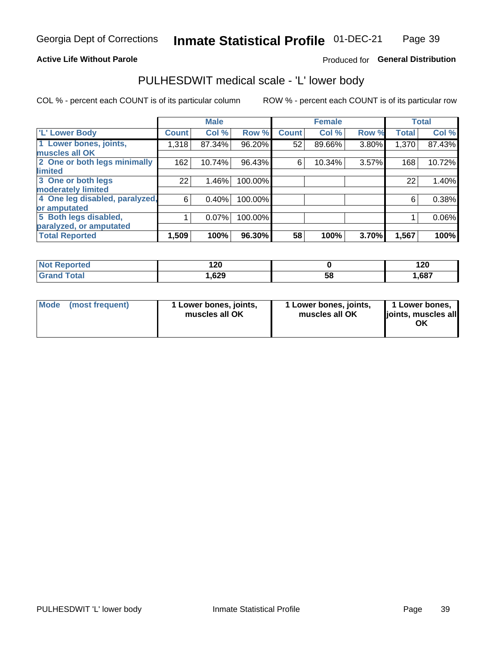### **Active Life Without Parole**

### Produced for General Distribution

# PULHESDWIT medical scale - 'L' lower body

COL % - percent each COUNT is of its particular column

|                                |              | <b>Male</b> |         |              | <b>Female</b> |       |              | <b>Total</b> |
|--------------------------------|--------------|-------------|---------|--------------|---------------|-------|--------------|--------------|
| 'L' Lower Body                 | <b>Count</b> | Col %       | Row %   | <b>Count</b> | Col %         | Row % | <b>Total</b> | Col %        |
| 1 Lower bones, joints,         | 1,318        | 87.34%      | 96.20%  | 52           | 89.66%        | 3.80% | 1,370        | 87.43%       |
| muscles all OK                 |              |             |         |              |               |       |              |              |
| 2 One or both legs minimally   | 162          | 10.74%      | 96.43%  | 6            | 10.34%        | 3.57% | 168          | 10.72%       |
| limited                        |              |             |         |              |               |       |              |              |
| 3 One or both legs             | 22           | 1.46%       | 100.00% |              |               |       | 22           | 1.40%        |
| moderately limited             |              |             |         |              |               |       |              |              |
| 4 One leg disabled, paralyzed, | 6            | 0.40%       | 100.00% |              |               |       | 6            | 0.38%        |
| or amputated                   |              |             |         |              |               |       |              |              |
| 5 Both legs disabled,          |              | 0.07%       | 100.00% |              |               |       |              | 0.06%        |
| paralyzed, or amputated        |              |             |         |              |               |       |              |              |
| <b>Total Reported</b>          | 1,509        | 100%        | 96.30%  | 58           | 100%          | 3.70% | 1,567        | 100%         |

| <b>Not Reported</b> | חר ו<br>14 V |    | ה ה<br>14 U |
|---------------------|--------------|----|-------------|
| <b>Grand Total</b>  | 629، ،       | 58 | ,687        |

| Mode | (most frequent) | 1 Lower bones, joints,<br>muscles all OK | 1 Lower bones, joints,<br>muscles all OK | 1 Lower bones,<br>joints, muscles all<br>ΟK |
|------|-----------------|------------------------------------------|------------------------------------------|---------------------------------------------|
|------|-----------------|------------------------------------------|------------------------------------------|---------------------------------------------|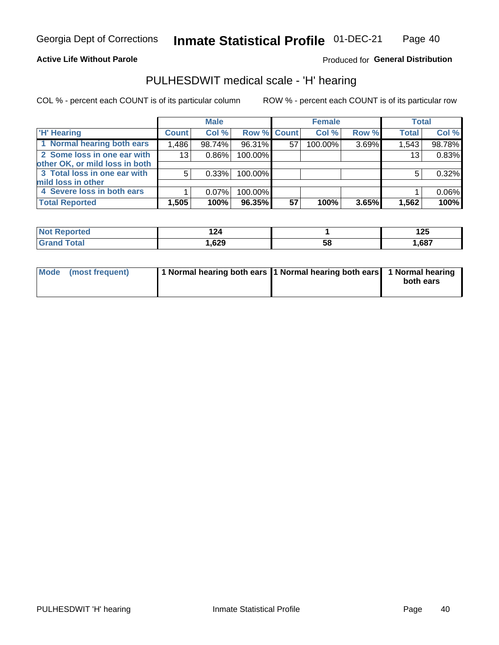#### **Active Life Without Parole**

### Produced for General Distribution

### PULHESDWIT medical scale - 'H' hearing

COL % - percent each COUNT is of its particular column

|                                |              | <b>Male</b> |             |    | <b>Female</b> |       | <b>Total</b> |        |
|--------------------------------|--------------|-------------|-------------|----|---------------|-------|--------------|--------|
| <b>H'</b> Hearing              | <b>Count</b> | Col %       | Row % Count |    | Col %         | Row % | <b>Total</b> | Col %  |
| 1 Normal hearing both ears     | 1,486        | 98.74%      | $96.31\%$   | 57 | 100.00%       | 3.69% | 1,543        | 98.78% |
| 2 Some loss in one ear with    | 13           | 0.86%       | 100.00%     |    |               |       | 13           | 0.83%  |
| other OK, or mild loss in both |              |             |             |    |               |       |              |        |
| 3 Total loss in one ear with   | 5            | 0.33%       | 100.00%     |    |               |       | 5            | 0.32%  |
| mild loss in other             |              |             |             |    |               |       |              |        |
| 4 Severe loss in both ears     |              | $0.07\%$    | 100.00%     |    |               |       |              | 0.06%  |
| <b>Total Reported</b>          | 1,505        | 100%        | 96.35%      | 57 | 100%          | 3.65% | 1,562        | 100%   |

| 'N     | .           |    | 1つに   |
|--------|-------------|----|-------|
| тес    |             |    | 14J   |
| ______ | coo<br>,023 | სა | .,687 |

|  | Mode (most frequent) | 1 Normal hearing both ears 1 Normal hearing both ears 1 Normal hearing |  | both ears |
|--|----------------------|------------------------------------------------------------------------|--|-----------|
|--|----------------------|------------------------------------------------------------------------|--|-----------|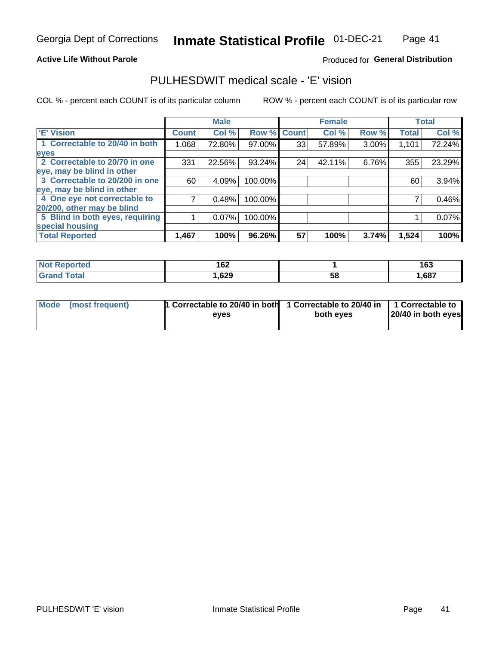**Active Life Without Parole** 

### Produced for General Distribution

## PULHESDWIT medical scale - 'E' vision

COL % - percent each COUNT is of its particular column

|                                 |              | <b>Male</b> |             |    | <b>Female</b> |          |              | <b>Total</b> |
|---------------------------------|--------------|-------------|-------------|----|---------------|----------|--------------|--------------|
| <b>E' Vision</b>                | <b>Count</b> | Col %       | Row % Count |    | Col %         | Row %    | <b>Total</b> | Col %        |
| 1 Correctable to 20/40 in both  | 1,068        | 72.80%      | 97.00%      | 33 | 57.89%        | $3.00\%$ | 1,101        | 72.24%       |
| eyes                            |              |             |             |    |               |          |              |              |
| 2 Correctable to 20/70 in one   | 331          | 22.56%      | 93.24%      | 24 | 42.11%        | 6.76%    | 355          | 23.29%       |
| eye, may be blind in other      |              |             |             |    |               |          |              |              |
| 3 Correctable to 20/200 in one  | 60           | 4.09%       | 100.00%     |    |               |          | 60           | 3.94%        |
| eye, may be blind in other      |              |             |             |    |               |          |              |              |
| 4 One eye not correctable to    |              | 0.48%       | 100.00%     |    |               |          |              | 0.46%        |
| 20/200, other may be blind      |              |             |             |    |               |          |              |              |
| 5 Blind in both eyes, requiring |              | 0.07%       | 100.00%     |    |               |          |              | 0.07%        |
| special housing                 |              |             |             |    |               |          |              |              |
| <b>Total Reported</b>           | 1,467        | 100%        | 96.26%      | 57 | 100%          | 3.74%    | 1,524        | 100%         |

| <b>orted</b><br>NO: | 162  |          | 4 C C<br>נטו |
|---------------------|------|----------|--------------|
| $F0$ tal            | ,629 | cо<br>Эō | ,687         |

| Mode (most frequent) | 1 Correctable to 20/40 in both | 1 Correctable to 20/40 in   1 Correctable to |                    |
|----------------------|--------------------------------|----------------------------------------------|--------------------|
|                      | eves                           | both eves                                    | 20/40 in both eyes |
|                      |                                |                                              |                    |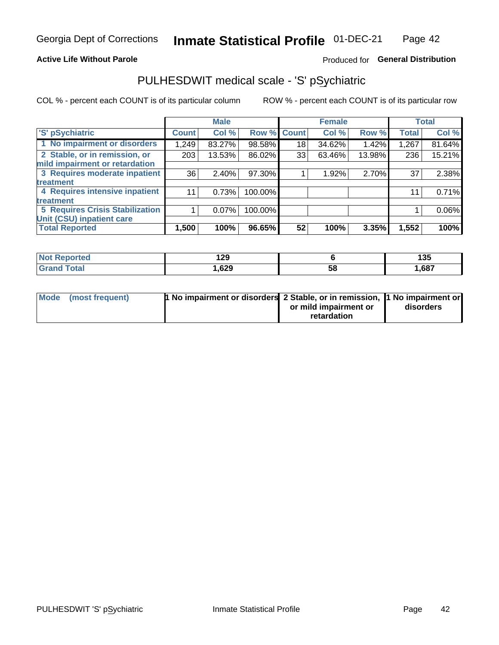### **Active Life Without Parole**

### Produced for General Distribution

# PULHESDWIT medical scale - 'S' pSychiatric

COL % - percent each COUNT is of its particular column

|                                        |              | <b>Male</b> |         |             | <b>Female</b> |        |              | <b>Total</b> |
|----------------------------------------|--------------|-------------|---------|-------------|---------------|--------|--------------|--------------|
| 'S' pSychiatric                        | <b>Count</b> | Col %       |         | Row % Count | Col %         | Row %  | <b>Total</b> | Col %        |
| 1 No impairment or disorders           | 1,249        | 83.27%      | 98.58%  | 18          | 34.62%        | 1.42%  | 1,267        | 81.64%       |
| 2 Stable, or in remission, or          | 203          | 13.53%      | 86.02%  | 33          | 63.46%        | 13.98% | 236          | 15.21%       |
| mild impairment or retardation         |              |             |         |             |               |        |              |              |
| 3 Requires moderate inpatient          | 36           | 2.40%       | 97.30%  |             | 1.92%         | 2.70%  | 37           | 2.38%        |
| treatment                              |              |             |         |             |               |        |              |              |
| 4 Requires intensive inpatient         | 11           | 0.73%       | 100.00% |             |               |        | 11           | 0.71%        |
| <b>treatment</b>                       |              |             |         |             |               |        |              |              |
| <b>5 Requires Crisis Stabilization</b> |              | 0.07%       | 100.00% |             |               |        |              | 0.06%        |
| Unit (CSU) inpatient care              |              |             |         |             |               |        |              |              |
| <b>Total Reported</b>                  | 1,500        | 100%        | 96.65%  | 52          | 100%          | 3.35%  | 1,552        | 100%         |

| ™orted in<br>NOT<br><b>Repo</b> | 1 20<br>14J |    | 12E<br>135 |
|---------------------------------|-------------|----|------------|
| Total                           | ,629        | 58 | 1,687      |

| Mode (most frequent) | <b>1 No impairment or disorders</b> 2 Stable, or in remission, 11 No impairment or |                       |           |
|----------------------|------------------------------------------------------------------------------------|-----------------------|-----------|
|                      |                                                                                    | or mild impairment or | disorders |
|                      |                                                                                    | retardation           |           |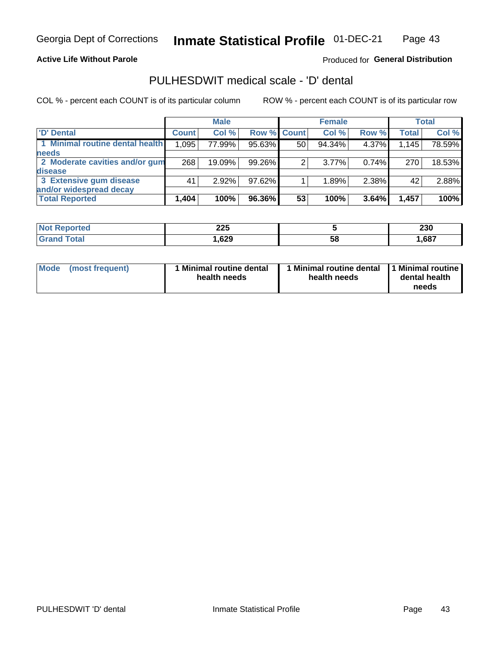### **Active Life Without Parole**

### Produced for General Distribution

# PULHESDWIT medical scale - 'D' dental

COL % - percent each COUNT is of its particular column

|                                 |              | <b>Male</b> |                    |    | <b>Female</b> |       |              | Total  |
|---------------------------------|--------------|-------------|--------------------|----|---------------|-------|--------------|--------|
| 'D' Dental                      | <b>Count</b> | Col %       | <b>Row % Count</b> |    | Col %         | Row % | <b>Total</b> | Col %  |
| 1 Minimal routine dental health | 1,095        | 77.99%      | 95.63%             | 50 | 94.34%        | 4.37% | 1,145        | 78.59% |
| <b>needs</b>                    |              |             |                    |    |               |       |              |        |
| 2 Moderate cavities and/or gum  | 268          | 19.09%      | 99.26%             | 2  | $3.77\%$      | 0.74% | 270          | 18.53% |
| <b>disease</b>                  |              |             |                    |    |               |       |              |        |
| 3 Extensive gum disease         | 41           | 2.92%       | 97.62%             |    | 1.89%         | 2.38% | 42           | 2.88%  |
| and/or widespread decay         |              |             |                    |    |               |       |              |        |
| <b>Total Reported</b>           | 1,404        | 100%        | 96.36%             | 53 | 100%          | 3.64% | 1,457        | 100%   |

| rtea | つつに<br>LLJ |    | 230  |
|------|------------|----|------|
|      | 629, ا     | 58 | .687 |

| <b>Mode</b><br>(most frequent) | <b>Minimal routine dental</b><br>health needs | <b>Minimal routine dental</b><br>health needs | 1 Minimal routine<br>dental health<br>needs |
|--------------------------------|-----------------------------------------------|-----------------------------------------------|---------------------------------------------|
|--------------------------------|-----------------------------------------------|-----------------------------------------------|---------------------------------------------|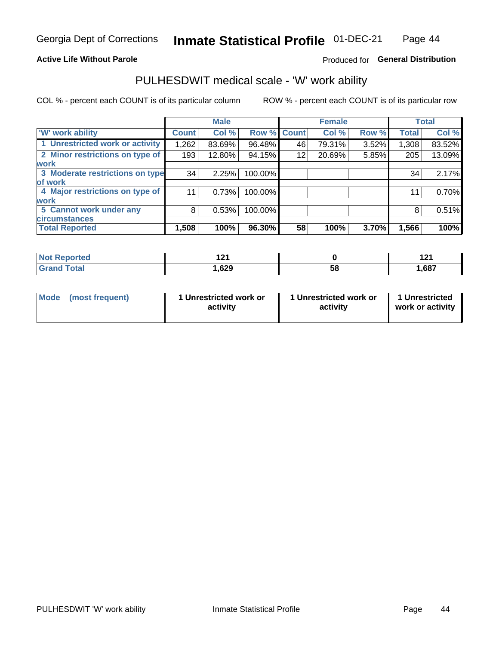### **Active Life Without Parole**

### Produced for General Distribution

### PULHESDWIT medical scale - 'W' work ability

COL % - percent each COUNT is of its particular column

|                                 |              | <b>Male</b> |         |             | <b>Female</b> |       |              | <b>Total</b> |
|---------------------------------|--------------|-------------|---------|-------------|---------------|-------|--------------|--------------|
| <b>W' work ability</b>          | <b>Count</b> | Col %       |         | Row % Count | Col %         | Row % | <b>Total</b> | Col %        |
| 1 Unrestricted work or activity | 1,262        | 83.69%      | 96.48%  | 46          | 79.31%        | 3.52% | 1,308        | 83.52%       |
| 2 Minor restrictions on type of | 193          | 12.80%      | 94.15%  | 12          | 20.69%        | 5.85% | 205          | 13.09%       |
| <b>work</b>                     |              |             |         |             |               |       |              |              |
| 3 Moderate restrictions on type | 34           | 2.25%       | 100.00% |             |               |       | 34           | 2.17%        |
| lof work                        |              |             |         |             |               |       |              |              |
| 4 Major restrictions on type of | 11           | 0.73%       | 100.00% |             |               |       | 11           | 0.70%        |
| <b>work</b>                     |              |             |         |             |               |       |              |              |
| 5 Cannot work under any         | 8            | 0.53%       | 100.00% |             |               |       | 8            | 0.51%        |
| <b>circumstances</b>            |              |             |         |             |               |       |              |              |
| <b>Total Reported</b>           | 1,508        | 100%        | 96.30%  | 58          | 100%          | 3.70% | 1,566        | 100%         |

| norted       | 104  |   |       |
|--------------|------|---|-------|
| <b>Total</b> | ,629 | ວ | 1,687 |

| Mode            | 1 Unrestricted work or | 1 Unrestricted work or | 1 Unrestricted   |
|-----------------|------------------------|------------------------|------------------|
| (most frequent) | activity               | activity               | work or activity |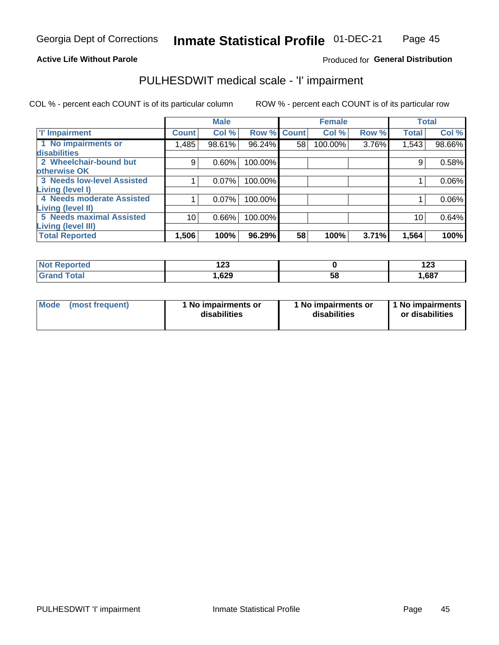### **Active Life Without Parole**

### Produced for General Distribution

# PULHESDWIT medical scale - 'I' impairment

|                                                             |              | <b>Male</b> |             |    | <b>Female</b> |       |              | <b>Total</b> |
|-------------------------------------------------------------|--------------|-------------|-------------|----|---------------|-------|--------------|--------------|
| <b>T' Impairment</b>                                        | <b>Count</b> | Col %       | Row % Count |    | Col %         | Row % | <b>Total</b> | Col %        |
| 1 No impairments or<br>disabilities                         | ,485         | 98.61%      | 96.24%      | 58 | 100.00%       | 3.76% | 1,543        | 98.66%       |
| 2 Wheelchair-bound but                                      | 9            | 0.60%       | 100.00%     |    |               |       | 9            | 0.58%        |
| otherwise OK<br><b>3 Needs low-level Assisted</b>           |              | 0.07%       | 100.00%     |    |               |       |              | 0.06%        |
| Living (level I)<br>4 Needs moderate Assisted               |              | 0.07%       | 100.00%     |    |               |       |              | 0.06%        |
| <b>Living (level II)</b><br><b>5 Needs maximal Assisted</b> |              |             |             |    |               |       |              |              |
| <b>Living (level III)</b>                                   | 10           | 0.66%       | 100.00%     |    |               |       | 10           | 0.64%        |
| <b>Total Reported</b>                                       | 1,506        | 100%        | 96.29%      | 58 | 100%          | 3.71% | 1,564        | 100%         |

| วrted            | . ^^ |           | 409   |
|------------------|------|-----------|-------|
| w                | 14J  |           | 14J   |
| $f$ $f$ $f$ $g'$ | ,629 | . .<br>58 | 1,687 |

| <b>Mode</b> | (most frequent) | <b>No impairments or</b><br>disabilities | 1 No impairments or<br>disabilities | 1 No impairments<br>or disabilities |
|-------------|-----------------|------------------------------------------|-------------------------------------|-------------------------------------|
|-------------|-----------------|------------------------------------------|-------------------------------------|-------------------------------------|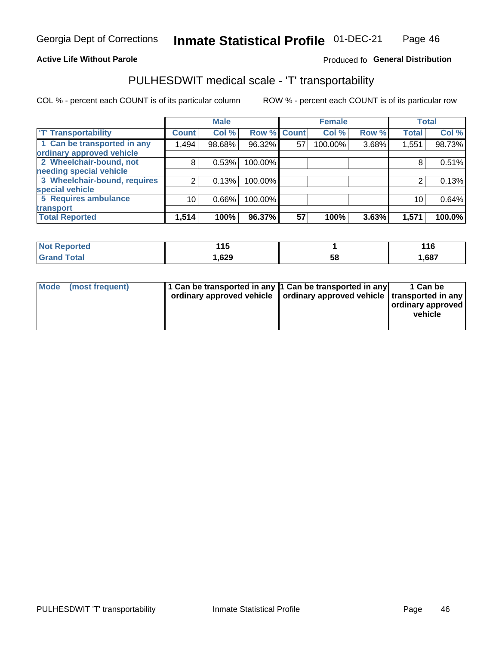### **Active Life Without Parole**

### Produced fo General Distribution

# PULHESDWIT medical scale - 'T' transportability

COL % - percent each COUNT is of its particular column

|                              |                 | <b>Male</b> |                    |    | <b>Female</b> |       |              | <b>Total</b> |
|------------------------------|-----------------|-------------|--------------------|----|---------------|-------|--------------|--------------|
| <b>T' Transportability</b>   | <b>Count</b>    | Col %       | <b>Row % Count</b> |    | Col %         | Row % | <b>Total</b> | Col %        |
| 1 Can be transported in any  | 1,494           | 98.68%      | 96.32%             | 57 | 100.00%       | 3.68% | 1,551        | 98.73%       |
| ordinary approved vehicle    |                 |             |                    |    |               |       |              |              |
| 2 Wheelchair-bound, not      | 8               | 0.53%       | 100.00%            |    |               |       |              | 0.51%        |
| needing special vehicle      |                 |             |                    |    |               |       |              |              |
| 3 Wheelchair-bound, requires |                 | 0.13%       | 100.00%            |    |               |       |              | 0.13%        |
| special vehicle              |                 |             |                    |    |               |       |              |              |
| 5 Requires ambulance         | 10 <sub>1</sub> | 0.66%       | 100.00%            |    |               |       | 10           | 0.64%        |
| transport                    |                 |             |                    |    |               |       |              |              |
| <b>Total Reported</b>        | 1,514           | 100%        | 96.37%             | 57 | 100%          | 3.63% | 1,571        | 100.0%       |

| orted       | 44 F<br>. |    | 116   |
|-------------|-----------|----|-------|
| <b>otal</b> | ,629      | ხშ | 1,687 |

| <b>Mode</b> | (most frequent) | 1 Can be transported in any 1 Can be transported in any | ordinary approved vehicle   ordinary approved vehicle   transported in any | 1 Can be<br>  ordinary approved  <br>vehicle |
|-------------|-----------------|---------------------------------------------------------|----------------------------------------------------------------------------|----------------------------------------------|
|-------------|-----------------|---------------------------------------------------------|----------------------------------------------------------------------------|----------------------------------------------|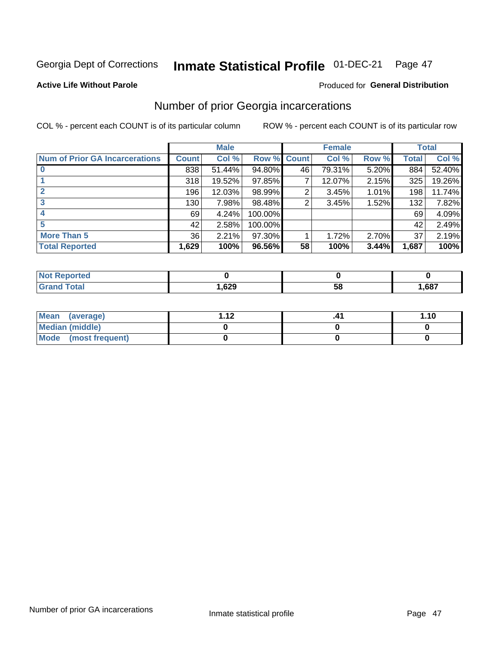#### Inmate Statistical Profile 01-DEC-21 Page 47

#### **Active Life Without Parole**

#### Produced for General Distribution

### Number of prior Georgia incarcerations

COL % - percent each COUNT is of its particular column

|                                       |       | <b>Male</b> |             |    | <b>Female</b> |       |       | <b>Total</b> |
|---------------------------------------|-------|-------------|-------------|----|---------------|-------|-------|--------------|
| <b>Num of Prior GA Incarcerations</b> | Count | Col %       | Row % Count |    | Col %         | Row % | Total | Col %        |
|                                       | 838   | 51.44%      | 94.80%      | 46 | 79.31%        | 5.20% | 884   | 52.40%       |
|                                       | 318   | 19.52%      | $97.85\%$   |    | 12.07%        | 2.15% | 325   | 19.26%       |
|                                       | 196   | 12.03%      | 98.99%      | 2  | 3.45%         | 1.01% | 198   | 11.74%       |
| 3                                     | 130   | 7.98%       | 98.48%      | 2  | 3.45%         | 1.52% | 132   | 7.82%        |
| 4                                     | 69    | 4.24%       | 100.00%     |    |               |       | 69    | 4.09%        |
| 5                                     | 42    | 2.58%       | 100.00%     |    |               |       | 42    | 2.49%        |
| <b>More Than 5</b>                    | 36    | 2.21%       | $97.30\%$   |    | 1.72%         | 2.70% | 37    | 2.19%        |
| <b>Total Reported</b>                 | 1,629 | 100%        | 96.56%      | 58 | 100%          | 3.44% | 1,687 | 100%         |

| ortea             |            |    |      |
|-------------------|------------|----|------|
| <b>otal</b><br>u. | coo<br>OZJ | ວເ | ,687 |

| Mean (average)         | 1 1 J | 1.10 |
|------------------------|-------|------|
| <b>Median (middle)</b> |       |      |
| Mode (most frequent)   |       |      |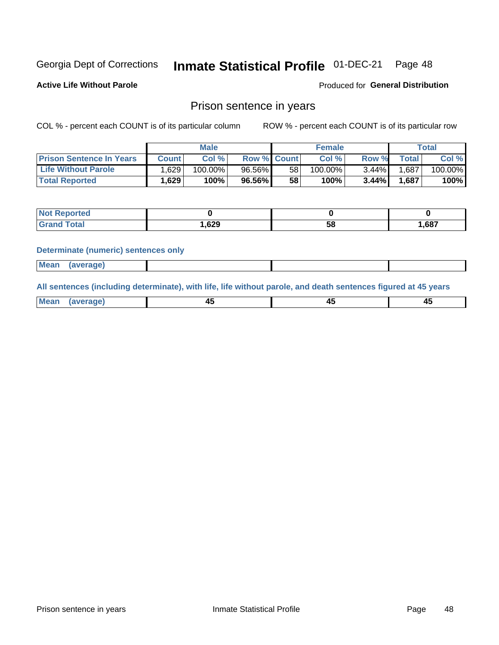#### **Inmate Statistical Profile 01-DEC-21** Page 48

**Active Life Without Parole** 

Produced for General Distribution

### Prison sentence in years

COL % - percent each COUNT is of its particular column

ROW % - percent each COUNT is of its particular row

|                                 | <b>Male</b> |            |                    |    | <b>Female</b> | Total    |             |         |
|---------------------------------|-------------|------------|--------------------|----|---------------|----------|-------------|---------|
| <b>Prison Sentence In Years</b> | Count⊺      | Col %      | <b>Row % Count</b> |    | Col %         | Row %    | $\tau$ otal | Col %   |
| <b>Life Without Parole</b>      | .629        | $100.00\%$ | 96.56%             | 58 | $100.00\%$    | $3.44\%$ | 1,687       | 100.00% |
| <b>Total Reported</b>           | .629        | 100%       | 96.56%             | 58 | 100%          | 3.44%    | 1,687       | 100%    |

| <b>Reported</b> |      |    |       |
|-----------------|------|----|-------|
| <b>ota</b>      | ,629 | 58 | 1,687 |

#### **Determinate (numeric) sentences only**

| <b>Mean</b> | (average) |  |  |
|-------------|-----------|--|--|

All sentences (including determinate), with life, life without parole, and death sentences figured at 45 years

| $M$ ea<br>(average) | $\sim$ | ,,<br>т. |
|---------------------|--------|----------|
|                     |        |          |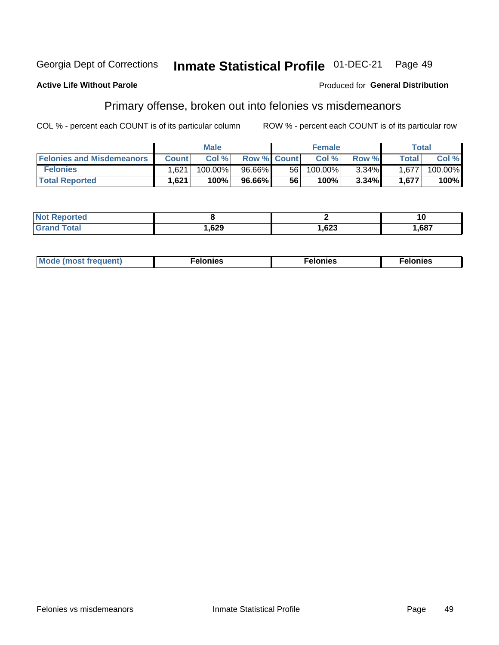#### Inmate Statistical Profile 01-DEC-21 Georgia Dept of Corrections Page 49

#### **Active Life Without Parole**

#### Produced for General Distribution

## Primary offense, broken out into felonies vs misdemeanors

COL % - percent each COUNT is of its particular column

|                                  | <b>Male</b>  |         |                    | <b>Female</b> |         |       | Total              |         |
|----------------------------------|--------------|---------|--------------------|---------------|---------|-------|--------------------|---------|
| <b>Felonies and Misdemeanors</b> | <b>Count</b> | Col%    | <b>Row % Count</b> |               | Col%    | Row % | Total <sub>1</sub> | Col %   |
| <b>Felonies</b>                  | .621         | 100.00% | 96.66%             | 56 I          | 100.00% | 3.34% | 1.677              | 100.00% |
| <b>Total Reported</b>            | ,621         | $100\%$ | 96.66%             | 56            | 100%    | 3.34% | 1,677              | 100%    |

| <b>Not Reported</b>                   |      |      | 10   |
|---------------------------------------|------|------|------|
| <b>Fotal</b><br>Grand<br><b>UIUIU</b> | ,629 | ,623 | ,687 |

| Mode (most frequent)<br>elonies | Felonies | Felonies |
|---------------------------------|----------|----------|
|---------------------------------|----------|----------|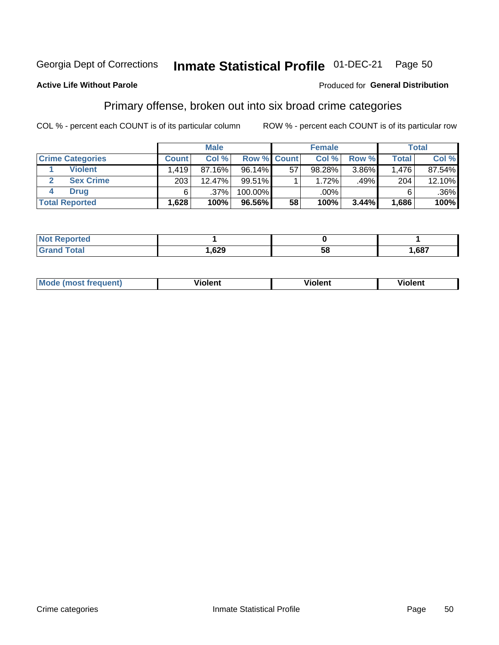#### Inmate Statistical Profile 01-DEC-21 Page 50

### **Active Life Without Parole**

#### Produced for General Distribution

### Primary offense, broken out into six broad crime categories

COL % - percent each COUNT is of its particular column

|                         | <b>Male</b>                      |        |             | <b>Female</b> |        |       | Total        |        |
|-------------------------|----------------------------------|--------|-------------|---------------|--------|-------|--------------|--------|
| <b>Crime Categories</b> | <b>Count</b>                     | Col%   | Row % Count |               | Col %  | Row % | <b>Total</b> | Col %  |
| <b>Violent</b>          | $.419$ <sup><math>+</math></sup> | 87.16% | $96.14\%$   | 57            | 98.28% | 3.86% | 1,476        | 87.54% |
| <b>Sex Crime</b>        | 203                              | 12.47% | $99.51\%$   |               | 1.72%  | .49%  | 204          | 12.10% |
| <b>Drug</b>             | 6                                | .37%   | 100.00%     |               | .00%   |       | 6            | .36%   |
| <b>Total Reported</b>   | 1,628                            | 100%   | 96.56%      | 58            | 100%   | 3.44% | 1,686        | 100%   |

| .           |      |    |      |
|-------------|------|----|------|
| -<br>______ | ,629 | 58 | ,687 |

| Mo<br>quenti | .<br>iolent<br>ΊΙ. | --<br>olent | .<br>'ent |
|--------------|--------------------|-------------|-----------|
|              |                    |             |           |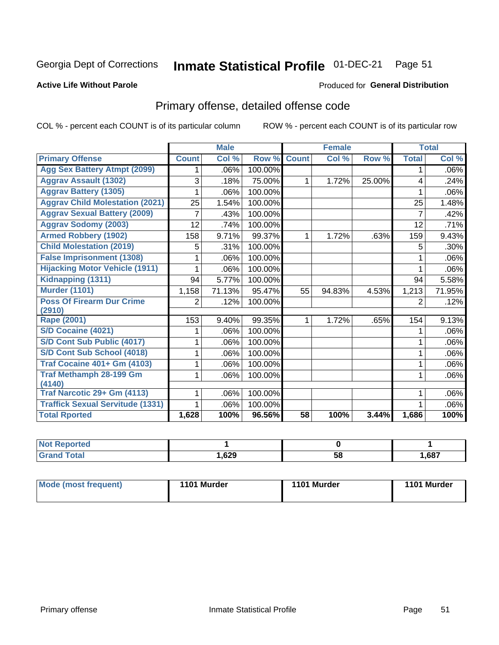#### Inmate Statistical Profile 01-DEC-21 Page 51

#### **Active Life Without Parole**

#### Produced for General Distribution

# Primary offense, detailed offense code

COL % - percent each COUNT is of its particular column

|                                         |              | <b>Male</b>                |         |              | <b>Female</b> |        |              | <b>Total</b> |
|-----------------------------------------|--------------|----------------------------|---------|--------------|---------------|--------|--------------|--------------|
| <b>Primary Offense</b>                  | <b>Count</b> | $\overline{\text{Col }^9}$ | Row %   | <b>Count</b> | Col %         | Row %  | <b>Total</b> | Col %        |
| <b>Agg Sex Battery Atmpt (2099)</b>     |              | .06%                       | 100.00% |              |               |        | 1            | .06%         |
| <b>Aggrav Assault (1302)</b>            | 3            | .18%                       | 75.00%  | 1            | 1.72%         | 25.00% | 4            | .24%         |
| <b>Aggrav Battery (1305)</b>            |              | .06%                       | 100.00% |              |               |        |              | .06%         |
| <b>Aggrav Child Molestation (2021)</b>  | 25           | 1.54%                      | 100.00% |              |               |        | 25           | 1.48%        |
| <b>Aggrav Sexual Battery (2009)</b>     |              | .43%                       | 100.00% |              |               |        | 7            | .42%         |
| <b>Aggrav Sodomy (2003)</b>             | 12           | .74%                       | 100.00% |              |               |        | 12           | .71%         |
| <b>Armed Robbery (1902)</b>             | 158          | 9.71%                      | 99.37%  | 1            | 1.72%         | .63%   | 159          | 9.43%        |
| <b>Child Molestation (2019)</b>         | 5            | .31%                       | 100.00% |              |               |        | 5            | .30%         |
| <b>False Imprisonment (1308)</b>        |              | .06%                       | 100.00% |              |               |        |              | .06%         |
| <b>Hijacking Motor Vehicle (1911)</b>   |              | .06%                       | 100.00% |              |               |        |              | .06%         |
| Kidnapping (1311)                       | 94           | 5.77%                      | 100.00% |              |               |        | 94           | 5.58%        |
| <b>Murder (1101)</b>                    | 1,158        | 71.13%                     | 95.47%  | 55           | 94.83%        | 4.53%  | 1,213        | 71.95%       |
| <b>Poss Of Firearm Dur Crime</b>        | 2            | .12%                       | 100.00% |              |               |        | 2            | .12%         |
| (2910)                                  |              |                            |         |              |               |        |              |              |
| Rape (2001)                             | 153          | 9.40%                      | 99.35%  |              | 1.72%         | .65%   | 154          | 9.13%        |
| S/D Cocaine (4021)                      |              | .06%                       | 100.00% |              |               |        |              | .06%         |
| S/D Cont Sub Public (4017)              |              | .06%                       | 100.00% |              |               |        |              | .06%         |
| S/D Cont Sub School (4018)              |              | .06%                       | 100.00% |              |               |        | 1            | .06%         |
| <b>Traf Cocaine 401+ Gm (4103)</b>      |              | .06%                       | 100.00% |              |               |        | 1            | .06%         |
| <b>Traf Methamph 28-199 Gm</b>          |              | .06%                       | 100.00% |              |               |        | 1            | .06%         |
| (4140)                                  |              |                            |         |              |               |        |              |              |
| Traf Narcotic 29+ Gm (4113)             |              | .06%                       | 100.00% |              |               |        |              | .06%         |
| <b>Traffick Sexual Servitude (1331)</b> |              | .06%                       | 100.00% |              |               |        |              | .06%         |
| <b>Total Rported</b>                    | 1,628        | 100%                       | 96.56%  | 58           | 100%          | 3.44%  | 1,686        | 100%         |

| <b>ported?</b> |      |    |       |
|----------------|------|----|-------|
| <b>Total</b>   | ,629 | 58 | 1,687 |

| <b>Mode (most frequent)</b> | 1101 Murder | 1101 Murder | 1101 Murder |
|-----------------------------|-------------|-------------|-------------|
|-----------------------------|-------------|-------------|-------------|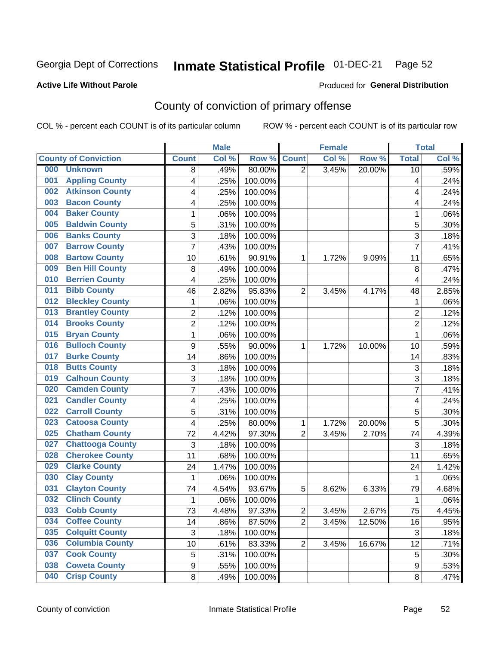# Inmate Statistical Profile 01-DEC-21 Page 52

### **Active Life Without Parole**

#### Produced for General Distribution

# County of conviction of primary offense

COL % - percent each COUNT is of its particular column

|                                |                  | <b>Male</b> |         |                | <b>Female</b> |        |                | <b>Total</b> |
|--------------------------------|------------------|-------------|---------|----------------|---------------|--------|----------------|--------------|
| <b>County of Conviction</b>    | <b>Count</b>     | Col %       | Row %   | <b>Count</b>   | Col %         | Row %  | <b>Total</b>   | Col %        |
| 000<br><b>Unknown</b>          | 8                | .49%        | 80.00%  | $\overline{2}$ | 3.45%         | 20.00% | 10             | .59%         |
| <b>Appling County</b><br>001   | 4                | .25%        | 100.00% |                |               |        | 4              | .24%         |
| <b>Atkinson County</b><br>002  | 4                | .25%        | 100.00% |                |               |        | 4              | .24%         |
| <b>Bacon County</b><br>003     | 4                | .25%        | 100.00% |                |               |        | 4              | .24%         |
| <b>Baker County</b><br>004     | 1                | .06%        | 100.00% |                |               |        | 1              | .06%         |
| <b>Baldwin County</b><br>005   | 5                | .31%        | 100.00% |                |               |        | 5              | .30%         |
| <b>Banks County</b><br>006     | 3                | .18%        | 100.00% |                |               |        | 3              | .18%         |
| <b>Barrow County</b><br>007    | $\overline{7}$   | .43%        | 100.00% |                |               |        | $\overline{7}$ | .41%         |
| <b>Bartow County</b><br>008    | 10               | .61%        | 90.91%  | 1              | 1.72%         | 9.09%  | 11             | .65%         |
| <b>Ben Hill County</b><br>009  | 8                | .49%        | 100.00% |                |               |        | 8              | .47%         |
| <b>Berrien County</b><br>010   | 4                | .25%        | 100.00% |                |               |        | 4              | .24%         |
| <b>Bibb County</b><br>011      | 46               | 2.82%       | 95.83%  | $\overline{2}$ | 3.45%         | 4.17%  | 48             | 2.85%        |
| <b>Bleckley County</b><br>012  | 1                | .06%        | 100.00% |                |               |        | $\mathbf{1}$   | .06%         |
| <b>Brantley County</b><br>013  | $\overline{2}$   | .12%        | 100.00% |                |               |        | $\overline{2}$ | .12%         |
| <b>Brooks County</b><br>014    | $\overline{2}$   | .12%        | 100.00% |                |               |        | $\overline{2}$ | .12%         |
| <b>Bryan County</b><br>015     | $\mathbf{1}$     | .06%        | 100.00% |                |               |        | $\mathbf{1}$   | .06%         |
| <b>Bulloch County</b><br>016   | 9                | .55%        | 90.00%  | 1              | 1.72%         | 10.00% | 10             | .59%         |
| <b>Burke County</b><br>017     | 14               | .86%        | 100.00% |                |               |        | 14             | .83%         |
| <b>Butts County</b><br>018     | 3                | .18%        | 100.00% |                |               |        | 3              | .18%         |
| <b>Calhoun County</b><br>019   | $\overline{3}$   | .18%        | 100.00% |                |               |        | $\overline{3}$ | .18%         |
| <b>Camden County</b><br>020    | 7                | .43%        | 100.00% |                |               |        | $\overline{7}$ | .41%         |
| <b>Candler County</b><br>021   | 4                | .25%        | 100.00% |                |               |        | 4              | .24%         |
| <b>Carroll County</b><br>022   | 5                | .31%        | 100.00% |                |               |        | 5              | .30%         |
| <b>Catoosa County</b><br>023   | 4                | .25%        | 80.00%  | 1              | 1.72%         | 20.00% | 5              | .30%         |
| <b>Chatham County</b><br>025   | 72               | 4.42%       | 97.30%  | $\overline{2}$ | 3.45%         | 2.70%  | 74             | 4.39%        |
| <b>Chattooga County</b><br>027 | 3                | .18%        | 100.00% |                |               |        | 3              | .18%         |
| <b>Cherokee County</b><br>028  | 11               | .68%        | 100.00% |                |               |        | 11             | .65%         |
| <b>Clarke County</b><br>029    | 24               | 1.47%       | 100.00% |                |               |        | 24             | 1.42%        |
| <b>Clay County</b><br>030      | $\mathbf{1}$     | .06%        | 100.00% |                |               |        | $\mathbf 1$    | .06%         |
| <b>Clayton County</b><br>031   | 74               | 4.54%       | 93.67%  | 5              | 8.62%         | 6.33%  | 79             | 4.68%        |
| <b>Clinch County</b><br>032    | 1                | .06%        | 100.00% |                |               |        | 1              | .06%         |
| <b>Cobb County</b><br>033      | 73               | 4.48%       | 97.33%  | 2              | 3.45%         | 2.67%  | 75             | 4.45%        |
| <b>Coffee County</b><br>034    | 14               | .86%        | 87.50%  | $\overline{2}$ | 3.45%         | 12.50% | 16             | .95%         |
| 035<br><b>Colquitt County</b>  | $\sqrt{3}$       | .18%        | 100.00% |                |               |        | $\sqrt{3}$     | .18%         |
| <b>Columbia County</b><br>036  | 10               | .61%        | 83.33%  | $\overline{2}$ | 3.45%         | 16.67% | 12             | .71%         |
| <b>Cook County</b><br>037      | 5                | .31%        | 100.00% |                |               |        | 5              | .30%         |
| <b>Coweta County</b><br>038    | $\boldsymbol{9}$ | .55%        | 100.00% |                |               |        | 9              | .53%         |
| <b>Crisp County</b><br>040     | 8                | .49%        | 100.00% |                |               |        | 8              | .47%         |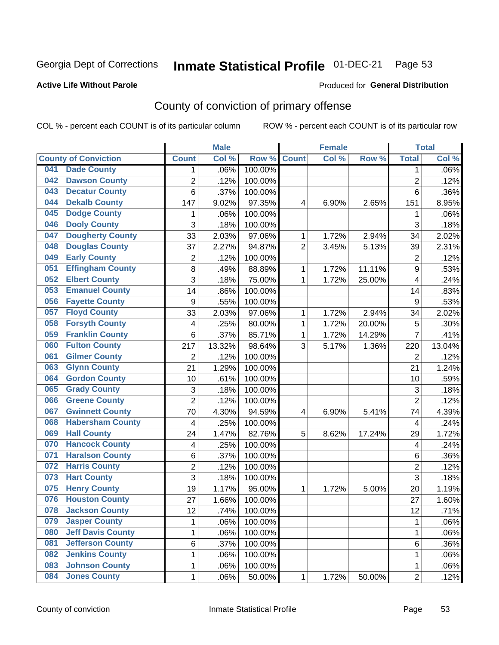# Inmate Statistical Profile 01-DEC-21 Page 53

#### **Active Life Without Parole**

#### Produced for General Distribution

# County of conviction of primary offense

COL % - percent each COUNT is of its particular column

|     |                             |                  | <b>Male</b> |         |                | <b>Female</b> |        |                | <b>Total</b> |
|-----|-----------------------------|------------------|-------------|---------|----------------|---------------|--------|----------------|--------------|
|     | <b>County of Conviction</b> | <b>Count</b>     | Col %       | Row %   | <b>Count</b>   | Col %         | Row %  | <b>Total</b>   | Col %        |
| 041 | <b>Dade County</b>          | 1                | .06%        | 100.00% |                |               |        | 1              | .06%         |
| 042 | <b>Dawson County</b>        | $\overline{2}$   | .12%        | 100.00% |                |               |        | $\overline{2}$ | .12%         |
| 043 | <b>Decatur County</b>       | 6                | .37%        | 100.00% |                |               |        | 6              | .36%         |
| 044 | <b>Dekalb County</b>        | 147              | 9.02%       | 97.35%  | 4              | 6.90%         | 2.65%  | 151            | 8.95%        |
| 045 | <b>Dodge County</b>         | 1                | .06%        | 100.00% |                |               |        | 1              | .06%         |
| 046 | <b>Dooly County</b>         | 3                | .18%        | 100.00% |                |               |        | $\overline{3}$ | .18%         |
| 047 | <b>Dougherty County</b>     | 33               | 2.03%       | 97.06%  | 1              | 1.72%         | 2.94%  | 34             | 2.02%        |
| 048 | <b>Douglas County</b>       | 37               | 2.27%       | 94.87%  | $\overline{2}$ | 3.45%         | 5.13%  | 39             | 2.31%        |
| 049 | <b>Early County</b>         | $\overline{c}$   | .12%        | 100.00% |                |               |        | $\overline{2}$ | .12%         |
| 051 | <b>Effingham County</b>     | 8                | .49%        | 88.89%  | 1              | 1.72%         | 11.11% | 9              | .53%         |
| 052 | <b>Elbert County</b>        | 3                | .18%        | 75.00%  | 1              | 1.72%         | 25.00% | 4              | .24%         |
| 053 | <b>Emanuel County</b>       | 14               | .86%        | 100.00% |                |               |        | 14             | .83%         |
| 056 | <b>Fayette County</b>       | $\boldsymbol{9}$ | .55%        | 100.00% |                |               |        | 9              | .53%         |
| 057 | <b>Floyd County</b>         | 33               | 2.03%       | 97.06%  | 1              | 1.72%         | 2.94%  | 34             | 2.02%        |
| 058 | <b>Forsyth County</b>       | 4                | .25%        | 80.00%  | 1              | 1.72%         | 20.00% | 5              | .30%         |
| 059 | <b>Franklin County</b>      | 6                | .37%        | 85.71%  | 1              | 1.72%         | 14.29% | $\overline{7}$ | .41%         |
| 060 | <b>Fulton County</b>        | 217              | 13.32%      | 98.64%  | 3              | 5.17%         | 1.36%  | 220            | 13.04%       |
| 061 | <b>Gilmer County</b>        | $\overline{2}$   | .12%        | 100.00% |                |               |        | $\overline{2}$ | .12%         |
| 063 | <b>Glynn County</b>         | 21               | 1.29%       | 100.00% |                |               |        | 21             | 1.24%        |
| 064 | <b>Gordon County</b>        | 10               | .61%        | 100.00% |                |               |        | 10             | .59%         |
| 065 | <b>Grady County</b>         | 3                | .18%        | 100.00% |                |               |        | 3              | .18%         |
| 066 | <b>Greene County</b>        | $\overline{2}$   | .12%        | 100.00% |                |               |        | $\overline{2}$ | .12%         |
| 067 | <b>Gwinnett County</b>      | 70               | 4.30%       | 94.59%  | 4              | 6.90%         | 5.41%  | 74             | 4.39%        |
| 068 | <b>Habersham County</b>     | $\overline{4}$   | .25%        | 100.00% |                |               |        | 4              | .24%         |
| 069 | <b>Hall County</b>          | 24               | 1.47%       | 82.76%  | 5              | 8.62%         | 17.24% | 29             | 1.72%        |
| 070 | <b>Hancock County</b>       | 4                | .25%        | 100.00% |                |               |        | 4              | .24%         |
| 071 | <b>Haralson County</b>      | 6                | .37%        | 100.00% |                |               |        | 6              | .36%         |
| 072 | <b>Harris County</b>        | $\overline{2}$   | .12%        | 100.00% |                |               |        | $\overline{c}$ | .12%         |
| 073 | <b>Hart County</b>          | 3                | .18%        | 100.00% |                |               |        | 3              | .18%         |
| 075 | <b>Henry County</b>         | 19               | 1.17%       | 95.00%  | 1              | 1.72%         | 5.00%  | 20             | 1.19%        |
| 076 | <b>Houston County</b>       | 27               | 1.66%       | 100.00% |                |               |        | 27             | 1.60%        |
| 078 | <b>Jackson County</b>       | 12               | .74%        | 100.00% |                |               |        | 12             | .71%         |
| 079 | <b>Jasper County</b>        | $\mathbf{1}$     | .06%        | 100.00% |                |               |        | $\mathbf{1}$   | .06%         |
| 080 | <b>Jeff Davis County</b>    | 1                | .06%        | 100.00% |                |               |        | $\mathbf{1}$   | .06%         |
| 081 | <b>Jefferson County</b>     | 6                | .37%        | 100.00% |                |               |        | 6              | .36%         |
| 082 | <b>Jenkins County</b>       | 1                | .06%        | 100.00% |                |               |        | 1              | .06%         |
| 083 | <b>Johnson County</b>       | $\mathbf 1$      | .06%        | 100.00% |                |               |        | 1              | .06%         |
| 084 | <b>Jones County</b>         | $\mathbf 1$      | .06%        | 50.00%  | 1              | 1.72%         | 50.00% | $\overline{2}$ | .12%         |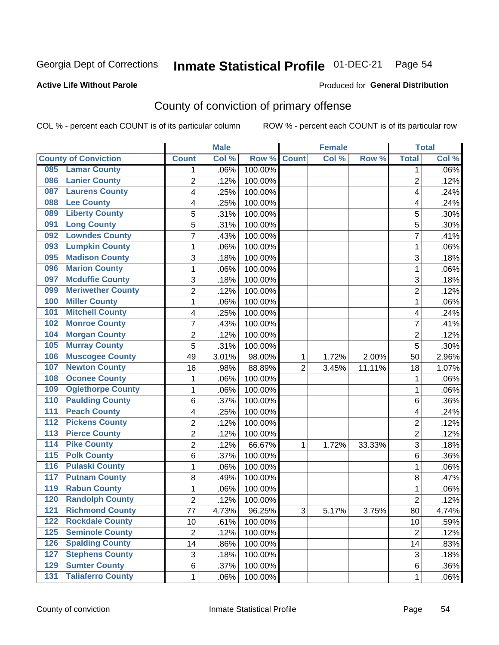# Inmate Statistical Profile 01-DEC-21 Page 54

### **Active Life Without Parole**

#### Produced for General Distribution

# County of conviction of primary offense

COL % - percent each COUNT is of its particular column

|                                              |                | <b>Male</b> |         |                | <b>Female</b> |        |                | <b>Total</b> |
|----------------------------------------------|----------------|-------------|---------|----------------|---------------|--------|----------------|--------------|
| <b>County of Conviction</b>                  | <b>Count</b>   | Col %       | Row %   | <b>Count</b>   | Col %         | Row %  | <b>Total</b>   | Col %        |
| <b>Lamar County</b><br>085                   | 1              | .06%        | 100.00% |                |               |        | 1              | $.06\%$      |
| <b>Lanier County</b><br>086                  | $\overline{2}$ | .12%        | 100.00% |                |               |        | $\overline{2}$ | .12%         |
| <b>Laurens County</b><br>087                 | 4              | .25%        | 100.00% |                |               |        | 4              | .24%         |
| <b>Lee County</b><br>088                     | 4              | .25%        | 100.00% |                |               |        | 4              | .24%         |
| <b>Liberty County</b><br>089                 | 5              | .31%        | 100.00% |                |               |        | 5              | .30%         |
| <b>Long County</b><br>091                    | 5              | .31%        | 100.00% |                |               |        | 5              | .30%         |
| <b>Lowndes County</b><br>092                 | 7              | .43%        | 100.00% |                |               |        | $\overline{7}$ | .41%         |
| <b>Lumpkin County</b><br>093                 | 1              | .06%        | 100.00% |                |               |        | $\mathbf{1}$   | .06%         |
| <b>Madison County</b><br>095                 | 3              | .18%        | 100.00% |                |               |        | 3              | .18%         |
| <b>Marion County</b><br>096                  | 1              | .06%        | 100.00% |                |               |        | $\mathbf{1}$   | .06%         |
| <b>Mcduffie County</b><br>097                | 3              | .18%        | 100.00% |                |               |        | 3              | .18%         |
| <b>Meriwether County</b><br>099              | $\overline{2}$ | .12%        | 100.00% |                |               |        | $\overline{2}$ | .12%         |
| <b>Miller County</b><br>100                  | 1              | .06%        | 100.00% |                |               |        | $\mathbf{1}$   | .06%         |
| <b>Mitchell County</b><br>101                | 4              | .25%        | 100.00% |                |               |        | 4              | .24%         |
| <b>Monroe County</b><br>102                  | 7              | .43%        | 100.00% |                |               |        | $\overline{7}$ | .41%         |
| <b>Morgan County</b><br>104                  | $\overline{2}$ | .12%        | 100.00% |                |               |        | $\overline{2}$ | .12%         |
| <b>Murray County</b><br>105                  | 5              | .31%        | 100.00% |                |               |        | 5              | .30%         |
| <b>Muscogee County</b><br>106                | 49             | 3.01%       | 98.00%  | 1              | 1.72%         | 2.00%  | 50             | 2.96%        |
| <b>Newton County</b><br>107                  | 16             | .98%        | 88.89%  | $\overline{2}$ | 3.45%         | 11.11% | 18             | 1.07%        |
| <b>Oconee County</b><br>108                  | 1              | .06%        | 100.00% |                |               |        | 1              | .06%         |
| <b>Oglethorpe County</b><br>109              | 1              | .06%        | 100.00% |                |               |        | 1              | .06%         |
| <b>Paulding County</b><br>110                | 6              | .37%        | 100.00% |                |               |        | 6              | .36%         |
| <b>Peach County</b><br>111                   | 4              | .25%        | 100.00% |                |               |        | 4              | .24%         |
| <b>Pickens County</b><br>112                 | $\overline{2}$ | .12%        | 100.00% |                |               |        | $\overline{2}$ | .12%         |
| <b>Pierce County</b><br>113                  | 2              | .12%        | 100.00% |                |               |        | $\overline{2}$ | .12%         |
| <b>Pike County</b><br>$\overline{114}$       | $\overline{2}$ | .12%        | 66.67%  | 1              | 1.72%         | 33.33% | 3              | .18%         |
| <b>Polk County</b><br>115                    | 6              | .37%        | 100.00% |                |               |        | 6              | .36%         |
| <b>Pulaski County</b><br>116                 | 1              | .06%        | 100.00% |                |               |        | $\mathbf{1}$   | .06%         |
| <b>Putnam County</b><br>117                  | 8              | .49%        | 100.00% |                |               |        | 8              | .47%         |
| <b>Rabun County</b><br>119                   | 1              | .06%        | 100.00% |                |               |        | $\mathbf{1}$   | .06%         |
| <b>Randolph County</b><br>120                | $\overline{2}$ | .12%        | 100.00% |                |               |        | $\overline{2}$ | .12%         |
| <b>Richmond County</b><br>121                | 77             | 4.73%       | 96.25%  | 3              | 5.17%         | 3.75%  | 80             | 4.74%        |
| <b>Rockdale County</b><br>122                | 10             | .61%        | 100.00% |                |               |        | 10             | .59%         |
| <b>Seminole County</b><br>$125$              | $\overline{2}$ | .12%        | 100.00% |                |               |        | $\overline{2}$ | .12%         |
| <b>Spalding County</b><br>126                | 14             | .86%        | 100.00% |                |               |        | 14             | .83%         |
| <b>Stephens County</b><br>127                | 3              | .18%        | 100.00% |                |               |        | 3              | .18%         |
| <b>Sumter County</b><br>129                  | 6              | .37%        | 100.00% |                |               |        | 6              | .36%         |
| <b>Taliaferro County</b><br>$\overline{131}$ | $\mathbf{1}$   | .06%        | 100.00% |                |               |        | 1              | .06%         |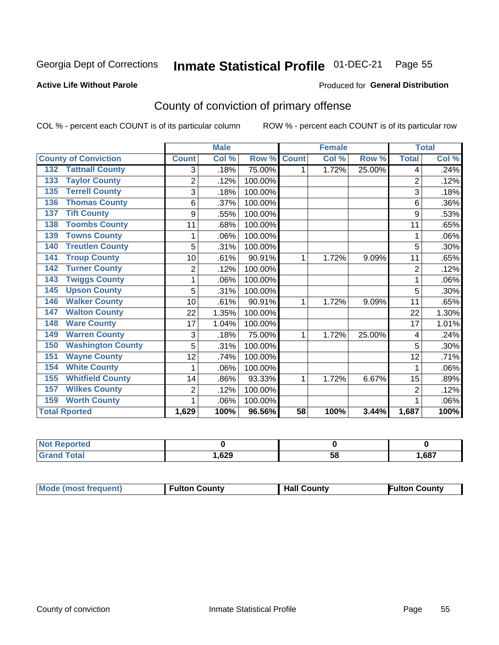# Inmate Statistical Profile 01-DEC-21 Page 55

#### **Active Life Without Parole**

#### Produced for General Distribution

# County of conviction of primary offense

COL % - percent each COUNT is of its particular column

|                                 |                | <b>Male</b> |         |                 | <b>Female</b> |        |                | <b>Total</b> |
|---------------------------------|----------------|-------------|---------|-----------------|---------------|--------|----------------|--------------|
| <b>County of Conviction</b>     | <b>Count</b>   | Col %       | Row %   | <b>Count</b>    | Col %         | Row %  | <b>Total</b>   | Col %        |
| <b>Tattnall County</b><br>132   | 3              | .18%        | 75.00%  | 1               | 1.72%         | 25.00% | 4              | .24%         |
| <b>Taylor County</b><br>133     | $\overline{2}$ | .12%        | 100.00% |                 |               |        | $\overline{2}$ | .12%         |
| <b>Terrell County</b><br>135    | 3              | .18%        | 100.00% |                 |               |        | 3              | .18%         |
| <b>Thomas County</b><br>136     | 6              | .37%        | 100.00% |                 |               |        | 6              | .36%         |
| <b>Tift County</b><br>137       | 9              | .55%        | 100.00% |                 |               |        | 9              | .53%         |
| <b>Toombs County</b><br>138     | 11             | .68%        | 100.00% |                 |               |        | 11             | .65%         |
| <b>Towns County</b><br>139      | 1              | .06%        | 100.00% |                 |               |        | 1              | .06%         |
| <b>Treutlen County</b><br>140   | 5              | .31%        | 100.00% |                 |               |        | 5              | .30%         |
| <b>Troup County</b><br>141      | 10             | .61%        | 90.91%  | 1               | 1.72%         | 9.09%  | 11             | .65%         |
| <b>Turner County</b><br>142     | 2              | .12%        | 100.00% |                 |               |        | $\overline{2}$ | .12%         |
| <b>Twiggs County</b><br>143     |                | .06%        | 100.00% |                 |               |        | 1              | .06%         |
| <b>Upson County</b><br>145      | 5              | .31%        | 100.00% |                 |               |        | 5              | .30%         |
| <b>Walker County</b><br>146     | 10             | .61%        | 90.91%  | 1               | 1.72%         | 9.09%  | 11             | .65%         |
| <b>Walton County</b><br>147     | 22             | 1.35%       | 100.00% |                 |               |        | 22             | 1.30%        |
| <b>Ware County</b><br>148       | 17             | 1.04%       | 100.00% |                 |               |        | 17             | 1.01%        |
| <b>Warren County</b><br>149     | 3              | .18%        | 75.00%  | 1               | 1.72%         | 25.00% | 4              | .24%         |
| <b>Washington County</b><br>150 | 5              | .31%        | 100.00% |                 |               |        | 5              | .30%         |
| <b>Wayne County</b><br>151      | 12             | .74%        | 100.00% |                 |               |        | 12             | .71%         |
| <b>White County</b><br>154      | 1              | .06%        | 100.00% |                 |               |        | 1              | .06%         |
| <b>Whitfield County</b><br>155  | 14             | .86%        | 93.33%  | 1               | 1.72%         | 6.67%  | 15             | .89%         |
| <b>Wilkes County</b><br>157     | $\overline{2}$ | .12%        | 100.00% |                 |               |        | $\overline{2}$ | .12%         |
| <b>Worth County</b><br>159      | 1              | .06%        | 100.00% |                 |               |        | 1              | .06%         |
| <b>Total Rported</b>            | 1,629          | 100%        | 96.56%  | $\overline{58}$ | 100%          | 3.44%  | 1,687          | 100%         |

| rtea<br>₹ево |      |    |      |
|--------------|------|----|------|
| υιαι         | .629 | วง | ,687 |

| <b>Mode (most frequent)</b> | <b>Fulton County</b> | <b>Hall County</b> | Fulton Countv |
|-----------------------------|----------------------|--------------------|---------------|
|-----------------------------|----------------------|--------------------|---------------|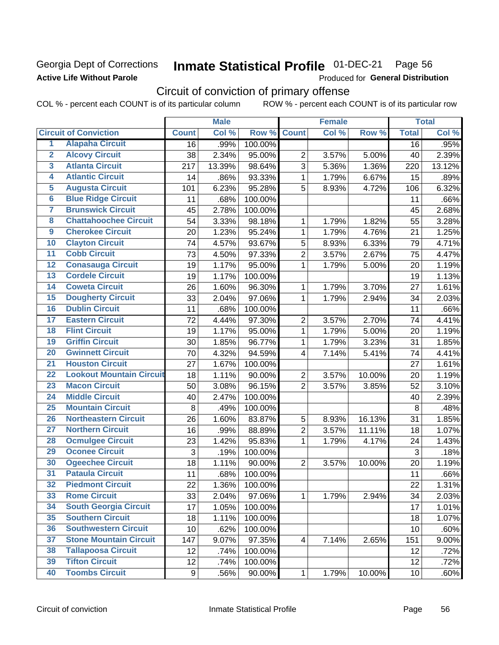### Georgia Dept of Corrections **Active Life Without Parole**

#### Inmate Statistical Profile 01-DEC-21 Page 56

Produced for General Distribution

# Circuit of conviction of primary offense

|                         |                                 |              | <b>Male</b> |         |                | <b>Female</b> |        |                 | <b>Total</b> |
|-------------------------|---------------------------------|--------------|-------------|---------|----------------|---------------|--------|-----------------|--------------|
|                         | <b>Circuit of Conviction</b>    | <b>Count</b> | Col %       | Row %   | <b>Count</b>   | Col %         | Row %  | <b>Total</b>    | Col %        |
| 1                       | <b>Alapaha Circuit</b>          | 16           | .99%        | 100.00% |                |               |        | 16              | .95%         |
| $\overline{2}$          | <b>Alcovy Circuit</b>           | 38           | 2.34%       | 95.00%  | $\overline{2}$ | 3.57%         | 5.00%  | 40              | 2.39%        |
| $\overline{\mathbf{3}}$ | <b>Atlanta Circuit</b>          | 217          | 13.39%      | 98.64%  | 3              | 5.36%         | 1.36%  | 220             | 13.12%       |
| 4                       | <b>Atlantic Circuit</b>         | 14           | .86%        | 93.33%  | $\mathbf{1}$   | 1.79%         | 6.67%  | 15              | .89%         |
| $\overline{5}$          | <b>Augusta Circuit</b>          | 101          | 6.23%       | 95.28%  | 5              | 8.93%         | 4.72%  | 106             | 6.32%        |
| $\overline{6}$          | <b>Blue Ridge Circuit</b>       | 11           | .68%        | 100.00% |                |               |        | 11              | .66%         |
| 7                       | <b>Brunswick Circuit</b>        | 45           | 2.78%       | 100.00% |                |               |        | 45              | 2.68%        |
| 8                       | <b>Chattahoochee Circuit</b>    | 54           | 3.33%       | 98.18%  | 1              | 1.79%         | 1.82%  | 55              | 3.28%        |
| $\overline{9}$          | <b>Cherokee Circuit</b>         | 20           | 1.23%       | 95.24%  | 1              | 1.79%         | 4.76%  | 21              | 1.25%        |
| 10                      | <b>Clayton Circuit</b>          | 74           | 4.57%       | 93.67%  | 5              | 8.93%         | 6.33%  | 79              | 4.71%        |
| $\overline{11}$         | <b>Cobb Circuit</b>             | 73           | 4.50%       | 97.33%  | $\overline{2}$ | 3.57%         | 2.67%  | 75              | 4.47%        |
| $\overline{12}$         | <b>Conasauga Circuit</b>        | 19           | 1.17%       | 95.00%  | $\mathbf{1}$   | 1.79%         | 5.00%  | 20              | 1.19%        |
| $\overline{13}$         | <b>Cordele Circuit</b>          | 19           | 1.17%       | 100.00% |                |               |        | 19              | 1.13%        |
| $\overline{14}$         | <b>Coweta Circuit</b>           | 26           | 1.60%       | 96.30%  | $\mathbf{1}$   | 1.79%         | 3.70%  | 27              | 1.61%        |
| $\overline{15}$         | <b>Dougherty Circuit</b>        | 33           | 2.04%       | 97.06%  | $\mathbf{1}$   | 1.79%         | 2.94%  | 34              | 2.03%        |
| 16                      | <b>Dublin Circuit</b>           | 11           | .68%        | 100.00% |                |               |        | 11              | .66%         |
| $\overline{17}$         | <b>Eastern Circuit</b>          | 72           | 4.44%       | 97.30%  | $\overline{2}$ | 3.57%         | 2.70%  | 74              | 4.41%        |
| $\overline{18}$         | <b>Flint Circuit</b>            | 19           | 1.17%       | 95.00%  | $\mathbf{1}$   | 1.79%         | 5.00%  | 20              | 1.19%        |
| 19                      | <b>Griffin Circuit</b>          | 30           | 1.85%       | 96.77%  | $\mathbf 1$    | 1.79%         | 3.23%  | 31              | 1.85%        |
| 20                      | <b>Gwinnett Circuit</b>         | 70           | 4.32%       | 94.59%  | 4              | 7.14%         | 5.41%  | 74              | 4.41%        |
| $\overline{21}$         | <b>Houston Circuit</b>          | 27           | 1.67%       | 100.00% |                |               |        | 27              | 1.61%        |
| $\overline{22}$         | <b>Lookout Mountain Circuit</b> | 18           | 1.11%       | 90.00%  | $\overline{2}$ | 3.57%         | 10.00% | 20              | 1.19%        |
| 23                      | <b>Macon Circuit</b>            | 50           | 3.08%       | 96.15%  | $\overline{2}$ | 3.57%         | 3.85%  | 52              | 3.10%        |
| $\overline{24}$         | <b>Middle Circuit</b>           | 40           | 2.47%       | 100.00% |                |               |        | 40              | 2.39%        |
| $\overline{25}$         | <b>Mountain Circuit</b>         | 8            | .49%        | 100.00% |                |               |        | 8               | .48%         |
| 26                      | <b>Northeastern Circuit</b>     | 26           | 1.60%       | 83.87%  | 5              | 8.93%         | 16.13% | 31              | 1.85%        |
| $\overline{27}$         | <b>Northern Circuit</b>         | 16           | .99%        | 88.89%  | $\overline{2}$ | 3.57%         | 11.11% | 18              | 1.07%        |
| 28                      | <b>Ocmulgee Circuit</b>         | 23           | 1.42%       | 95.83%  | $\mathbf{1}$   | 1.79%         | 4.17%  | 24              | 1.43%        |
| 29                      | <b>Oconee Circuit</b>           | 3            | .19%        | 100.00% |                |               |        | $\mathfrak{S}$  | .18%         |
| 30                      | <b>Ogeechee Circuit</b>         | 18           | 1.11%       | 90.00%  | $\overline{2}$ | 3.57%         | 10.00% | 20              | 1.19%        |
| $\overline{31}$         | <b>Pataula Circuit</b>          | 11           | .68%        | 100.00% |                |               |        | 11              | .66%         |
| 32                      | <b>Piedmont Circuit</b>         | 22           | 1.36%       | 100.00% |                |               |        | 22              | 1.31%        |
| 33                      | <b>Rome Circuit</b>             | 33           | 2.04%       | 97.06%  | $\mathbf 1$    | 1.79%         | 2.94%  | 34              | 2.03%        |
| 34                      | <b>South Georgia Circuit</b>    | 17           | 1.05%       | 100.00% |                |               |        | 17              | 1.01%        |
| 35                      | <b>Southern Circuit</b>         | 18           | 1.11%       | 100.00% |                |               |        | 18              | 1.07%        |
| 36                      | <b>Southwestern Circuit</b>     | 10           | .62%        | 100.00% |                |               |        | 10              | .60%         |
| 37                      | <b>Stone Mountain Circuit</b>   | 147          | 9.07%       | 97.35%  | 4              | 7.14%         | 2.65%  | 151             | 9.00%        |
| 38                      | <b>Tallapoosa Circuit</b>       | 12           | .74%        | 100.00% |                |               |        | 12              | .72%         |
| 39                      | <b>Tifton Circuit</b>           | 12           | .74%        | 100.00% |                |               |        | 12              | .72%         |
| 40                      | <b>Toombs Circuit</b>           | 9            | .56%        | 90.00%  | $\mathbf{1}$   | 1.79%         | 10.00% | 10 <sub>1</sub> | .60%         |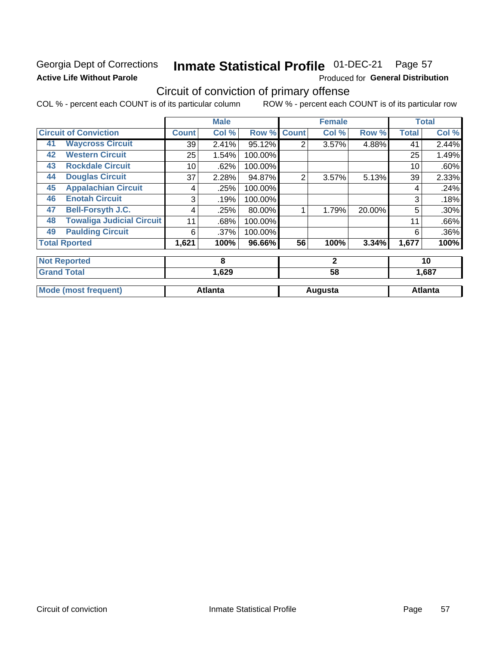### Georgia Dept of Corrections **Active Life Without Parole**

#### Inmate Statistical Profile 01-DEC-21 Page 57

Produced for General Distribution

# Circuit of conviction of primary offense

|    |                                  |              | <b>Male</b>    |         |                | <b>Female</b> |        |              | <b>Total</b>   |
|----|----------------------------------|--------------|----------------|---------|----------------|---------------|--------|--------------|----------------|
|    | <b>Circuit of Conviction</b>     | <b>Count</b> | Col %          | Row %   | <b>Count</b>   | Col %         | Row %  | <b>Total</b> | Col %          |
| 41 | <b>Waycross Circuit</b>          | 39           | 2.41%          | 95.12%  | 2              | 3.57%         | 4.88%  | 41           | 2.44%          |
| 42 | <b>Western Circuit</b>           | 25           | 1.54%          | 100.00% |                |               |        | 25           | 1.49%          |
| 43 | <b>Rockdale Circuit</b>          | 10           | .62%           | 100.00% |                |               |        | 10           | .60%           |
| 44 | <b>Douglas Circuit</b>           | 37           | 2.28%          | 94.87%  | $\overline{2}$ | 3.57%         | 5.13%  | 39           | 2.33%          |
| 45 | <b>Appalachian Circuit</b>       | 4            | .25%           | 100.00% |                |               |        | 4            | .24%           |
| 46 | <b>Enotah Circuit</b>            | 3            | .19%           | 100.00% |                |               |        | 3            | .18%           |
| 47 | Bell-Forsyth J.C.                | 4            | .25%           | 80.00%  |                | 1.79%         | 20.00% | 5            | .30%           |
| 48 | <b>Towaliga Judicial Circuit</b> | 11           | .68%           | 100.00% |                |               |        | 11           | .66%           |
| 49 | <b>Paulding Circuit</b>          | 6            | .37%           | 100.00% |                |               |        | 6            | $.36\%$        |
|    | <b>Total Rported</b>             | 1,621        | 100%           | 96.66%  | 56             | 100%          | 3.34%  | 1,677        | 100%           |
|    | <b>Not Reported</b>              |              | 8              |         |                | $\mathbf{2}$  |        |              | 10             |
|    | <b>Grand Total</b>               |              | 1,629          |         |                | 58            |        |              | 1,687          |
|    | <b>Mode (most frequent)</b>      |              | <b>Atlanta</b> |         |                | Augusta       |        |              | <b>Atlanta</b> |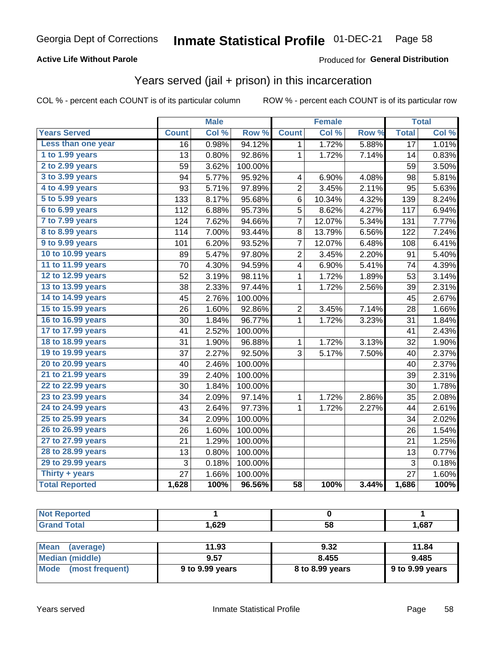### **Active Life Without Parole**

#### Produced for General Distribution

# Years served (jail + prison) in this incarceration

COL % - percent each COUNT is of its particular column

|                       |                 | <b>Male</b> |         |                         | <b>Female</b> |       |                 | <b>Total</b> |
|-----------------------|-----------------|-------------|---------|-------------------------|---------------|-------|-----------------|--------------|
| <b>Years Served</b>   | <b>Count</b>    | Col %       | Row %   | <b>Count</b>            | Col %         | Row % | <b>Total</b>    | Col %        |
| Less than one year    | $\overline{16}$ | 0.98%       | 94.12%  | 1                       | 1.72%         | 5.88% | $\overline{17}$ | 1.01%        |
| 1 to 1.99 years       | 13              | 0.80%       | 92.86%  | $\mathbf{1}$            | 1.72%         | 7.14% | 14              | 0.83%        |
| 2 to 2.99 years       | 59              | 3.62%       | 100.00% |                         |               |       | 59              | 3.50%        |
| 3 to 3.99 years       | 94              | 5.77%       | 95.92%  | 4                       | 6.90%         | 4.08% | 98              | 5.81%        |
| 4 to 4.99 years       | 93              | 5.71%       | 97.89%  | 2                       | 3.45%         | 2.11% | 95              | 5.63%        |
| 5 to 5.99 years       | 133             | 8.17%       | 95.68%  | $\,6$                   | 10.34%        | 4.32% | 139             | 8.24%        |
| 6 to 6.99 years       | 112             | 6.88%       | 95.73%  | $\overline{5}$          | 8.62%         | 4.27% | 117             | 6.94%        |
| 7 to 7.99 years       | 124             | 7.62%       | 94.66%  | 7                       | 12.07%        | 5.34% | 131             | 7.77%        |
| 8 to 8.99 years       | 114             | 7.00%       | 93.44%  | 8                       | 13.79%        | 6.56% | 122             | 7.24%        |
| 9 to 9.99 years       | 101             | 6.20%       | 93.52%  | $\overline{7}$          | 12.07%        | 6.48% | 108             | 6.41%        |
| 10 to 10.99 years     | 89              | 5.47%       | 97.80%  | $\overline{\mathbf{c}}$ | 3.45%         | 2.20% | 91              | 5.40%        |
| 11 to 11.99 years     | 70              | 4.30%       | 94.59%  | 4                       | 6.90%         | 5.41% | 74              | 4.39%        |
| 12 to 12.99 years     | 52              | 3.19%       | 98.11%  | 1                       | 1.72%         | 1.89% | 53              | 3.14%        |
| 13 to 13.99 years     | 38              | 2.33%       | 97.44%  | 1                       | 1.72%         | 2.56% | 39              | 2.31%        |
| 14 to 14.99 years     | 45              | 2.76%       | 100.00% |                         |               |       | 45              | 2.67%        |
| 15 to 15.99 years     | 26              | 1.60%       | 92.86%  | $\overline{2}$          | 3.45%         | 7.14% | 28              | 1.66%        |
| 16 to 16.99 years     | 30              | 1.84%       | 96.77%  | 1                       | 1.72%         | 3.23% | 31              | 1.84%        |
| 17 to 17.99 years     | 41              | 2.52%       | 100.00% |                         |               |       | 41              | 2.43%        |
| 18 to 18.99 years     | 31              | 1.90%       | 96.88%  | $\mathbf{1}$            | 1.72%         | 3.13% | 32              | 1.90%        |
| 19 to 19.99 years     | 37              | 2.27%       | 92.50%  | 3                       | 5.17%         | 7.50% | 40              | 2.37%        |
| 20 to 20.99 years     | 40              | 2.46%       | 100.00% |                         |               |       | 40              | 2.37%        |
| 21 to 21.99 years     | 39              | 2.40%       | 100.00% |                         |               |       | 39              | 2.31%        |
| 22 to 22.99 years     | 30              | 1.84%       | 100.00% |                         |               |       | 30              | 1.78%        |
| 23 to 23.99 years     | 34              | 2.09%       | 97.14%  | 1                       | 1.72%         | 2.86% | 35              | 2.08%        |
| 24 to 24.99 years     | 43              | 2.64%       | 97.73%  | $\mathbf{1}$            | 1.72%         | 2.27% | 44              | 2.61%        |
| 25 to 25.99 years     | 34              | 2.09%       | 100.00% |                         |               |       | 34              | 2.02%        |
| 26 to 26.99 years     | 26              | 1.60%       | 100.00% |                         |               |       | 26              | 1.54%        |
| 27 to 27.99 years     | 21              | 1.29%       | 100.00% |                         |               |       | 21              | 1.25%        |
| 28 to 28.99 years     | 13              | 0.80%       | 100.00% |                         |               |       | 13              | 0.77%        |
| 29 to 29.99 years     | $\mathbf{3}$    | 0.18%       | 100.00% |                         |               |       | 3               | 0.18%        |
| Thirty + years        | $\overline{27}$ | 1.66%       | 100.00% |                         |               |       | 27              | 1.60%        |
| <b>Total Reported</b> | 1,628           | 100%        | 96.56%  | $\overline{58}$         | 100%          | 3.44% | 1,686           | 100%         |

| <b>Not Reported</b>     |                 |                 |                 |
|-------------------------|-----------------|-----------------|-----------------|
| <b>Grand Total</b>      | 1.629           | 58              | 1,687           |
|                         |                 |                 |                 |
| Mean<br>(average)       | 11.93           | 9.32            | 11.84           |
| Median (middle)         | 9.57            | 8.455           | 9.485           |
| Mode<br>(most frequent) | 9 to 9.99 years | 8 to 8.99 years | 9 to 9.99 years |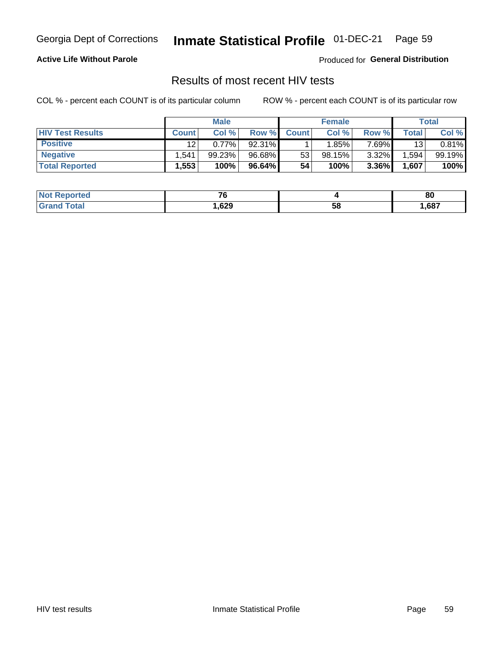#### Inmate Statistical Profile 01-DEC-21 Page 59

### **Active Life Without Parole**

Produced for General Distribution

### Results of most recent HIV tests

COL % - percent each COUNT is of its particular column

|                         | <b>Male</b>  |        |        | <b>Female</b> |        |          | Total |        |
|-------------------------|--------------|--------|--------|---------------|--------|----------|-------|--------|
| <b>HIV Test Results</b> | <b>Count</b> | Col %  | Row %I | <b>Count</b>  | Col %  | Row %    | Total | Col %  |
| <b>Positive</b>         | 12           | 0.77%  | 92.31% |               | 1.85%  | 7 69%∎   | 13    | 0.81%  |
| <b>Negative</b>         | .541         | 99.23% | 96.68% | 53            | 98.15% | $3.32\%$ | .594  | 99.19% |
| <b>Total Reported</b>   | .553         | 100%   | 96.64% | 54            | 100%   | 3.36%    | 1,607 | 100%   |

| <b>Not Reported</b>         | --         |    | 80   |
|-----------------------------|------------|----|------|
| <b>Total</b><br><b>Grar</b> | ,629<br>__ | 58 | ,687 |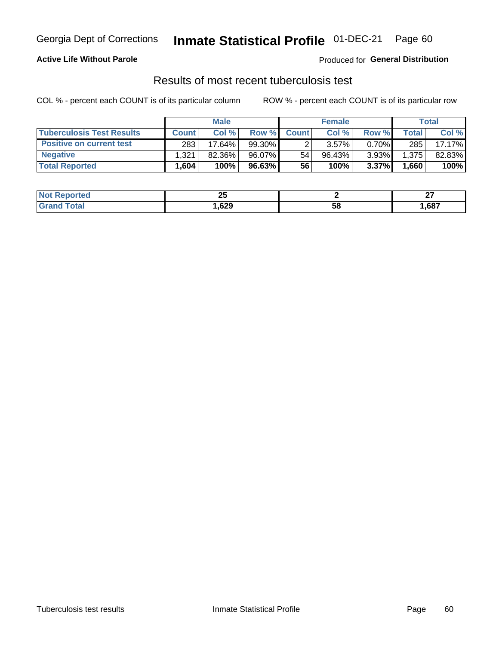# Georgia Dept of Corrections **Inmate Statistical Profile** 01-DEC-21 Page 60

### **Active Life Without Parole**

Produced for **General Distribution**

# Results of most recent tuberculosis test

|                                  | <b>Male</b>  |        |           | <b>Female</b> |          |          | Total |        |
|----------------------------------|--------------|--------|-----------|---------------|----------|----------|-------|--------|
| <b>Tuberculosis Test Results</b> | <b>Count</b> | Col%   | Row %I    | <b>Count</b>  | Col%     | Row %    | Total | Col %  |
| <b>Positive on current test</b>  | 283          | 17.64% | 99.30%    |               | $3.57\%$ | $0.70\%$ | 285   | 17.17% |
| <b>Negative</b>                  | 1,321        | 82.36% | 96.07%    | 54            | 96.43%   | 3.93%    | 1,375 | 82.83% |
| <b>Total Reported</b>            | .604         | 100%   | $96.63\%$ | 56            | 100%     | 3.37%    | 1,660 | 100%   |

| <b>Not Reported</b>    | ົ<br>2 J   |    | ~-<br>-- |
|------------------------|------------|----|----------|
| <b>Total</b><br>. Grot | ,629<br>__ | 58 | ,687     |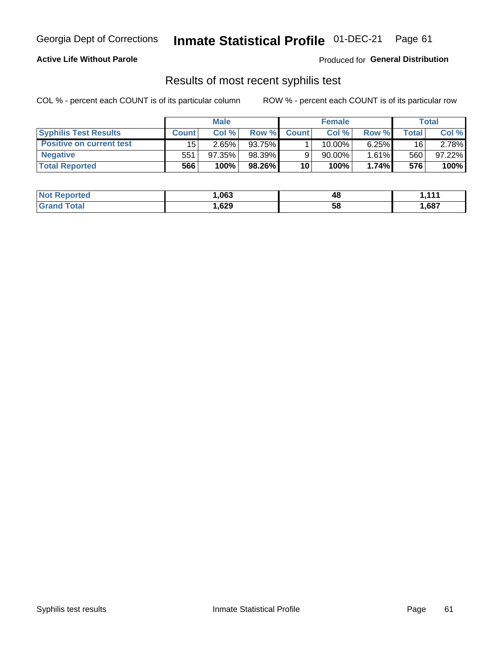# Georgia Dept of Corrections **Inmate Statistical Profile** 01-DEC-21 Page 61

### **Active Life Without Parole**

Produced for **General Distribution**

### Results of most recent syphilis test

|                                 | <b>Male</b>  |        |        | <b>Female</b> |           |          | Total |        |
|---------------------------------|--------------|--------|--------|---------------|-----------|----------|-------|--------|
| <b>Syphilis Test Results</b>    | <b>Count</b> | Col%   | Row %I | <b>Count</b>  | Col%      | Row %    | Total | Col %  |
| <b>Positive on current test</b> | 15           | 2.65%  | 93.75% |               | $10.00\%$ | $6.25\%$ | 16    | 2.78%  |
| <b>Negative</b>                 | 551          | 97.35% | 98.39% |               | 90.00%    | $1.61\%$ | 560   | 97.22% |
| <b>Total Reported</b>           | 566          | 100%   | 98.26% | 10            | 100%      | 1.74%    | 576   | 100%   |

| <b>Not Reported</b> | 063, ا | 48 | 444  |
|---------------------|--------|----|------|
| <b>Grand Total</b>  | ,629   | 58 | 687, |